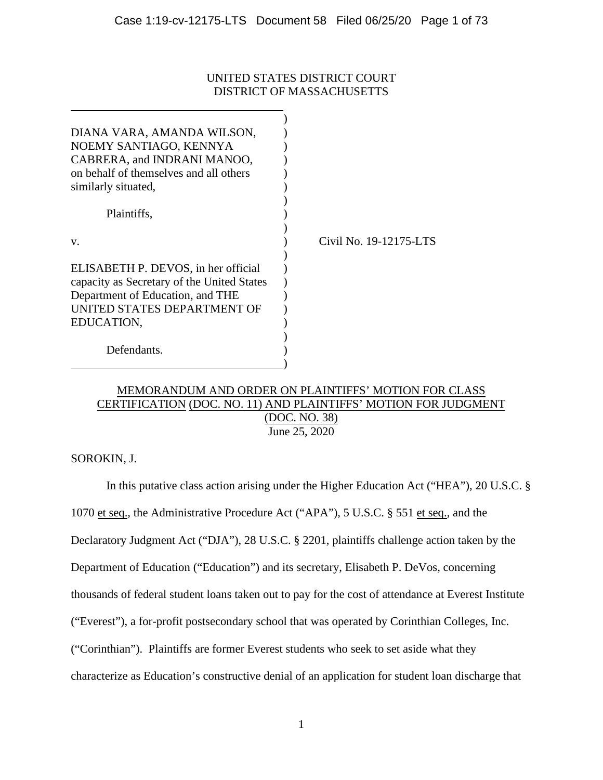# UNITED STATES DISTRICT COURT DISTRICT OF MASSACHUSETTS

| DIANA VARA, AMANDA WILSON,<br>NOEMY SANTIAGO, KENNYA<br>CABRERA, and INDRANI MANOO,<br>on behalf of themselves and all others<br>similarly situated,               |                        |
|--------------------------------------------------------------------------------------------------------------------------------------------------------------------|------------------------|
| Plaintiffs,<br>V.                                                                                                                                                  | Civil No. 19-12175-LTS |
| ELISABETH P. DEVOS, in her official<br>capacity as Secretary of the United States<br>Department of Education, and THE<br>UNITED STATES DEPARTMENT OF<br>EDUCATION, |                        |
| Defendants.                                                                                                                                                        |                        |

# MEMORANDUM AND ORDER ON PLAINTIFFS' MOTION FOR CLASS CERTIFICATION (DOC. NO. 11) AND PLAINTIFFS' MOTION FOR JUDGMENT (DOC. NO. 38) June 25, 2020

SOROKIN, J.

In this putative class action arising under the Higher Education Act ("HEA"), 20 U.S.C. § 1070 et seq., the Administrative Procedure Act ("APA"), 5 U.S.C. § 551 et seq., and the Declaratory Judgment Act ("DJA"), 28 U.S.C. § 2201, plaintiffs challenge action taken by the Department of Education ("Education") and its secretary, Elisabeth P. DeVos, concerning thousands of federal student loans taken out to pay for the cost of attendance at Everest Institute ("Everest"), a for-profit postsecondary school that was operated by Corinthian Colleges, Inc. ("Corinthian"). Plaintiffs are former Everest students who seek to set aside what they characterize as Education's constructive denial of an application for student loan discharge that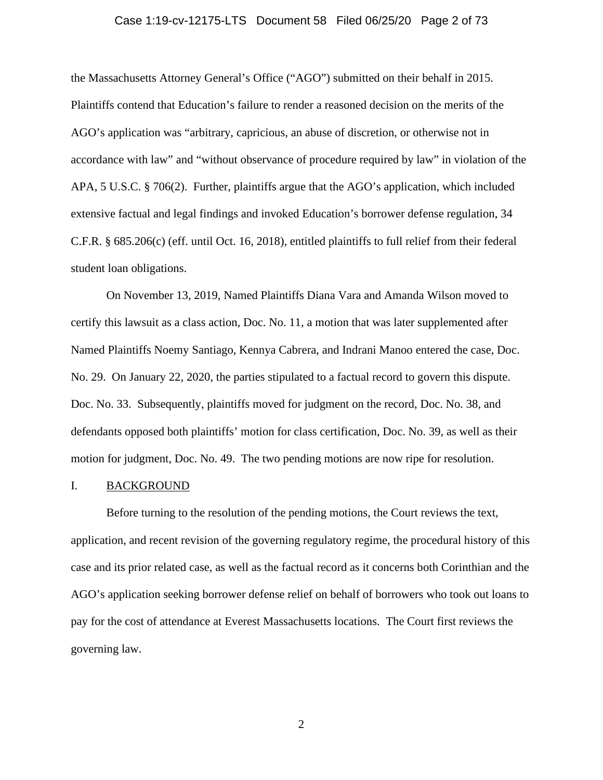# Case 1:19-cv-12175-LTS Document 58 Filed 06/25/20 Page 2 of 73

the Massachusetts Attorney General's Office ("AGO") submitted on their behalf in 2015. Plaintiffs contend that Education's failure to render a reasoned decision on the merits of the AGO's application was "arbitrary, capricious, an abuse of discretion, or otherwise not in accordance with law" and "without observance of procedure required by law" in violation of the APA, 5 U.S.C. § 706(2). Further, plaintiffs argue that the AGO's application, which included extensive factual and legal findings and invoked Education's borrower defense regulation, 34 C.F.R. § 685.206(c) (eff. until Oct. 16, 2018), entitled plaintiffs to full relief from their federal student loan obligations.

On November 13, 2019, Named Plaintiffs Diana Vara and Amanda Wilson moved to certify this lawsuit as a class action, Doc. No. 11, a motion that was later supplemented after Named Plaintiffs Noemy Santiago, Kennya Cabrera, and Indrani Manoo entered the case, Doc. No. 29. On January 22, 2020, the parties stipulated to a factual record to govern this dispute. Doc. No. 33. Subsequently, plaintiffs moved for judgment on the record, Doc. No. 38, and defendants opposed both plaintiffs' motion for class certification, Doc. No. 39, as well as their motion for judgment, Doc. No. 49. The two pending motions are now ripe for resolution.

### I. BACKGROUND

Before turning to the resolution of the pending motions, the Court reviews the text, application, and recent revision of the governing regulatory regime, the procedural history of this case and its prior related case, as well as the factual record as it concerns both Corinthian and the AGO's application seeking borrower defense relief on behalf of borrowers who took out loans to pay for the cost of attendance at Everest Massachusetts locations. The Court first reviews the governing law.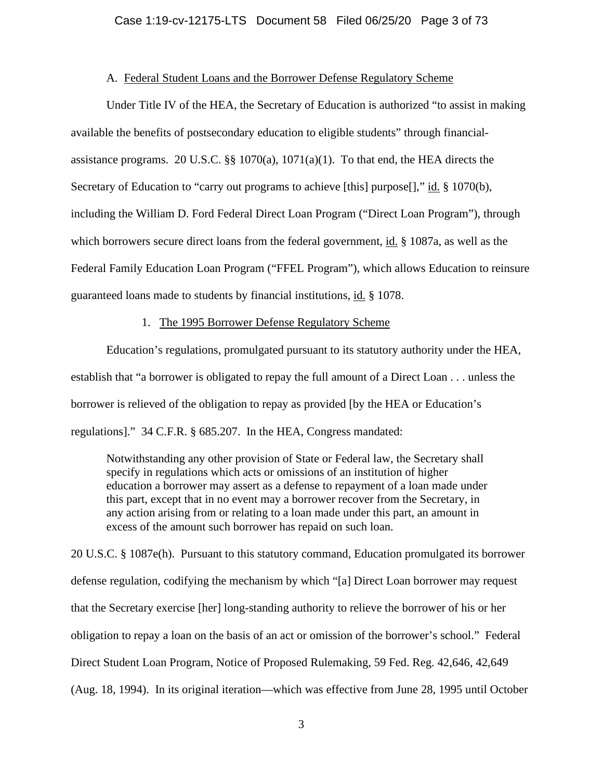# A. Federal Student Loans and the Borrower Defense Regulatory Scheme

Under Title IV of the HEA, the Secretary of Education is authorized "to assist in making available the benefits of postsecondary education to eligible students" through financialassistance programs. 20 U.S.C. §§ 1070(a), 1071(a)(1). To that end, the HEA directs the Secretary of Education to "carry out programs to achieve [this] purpose[]," id. § 1070(b), including the William D. Ford Federal Direct Loan Program ("Direct Loan Program"), through which borrowers secure direct loans from the federal government, id. § 1087a, as well as the Federal Family Education Loan Program ("FFEL Program"), which allows Education to reinsure guaranteed loans made to students by financial institutions, id. § 1078.

# 1. The 1995 Borrower Defense Regulatory Scheme

Education's regulations, promulgated pursuant to its statutory authority under the HEA, establish that "a borrower is obligated to repay the full amount of a Direct Loan . . . unless the borrower is relieved of the obligation to repay as provided [by the HEA or Education's regulations]." 34 C.F.R. § 685.207. In the HEA, Congress mandated:

Notwithstanding any other provision of State or Federal law, the Secretary shall specify in regulations which acts or omissions of an institution of higher education a borrower may assert as a defense to repayment of a loan made under this part, except that in no event may a borrower recover from the Secretary, in any action arising from or relating to a loan made under this part, an amount in excess of the amount such borrower has repaid on such loan.

20 U.S.C. § 1087e(h). Pursuant to this statutory command, Education promulgated its borrower defense regulation, codifying the mechanism by which "[a] Direct Loan borrower may request that the Secretary exercise [her] long-standing authority to relieve the borrower of his or her obligation to repay a loan on the basis of an act or omission of the borrower's school." Federal Direct Student Loan Program, Notice of Proposed Rulemaking, 59 Fed. Reg. 42,646, 42,649 (Aug. 18, 1994). In its original iteration—which was effective from June 28, 1995 until October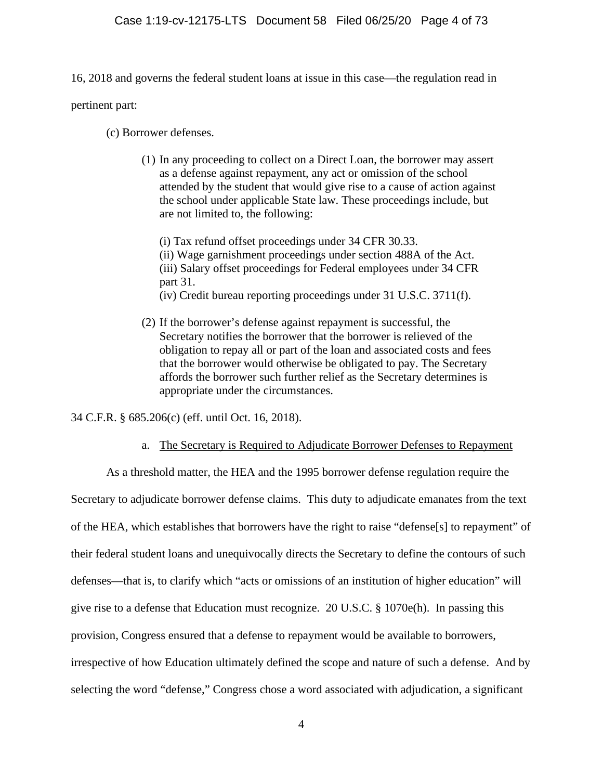16, 2018 and governs the federal student loans at issue in this case—the regulation read in

pertinent part:

(c) Borrower defenses.

(1) In any proceeding to collect on a Direct Loan, the borrower may assert as a defense against repayment, any act or omission of the school attended by the student that would give rise to a cause of action against the school under applicable State law. These proceedings include, but are not limited to, the following:

(i) Tax refund offset proceedings under 34 CFR 30.33. (ii) Wage garnishment proceedings under section 488A of the Act. (iii) Salary offset proceedings for Federal employees under 34 CFR part 31. (iv) Credit bureau reporting proceedings under 31 U.S.C. 3711(f).

(2) If the borrower's defense against repayment is successful, the Secretary notifies the borrower that the borrower is relieved of the obligation to repay all or part of the loan and associated costs and fees that the borrower would otherwise be obligated to pay. The Secretary affords the borrower such further relief as the Secretary determines is appropriate under the circumstances.

34 C.F.R. § 685.206(c) (eff. until Oct. 16, 2018).

a. The Secretary is Required to Adjudicate Borrower Defenses to Repayment

As a threshold matter, the HEA and the 1995 borrower defense regulation require the Secretary to adjudicate borrower defense claims. This duty to adjudicate emanates from the text of the HEA, which establishes that borrowers have the right to raise "defense[s] to repayment" of their federal student loans and unequivocally directs the Secretary to define the contours of such defenses—that is, to clarify which "acts or omissions of an institution of higher education" will give rise to a defense that Education must recognize. 20 U.S.C. § 1070e(h). In passing this provision, Congress ensured that a defense to repayment would be available to borrowers, irrespective of how Education ultimately defined the scope and nature of such a defense. And by selecting the word "defense," Congress chose a word associated with adjudication, a significant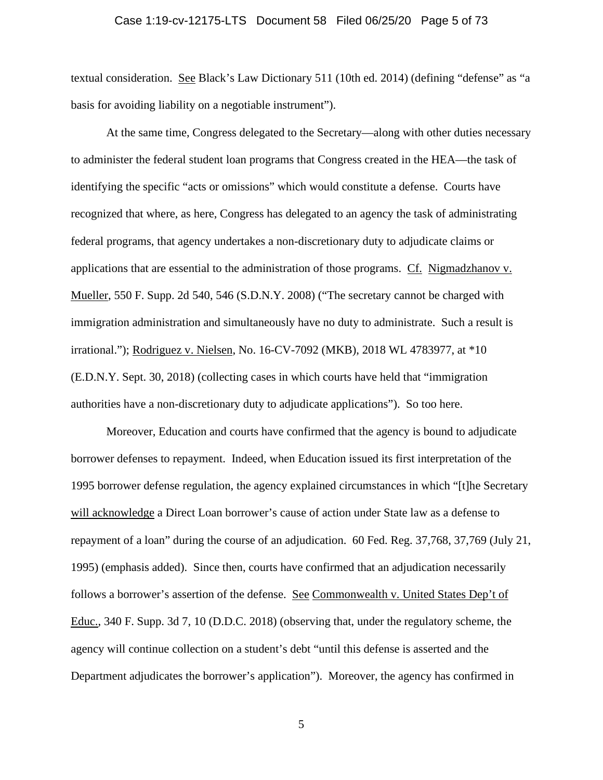# Case 1:19-cv-12175-LTS Document 58 Filed 06/25/20 Page 5 of 73

textual consideration. See Black's Law Dictionary 511 (10th ed. 2014) (defining "defense" as "a basis for avoiding liability on a negotiable instrument").

At the same time, Congress delegated to the Secretary—along with other duties necessary to administer the federal student loan programs that Congress created in the HEA—the task of identifying the specific "acts or omissions" which would constitute a defense. Courts have recognized that where, as here, Congress has delegated to an agency the task of administrating federal programs, that agency undertakes a non-discretionary duty to adjudicate claims or applications that are essential to the administration of those programs. Cf. Nigmadzhanov v. Mueller, 550 F. Supp. 2d 540, 546 (S.D.N.Y. 2008) ("The secretary cannot be charged with immigration administration and simultaneously have no duty to administrate. Such a result is irrational."); Rodriguez v. Nielsen, No. 16-CV-7092 (MKB), 2018 WL 4783977, at \*10 (E.D.N.Y. Sept. 30, 2018) (collecting cases in which courts have held that "immigration authorities have a non-discretionary duty to adjudicate applications"). So too here.

Moreover, Education and courts have confirmed that the agency is bound to adjudicate borrower defenses to repayment. Indeed, when Education issued its first interpretation of the 1995 borrower defense regulation, the agency explained circumstances in which "[t]he Secretary will acknowledge a Direct Loan borrower's cause of action under State law as a defense to repayment of a loan" during the course of an adjudication. 60 Fed. Reg. 37,768, 37,769 (July 21, 1995) (emphasis added). Since then, courts have confirmed that an adjudication necessarily follows a borrower's assertion of the defense. See Commonwealth v. United States Dep't of Educ., 340 F. Supp. 3d 7, 10 (D.D.C. 2018) (observing that, under the regulatory scheme, the agency will continue collection on a student's debt "until this defense is asserted and the Department adjudicates the borrower's application"). Moreover, the agency has confirmed in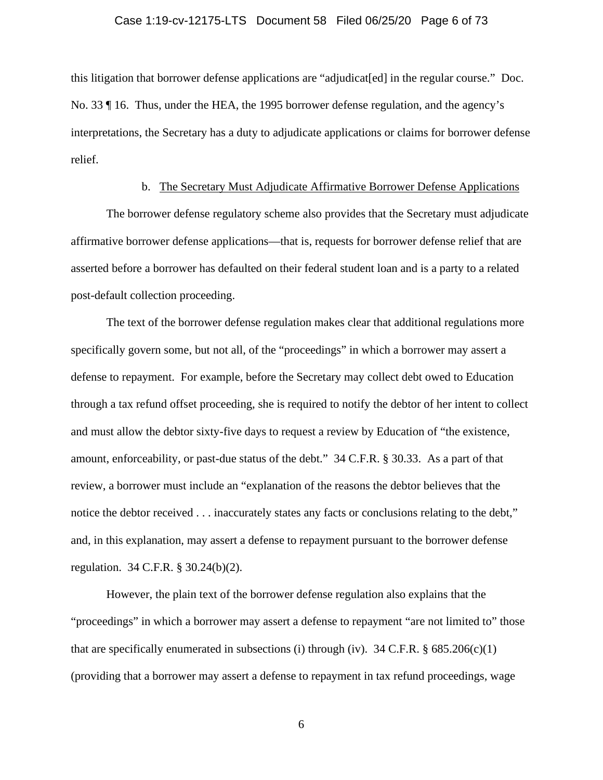# Case 1:19-cv-12175-LTS Document 58 Filed 06/25/20 Page 6 of 73

this litigation that borrower defense applications are "adjudicat[ed] in the regular course." Doc. No. 33 ¶ 16. Thus, under the HEA, the 1995 borrower defense regulation, and the agency's interpretations, the Secretary has a duty to adjudicate applications or claims for borrower defense relief.

# b. The Secretary Must Adjudicate Affirmative Borrower Defense Applications

The borrower defense regulatory scheme also provides that the Secretary must adjudicate affirmative borrower defense applications—that is, requests for borrower defense relief that are asserted before a borrower has defaulted on their federal student loan and is a party to a related post-default collection proceeding.

The text of the borrower defense regulation makes clear that additional regulations more specifically govern some, but not all, of the "proceedings" in which a borrower may assert a defense to repayment. For example, before the Secretary may collect debt owed to Education through a tax refund offset proceeding, she is required to notify the debtor of her intent to collect and must allow the debtor sixty-five days to request a review by Education of "the existence, amount, enforceability, or past-due status of the debt." 34 C.F.R. § 30.33. As a part of that review, a borrower must include an "explanation of the reasons the debtor believes that the notice the debtor received . . . inaccurately states any facts or conclusions relating to the debt," and, in this explanation, may assert a defense to repayment pursuant to the borrower defense regulation. 34 C.F.R. § 30.24(b)(2).

However, the plain text of the borrower defense regulation also explains that the "proceedings" in which a borrower may assert a defense to repayment "are not limited to" those that are specifically enumerated in subsections (i) through (iv). 34 C.F.R.  $\S 685.206(c)(1)$ (providing that a borrower may assert a defense to repayment in tax refund proceedings, wage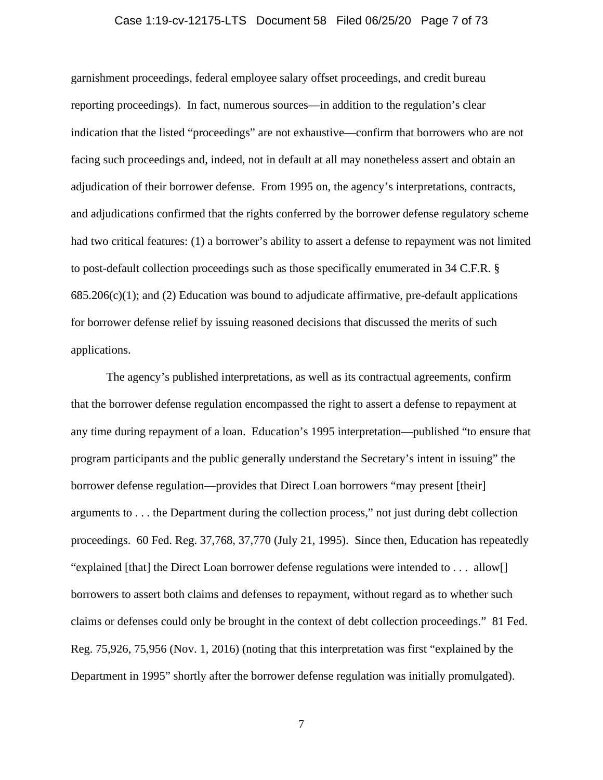# Case 1:19-cv-12175-LTS Document 58 Filed 06/25/20 Page 7 of 73

garnishment proceedings, federal employee salary offset proceedings, and credit bureau reporting proceedings). In fact, numerous sources—in addition to the regulation's clear indication that the listed "proceedings" are not exhaustive—confirm that borrowers who are not facing such proceedings and, indeed, not in default at all may nonetheless assert and obtain an adjudication of their borrower defense. From 1995 on, the agency's interpretations, contracts, and adjudications confirmed that the rights conferred by the borrower defense regulatory scheme had two critical features: (1) a borrower's ability to assert a defense to repayment was not limited to post-default collection proceedings such as those specifically enumerated in 34 C.F.R. §  $685.206(c)(1)$ ; and (2) Education was bound to adjudicate affirmative, pre-default applications for borrower defense relief by issuing reasoned decisions that discussed the merits of such applications.

The agency's published interpretations, as well as its contractual agreements, confirm that the borrower defense regulation encompassed the right to assert a defense to repayment at any time during repayment of a loan. Education's 1995 interpretation—published "to ensure that program participants and the public generally understand the Secretary's intent in issuing" the borrower defense regulation—provides that Direct Loan borrowers "may present [their] arguments to . . . the Department during the collection process," not just during debt collection proceedings. 60 Fed. Reg. 37,768, 37,770 (July 21, 1995). Since then, Education has repeatedly "explained [that] the Direct Loan borrower defense regulations were intended to . . . allow[] borrowers to assert both claims and defenses to repayment, without regard as to whether such claims or defenses could only be brought in the context of debt collection proceedings." 81 Fed. Reg. 75,926, 75,956 (Nov. 1, 2016) (noting that this interpretation was first "explained by the Department in 1995" shortly after the borrower defense regulation was initially promulgated).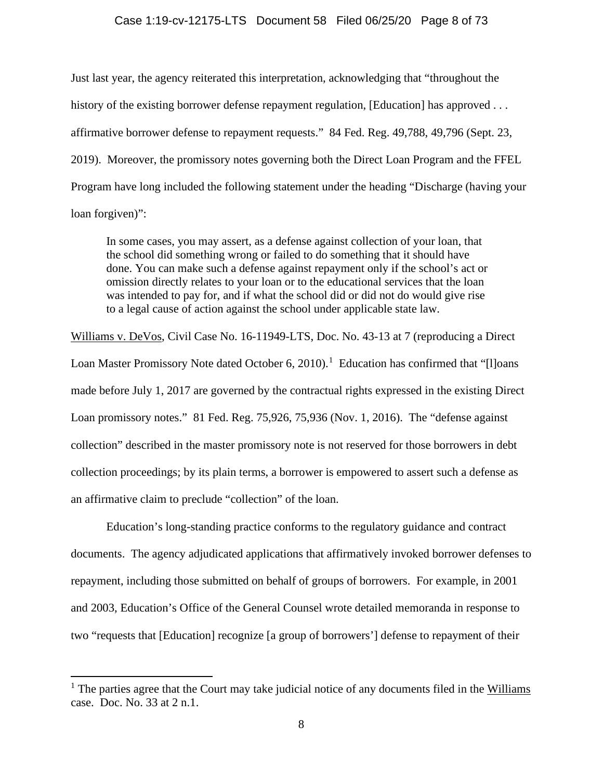### Case 1:19-cv-12175-LTS Document 58 Filed 06/25/20 Page 8 of 73

Just last year, the agency reiterated this interpretation, acknowledging that "throughout the history of the existing borrower defense repayment regulation, [Education] has approved . . . affirmative borrower defense to repayment requests." 84 Fed. Reg. 49,788, 49,796 (Sept. 23, 2019). Moreover, the promissory notes governing both the Direct Loan Program and the FFEL Program have long included the following statement under the heading "Discharge (having your loan forgiven)":

In some cases, you may assert, as a defense against collection of your loan, that the school did something wrong or failed to do something that it should have done. You can make such a defense against repayment only if the school's act or omission directly relates to your loan or to the educational services that the loan was intended to pay for, and if what the school did or did not do would give rise to a legal cause of action against the school under applicable state law.

Williams v. DeVos, Civil Case No. 16-11949-LTS, Doc. No. 43-13 at 7 (reproducing a Direct Loan Master Promissory Note dated October 6, 20[1](#page-7-0)0).<sup>1</sup> Education has confirmed that "[I]oans made before July 1, 2017 are governed by the contractual rights expressed in the existing Direct Loan promissory notes." 81 Fed. Reg. 75,926, 75,936 (Nov. 1, 2016). The "defense against collection" described in the master promissory note is not reserved for those borrowers in debt collection proceedings; by its plain terms, a borrower is empowered to assert such a defense as an affirmative claim to preclude "collection" of the loan.

Education's long-standing practice conforms to the regulatory guidance and contract documents. The agency adjudicated applications that affirmatively invoked borrower defenses to repayment, including those submitted on behalf of groups of borrowers. For example, in 2001 and 2003, Education's Office of the General Counsel wrote detailed memoranda in response to two "requests that [Education] recognize [a group of borrowers'] defense to repayment of their

<span id="page-7-0"></span> $<sup>1</sup>$  The parties agree that the Court may take judicial notice of any documents filed in the Williams</sup> case. Doc. No. 33 at 2 n.1.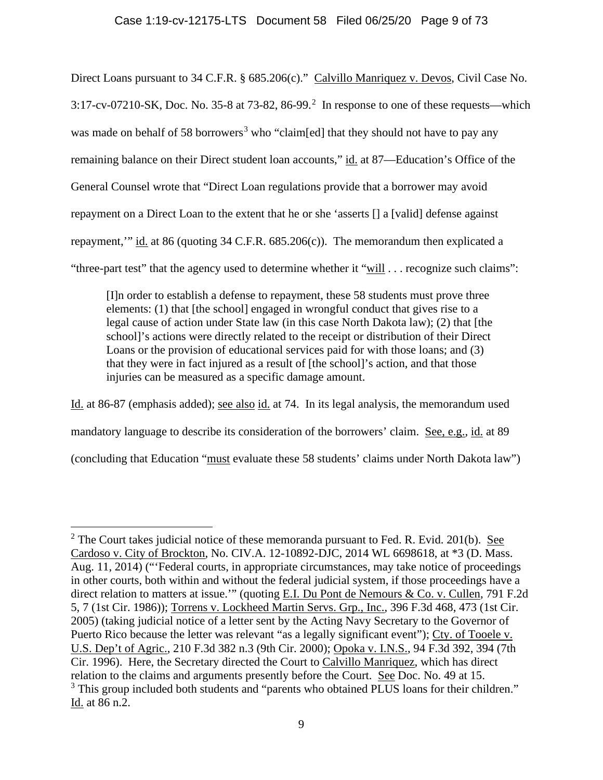# Case 1:19-cv-12175-LTS Document 58 Filed 06/25/20 Page 9 of 73

Direct Loans pursuant to 34 C.F.R. § 685.206(c)." Calvillo Manriquez v. Devos, Civil Case No. 3:17-cv-07[2](#page-8-0)10-SK, Doc. No. 35-8 at 73-82, 86-99.<sup>2</sup> In response to one of these requests—which was made on behalf of 58 borrowers<sup>[3](#page-8-1)</sup> who "claim[ed] that they should not have to pay any remaining balance on their Direct student loan accounts," id. at 87—Education's Office of the General Counsel wrote that "Direct Loan regulations provide that a borrower may avoid repayment on a Direct Loan to the extent that he or she 'asserts [] a [valid] defense against repayment,'" id. at 86 (quoting 34 C.F.R. 685.206(c)). The memorandum then explicated a "three-part test" that the agency used to determine whether it "will . . . recognize such claims":

[I]n order to establish a defense to repayment, these 58 students must prove three elements: (1) that [the school] engaged in wrongful conduct that gives rise to a legal cause of action under State law (in this case North Dakota law); (2) that [the school]'s actions were directly related to the receipt or distribution of their Direct Loans or the provision of educational services paid for with those loans; and (3) that they were in fact injured as a result of [the school]'s action, and that those injuries can be measured as a specific damage amount.

Id. at 86-87 (emphasis added); see also id. at 74. In its legal analysis, the memorandum used mandatory language to describe its consideration of the borrowers' claim. See, e.g., id. at 89 (concluding that Education "must evaluate these 58 students' claims under North Dakota law")

<span id="page-8-1"></span><span id="page-8-0"></span> $2$  The Court takes judicial notice of these memoranda pursuant to Fed. R. Evid. 201(b). See Cardoso v. City of Brockton, No. CIV.A. 12-10892-DJC, 2014 WL 6698618, at \*3 (D. Mass. Aug. 11, 2014) ("'Federal courts, in appropriate circumstances, may take notice of proceedings in other courts, both within and without the federal judicial system, if those proceedings have a direct relation to matters at issue.'" (quoting E.I. Du Pont de Nemours & Co. v. Cullen, 791 F.2d 5, 7 (1st Cir. 1986)); Torrens v. Lockheed Martin Servs. Grp., Inc., 396 F.3d 468, 473 (1st Cir. 2005) (taking judicial notice of a letter sent by the Acting Navy Secretary to the Governor of Puerto Rico because the letter was relevant "as a legally significant event"); Cty. of Tooele v. U.S. Dep't of Agric., 210 F.3d 382 n.3 (9th Cir. 2000); Opoka v. I.N.S., 94 F.3d 392, 394 (7th Cir. 1996). Here, the Secretary directed the Court to Calvillo Manriquez, which has direct relation to the claims and arguments presently before the Court. See Doc. No. 49 at 15. <sup>3</sup> This group included both students and "parents who obtained PLUS loans for their children." Id. at 86 n.2.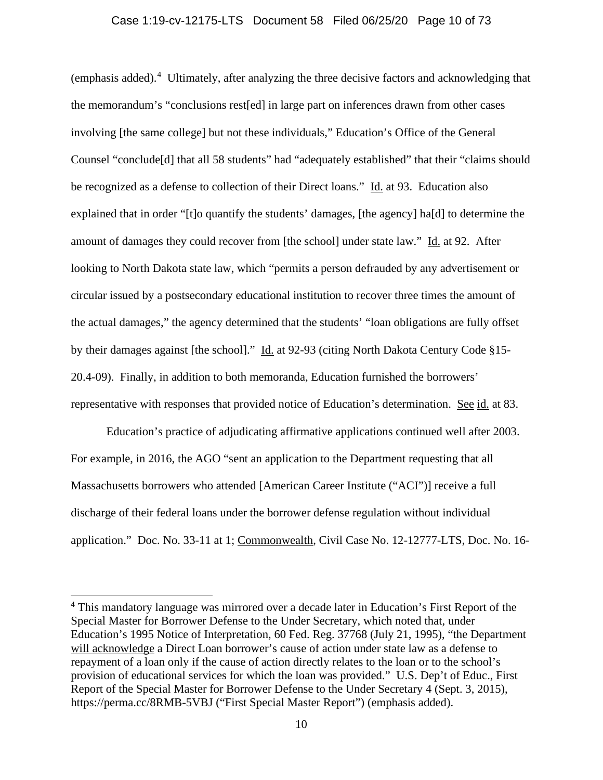# Case 1:19-cv-12175-LTS Document 58 Filed 06/25/20 Page 10 of 73

(emphasis added).<sup>[4](#page-9-0)</sup> Ultimately, after analyzing the three decisive factors and acknowledging that the memorandum's "conclusions rest[ed] in large part on inferences drawn from other cases involving [the same college] but not these individuals," Education's Office of the General Counsel "conclude[d] that all 58 students" had "adequately established" that their "claims should be recognized as a defense to collection of their Direct loans." Id. at 93. Education also explained that in order "[t]o quantify the students' damages, [the agency] ha[d] to determine the amount of damages they could recover from [the school] under state law." Id. at 92. After looking to North Dakota state law, which "permits a person defrauded by any advertisement or circular issued by a postsecondary educational institution to recover three times the amount of the actual damages," the agency determined that the students' "loan obligations are fully offset by their damages against [the school]." Id. at 92-93 (citing North Dakota Century Code §15-20.4-09). Finally, in addition to both memoranda, Education furnished the borrowers' representative with responses that provided notice of Education's determination. See id. at 83.

Education's practice of adjudicating affirmative applications continued well after 2003. For example, in 2016, the AGO "sent an application to the Department requesting that all Massachusetts borrowers who attended [American Career Institute ("ACI")] receive a full discharge of their federal loans under the borrower defense regulation without individual application." Doc. No. 33-11 at 1; Commonwealth, Civil Case No. 12-12777-LTS, Doc. No. 16-

<span id="page-9-0"></span><sup>&</sup>lt;sup>4</sup> This mandatory language was mirrored over a decade later in Education's First Report of the Special Master for Borrower Defense to the Under Secretary, which noted that, under Education's 1995 Notice of Interpretation, 60 Fed. Reg. 37768 (July 21, 1995), "the Department will acknowledge a Direct Loan borrower's cause of action under state law as a defense to repayment of a loan only if the cause of action directly relates to the loan or to the school's provision of educational services for which the loan was provided." U.S. Dep't of Educ., First Report of the Special Master for Borrower Defense to the Under Secretary 4 (Sept. 3, 2015), https://perma.cc/8RMB-5VBJ ("First Special Master Report") (emphasis added).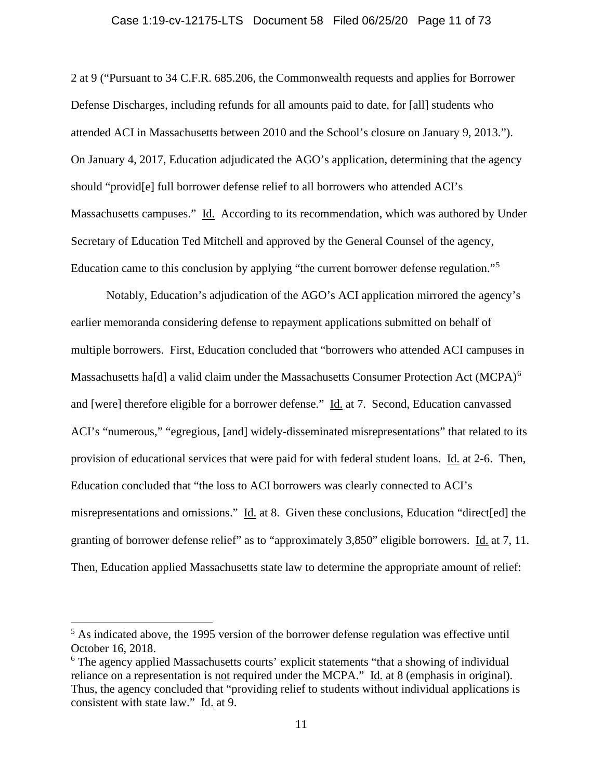#### Case 1:19-cv-12175-LTS Document 58 Filed 06/25/20 Page 11 of 73

2 at 9 ("Pursuant to 34 C.F.R. 685.206, the Commonwealth requests and applies for Borrower Defense Discharges, including refunds for all amounts paid to date, for [all] students who attended ACI in Massachusetts between 2010 and the School's closure on January 9, 2013."). On January 4, 2017, Education adjudicated the AGO's application, determining that the agency should "provid[e] full borrower defense relief to all borrowers who attended ACI's Massachusetts campuses." Id. According to its recommendation, which was authored by Under Secretary of Education Ted Mitchell and approved by the General Counsel of the agency, Education came to this conclusion by applying "the current borrower defense regulation."[5](#page-10-0)

Notably, Education's adjudication of the AGO's ACI application mirrored the agency's earlier memoranda considering defense to repayment applications submitted on behalf of multiple borrowers. First, Education concluded that "borrowers who attended ACI campuses in Massachusetts ha[d] a valid claim under the Massachusetts Consumer Protection Act (MCPA)<sup>[6](#page-10-1)</sup> and [were] therefore eligible for a borrower defense." Id. at 7. Second, Education canvassed ACI's "numerous," "egregious, [and] widely-disseminated misrepresentations" that related to its provision of educational services that were paid for with federal student loans. Id. at 2-6. Then, Education concluded that "the loss to ACI borrowers was clearly connected to ACI's misrepresentations and omissions." Id. at 8. Given these conclusions, Education "direct[ed] the granting of borrower defense relief" as to "approximately 3,850" eligible borrowers. Id. at 7, 11. Then, Education applied Massachusetts state law to determine the appropriate amount of relief:

<span id="page-10-0"></span><sup>&</sup>lt;sup>5</sup> As indicated above, the 1995 version of the borrower defense regulation was effective until October 16, 2018.

<span id="page-10-1"></span><sup>&</sup>lt;sup>6</sup> The agency applied Massachusetts courts' explicit statements "that a showing of individual reliance on a representation is <u>not</u> required under the MCPA." Id. at 8 (emphasis in original). Thus, the agency concluded that "providing relief to students without individual applications is consistent with state law." Id. at 9.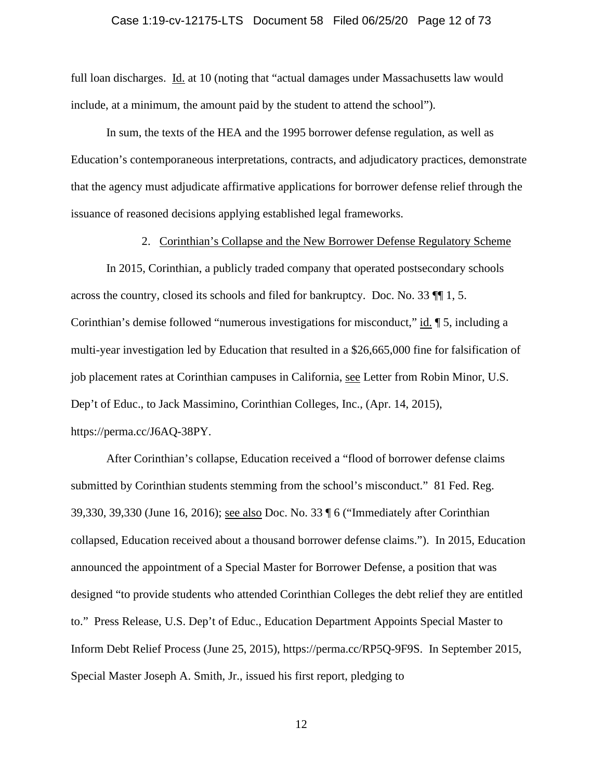#### Case 1:19-cv-12175-LTS Document 58 Filed 06/25/20 Page 12 of 73

full loan discharges. Id. at 10 (noting that "actual damages under Massachusetts law would include, at a minimum, the amount paid by the student to attend the school").

In sum, the texts of the HEA and the 1995 borrower defense regulation, as well as Education's contemporaneous interpretations, contracts, and adjudicatory practices, demonstrate that the agency must adjudicate affirmative applications for borrower defense relief through the issuance of reasoned decisions applying established legal frameworks.

2. Corinthian's Collapse and the New Borrower Defense Regulatory Scheme

In 2015, Corinthian, a publicly traded company that operated postsecondary schools across the country, closed its schools and filed for bankruptcy. Doc. No. 33 ¶¶ 1, 5. Corinthian's demise followed "numerous investigations for misconduct," id. ¶ 5, including a multi-year investigation led by Education that resulted in a \$26,665,000 fine for falsification of job placement rates at Corinthian campuses in California, see Letter from Robin Minor, U.S. Dep't of Educ., to Jack Massimino, Corinthian Colleges, Inc., (Apr. 14, 2015), https://perma.cc/J6AQ-38PY.

After Corinthian's collapse, Education received a "flood of borrower defense claims submitted by Corinthian students stemming from the school's misconduct." 81 Fed. Reg. 39,330, 39,330 (June 16, 2016); see also Doc. No. 33 ¶ 6 ("Immediately after Corinthian collapsed, Education received about a thousand borrower defense claims."). In 2015, Education announced the appointment of a Special Master for Borrower Defense, a position that was designed "to provide students who attended Corinthian Colleges the debt relief they are entitled to." Press Release, U.S. Dep't of Educ., Education Department Appoints Special Master to Inform Debt Relief Process (June 25, 2015), [https://perma.cc/RP5Q-9F9S.](https://perma.cc/RP5Q-9F9S) In September 2015, Special Master Joseph A. Smith, Jr., issued his first report, pledging to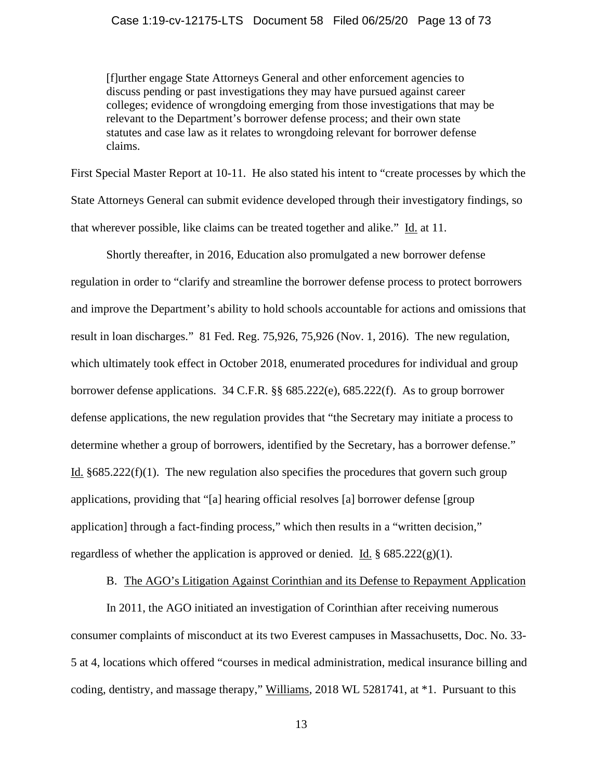# Case 1:19-cv-12175-LTS Document 58 Filed 06/25/20 Page 13 of 73

[f]urther engage State Attorneys General and other enforcement agencies to discuss pending or past investigations they may have pursued against career colleges; evidence of wrongdoing emerging from those investigations that may be relevant to the Department's borrower defense process; and their own state statutes and case law as it relates to wrongdoing relevant for borrower defense claims.

First Special Master Report at 10-11. He also stated his intent to "create processes by which the State Attorneys General can submit evidence developed through their investigatory findings, so that wherever possible, like claims can be treated together and alike." Id. at 11.

Shortly thereafter, in 2016, Education also promulgated a new borrower defense regulation in order to "clarify and streamline the borrower defense process to protect borrowers and improve the Department's ability to hold schools accountable for actions and omissions that result in loan discharges." 81 Fed. Reg. 75,926, 75,926 (Nov. 1, 2016). The new regulation, which ultimately took effect in October 2018, enumerated procedures for individual and group borrower defense applications. 34 C.F.R. §§ 685.222(e), 685.222(f). As to group borrower defense applications, the new regulation provides that "the Secretary may initiate a process to determine whether a group of borrowers, identified by the Secretary, has a borrower defense." Id.  $§685.222(f)(1)$ . The new regulation also specifies the procedures that govern such group applications, providing that "[a] hearing official resolves [a] borrower defense [group application] through a fact-finding process," which then results in a "written decision," regardless of whether the application is approved or denied. Id.  $\S 685.222(g)(1)$ .

# B. The AGO's Litigation Against Corinthian and its Defense to Repayment Application

In 2011, the AGO initiated an investigation of Corinthian after receiving numerous consumer complaints of misconduct at its two Everest campuses in Massachusetts, Doc. No. 33- 5 at 4, locations which offered "courses in medical administration, medical insurance billing and coding, dentistry, and massage therapy," Williams, 2018 WL 5281741, at \*1. Pursuant to this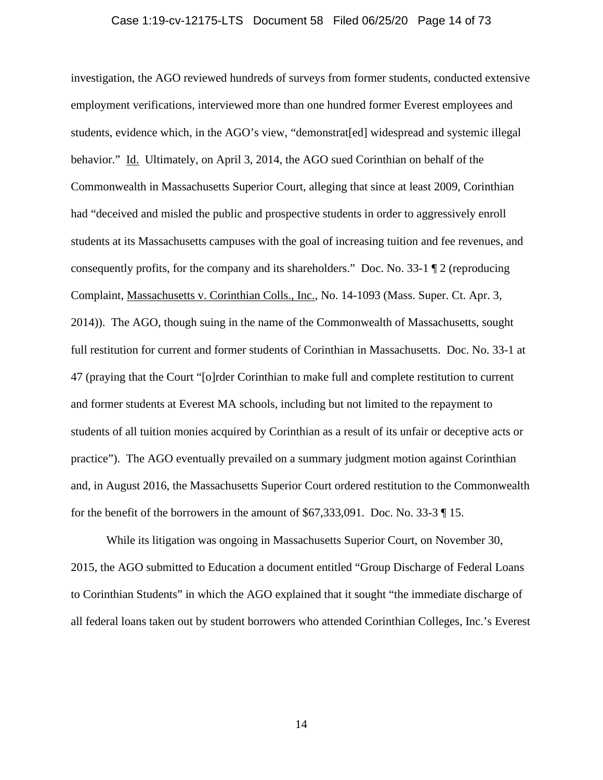#### Case 1:19-cv-12175-LTS Document 58 Filed 06/25/20 Page 14 of 73

investigation, the AGO reviewed hundreds of surveys from former students, conducted extensive employment verifications, interviewed more than one hundred former Everest employees and students, evidence which, in the AGO's view, "demonstrat[ed] widespread and systemic illegal behavior." Id. Ultimately, on April 3, 2014, the AGO sued Corinthian on behalf of the Commonwealth in Massachusetts Superior Court, alleging that since at least 2009, Corinthian had "deceived and misled the public and prospective students in order to aggressively enroll students at its Massachusetts campuses with the goal of increasing tuition and fee revenues, and consequently profits, for the company and its shareholders." Doc. No. 33-1 ¶ 2 (reproducing Complaint, Massachusetts v. Corinthian Colls., Inc., No. 14-1093 (Mass. Super. Ct. Apr. 3, 2014)). The AGO, though suing in the name of the Commonwealth of Massachusetts, sought full restitution for current and former students of Corinthian in Massachusetts. Doc. No. 33-1 at 47 (praying that the Court "[o]rder Corinthian to make full and complete restitution to current and former students at Everest MA schools, including but not limited to the repayment to students of all tuition monies acquired by Corinthian as a result of its unfair or deceptive acts or practice"). The AGO eventually prevailed on a summary judgment motion against Corinthian and, in August 2016, the Massachusetts Superior Court ordered restitution to the Commonwealth for the benefit of the borrowers in the amount of \$67,333,091. Doc. No. 33-3 ¶ 15.

While its litigation was ongoing in Massachusetts Superior Court, on November 30, 2015, the AGO submitted to Education a document entitled "Group Discharge of Federal Loans to Corinthian Students" in which the AGO explained that it sought "the immediate discharge of all federal loans taken out by student borrowers who attended Corinthian Colleges, Inc.'s Everest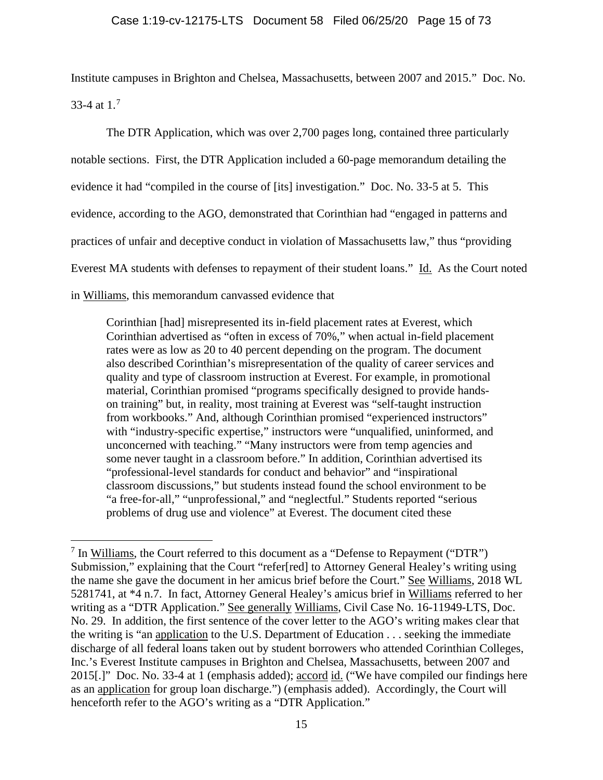Institute campuses in Brighton and Chelsea, Massachusetts, between 2007 and 2015." Doc. No. 33-4 at  $1.^7$  $1.^7$ 

The DTR Application, which was over 2,700 pages long, contained three particularly notable sections. First, the DTR Application included a 60-page memorandum detailing the evidence it had "compiled in the course of [its] investigation." Doc. No. 33-5 at 5. This evidence, according to the AGO, demonstrated that Corinthian had "engaged in patterns and practices of unfair and deceptive conduct in violation of Massachusetts law," thus "providing Everest MA students with defenses to repayment of their student loans." Id. As the Court noted in Williams, this memorandum canvassed evidence that

Corinthian [had] misrepresented its in-field placement rates at Everest, which Corinthian advertised as "often in excess of 70%," when actual in-field placement rates were as low as 20 to 40 percent depending on the program. The document also described Corinthian's misrepresentation of the quality of career services and quality and type of classroom instruction at Everest. For example, in promotional material, Corinthian promised "programs specifically designed to provide handson training" but, in reality, most training at Everest was "self-taught instruction from workbooks." And, although Corinthian promised "experienced instructors" with "industry-specific expertise," instructors were "unqualified, uninformed, and unconcerned with teaching." "Many instructors were from temp agencies and some never taught in a classroom before." In addition, Corinthian advertised its "professional-level standards for conduct and behavior" and "inspirational classroom discussions," but students instead found the school environment to be "a free-for-all," "unprofessional," and "neglectful." Students reported "serious problems of drug use and violence" at Everest. The document cited these

<span id="page-14-0"></span> $<sup>7</sup>$  In Williams, the Court referred to this document as a "Defense to Repayment ("DTR")</sup> Submission," explaining that the Court "refer[red] to Attorney General Healey's writing using the name she gave the document in her amicus brief before the Court." See Williams, 2018 WL 5281741, at \*4 n.7. In fact, Attorney General Healey's amicus brief in Williams referred to her writing as a "DTR Application." See generally Williams, Civil Case No. 16-11949-LTS, Doc. No. 29. In addition, the first sentence of the cover letter to the AGO's writing makes clear that the writing is "an application to the U.S. Department of Education . . . seeking the immediate discharge of all federal loans taken out by student borrowers who attended Corinthian Colleges, Inc.'s Everest Institute campuses in Brighton and Chelsea, Massachusetts, between 2007 and 2015[.]" Doc. No. 33-4 at 1 (emphasis added); accord id. ("We have compiled our findings here as an application for group loan discharge.") (emphasis added). Accordingly, the Court will henceforth refer to the AGO's writing as a "DTR Application."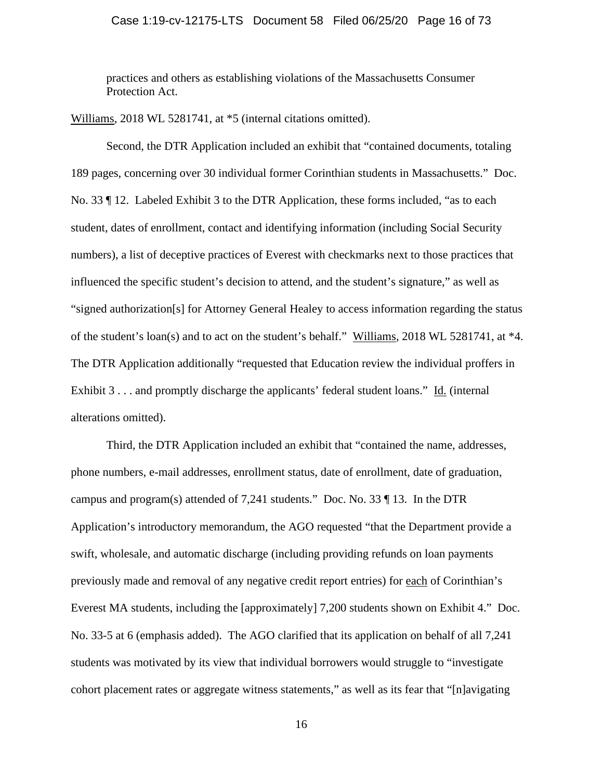# Case 1:19-cv-12175-LTS Document 58 Filed 06/25/20 Page 16 of 73

practices and others as establishing violations of the Massachusetts Consumer Protection Act.

Williams, 2018 WL 5281741, at \*5 (internal citations omitted).

Second, the DTR Application included an exhibit that "contained documents, totaling 189 pages, concerning over 30 individual former Corinthian students in Massachusetts." Doc. No. 33 ¶ 12. Labeled Exhibit 3 to the DTR Application, these forms included, "as to each student, dates of enrollment, contact and identifying information (including Social Security numbers), a list of deceptive practices of Everest with checkmarks next to those practices that influenced the specific student's decision to attend, and the student's signature," as well as "signed authorization[s] for Attorney General Healey to access information regarding the status of the student's loan(s) and to act on the student's behalf." Williams, 2018 WL 5281741, at \*4. The DTR Application additionally "requested that Education review the individual proffers in Exhibit 3 . . . and promptly discharge the applicants' federal student loans." Id. (internal alterations omitted).

Third, the DTR Application included an exhibit that "contained the name, addresses, phone numbers, e-mail addresses, enrollment status, date of enrollment, date of graduation, campus and program(s) attended of 7,241 students." Doc. No. 33 ¶ 13. In the DTR Application's introductory memorandum, the AGO requested "that the Department provide a swift, wholesale, and automatic discharge (including providing refunds on loan payments previously made and removal of any negative credit report entries) for each of Corinthian's Everest MA students, including the [approximately] 7,200 students shown on Exhibit 4." Doc. No. 33-5 at 6 (emphasis added). The AGO clarified that its application on behalf of all 7,241 students was motivated by its view that individual borrowers would struggle to "investigate cohort placement rates or aggregate witness statements," as well as its fear that "[n]avigating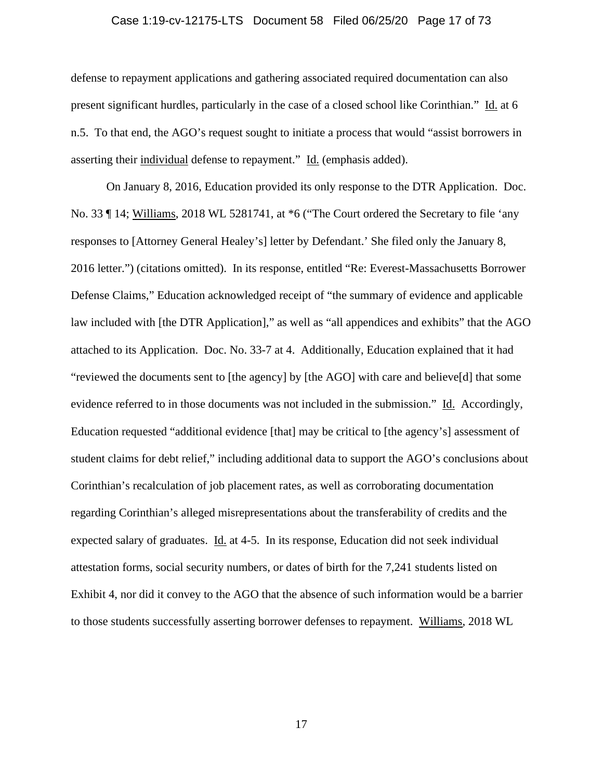# Case 1:19-cv-12175-LTS Document 58 Filed 06/25/20 Page 17 of 73

defense to repayment applications and gathering associated required documentation can also present significant hurdles, particularly in the case of a closed school like Corinthian." Id. at 6 n.5. To that end, the AGO's request sought to initiate a process that would "assist borrowers in asserting their individual defense to repayment." Id. (emphasis added).

On January 8, 2016, Education provided its only response to the DTR Application. Doc. No. 33  $\parallel$  14; Williams, 2018 WL 5281741, at  $*6$  ("The Court ordered the Secretary to file 'any responses to [Attorney General Healey's] letter by Defendant.' She filed only the January 8, 2016 letter.") (citations omitted). In its response, entitled "Re: Everest-Massachusetts Borrower Defense Claims," Education acknowledged receipt of "the summary of evidence and applicable law included with [the DTR Application]," as well as "all appendices and exhibits" that the AGO attached to its Application. Doc. No. 33-7 at 4. Additionally, Education explained that it had "reviewed the documents sent to [the agency] by [the AGO] with care and believe[d] that some evidence referred to in those documents was not included in the submission." Id. Accordingly, Education requested "additional evidence [that] may be critical to [the agency's] assessment of student claims for debt relief," including additional data to support the AGO's conclusions about Corinthian's recalculation of job placement rates, as well as corroborating documentation regarding Corinthian's alleged misrepresentations about the transferability of credits and the expected salary of graduates. Id. at 4-5. In its response, Education did not seek individual attestation forms, social security numbers, or dates of birth for the 7,241 students listed on Exhibit 4, nor did it convey to the AGO that the absence of such information would be a barrier to those students successfully asserting borrower defenses to repayment. Williams, 2018 WL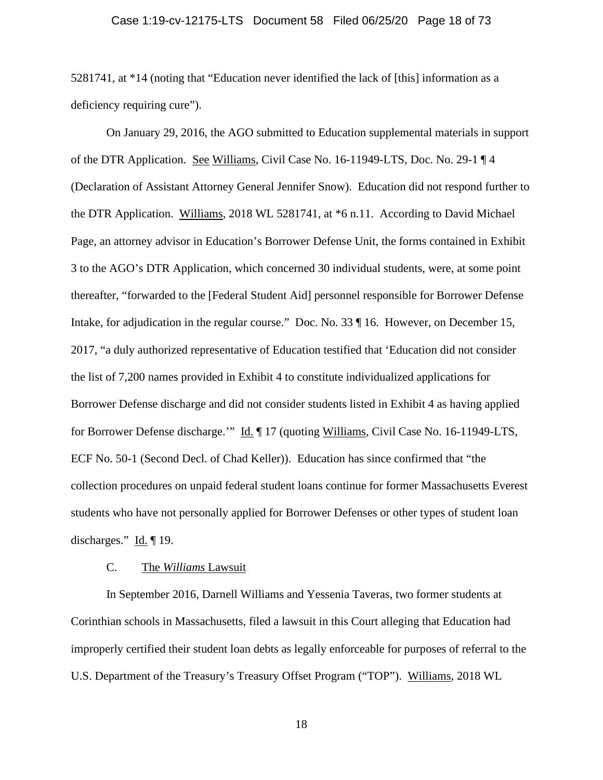#### Case 1:19-cv-12175-LTS Document 58 Filed 06/25/20 Page 18 of 73

5281741, at \*14 (noting that "Education never identified the lack of [this] information as a deficiency requiring cure").

On January 29, 2016, the AGO submitted to Education supplemental materials in support of the DTR Application. See Williams, Civil Case No. 16-11949-LTS, Doc. No. 29-1 ¶ 4 (Declaration of Assistant Attorney General Jennifer Snow). Education did not respond further to the DTR Application. Williams, 2018 WL 5281741, at \*6 n.11. According to David Michael Page, an attorney advisor in Education's Borrower Defense Unit, the forms contained in Exhibit 3 to the AGO's DTR Application, which concerned 30 individual students, were, at some point thereafter, "forwarded to the [Federal Student Aid] personnel responsible for Borrower Defense Intake, for adjudication in the regular course." Doc. No. 33  $\parallel$  16. However, on December 15, 2017, "a duly authorized representative of Education testified that 'Education did not consider the list of 7,200 names provided in Exhibit 4 to constitute individualized applications for Borrower Defense discharge and did not consider students listed in Exhibit 4 as having applied for Borrower Defense discharge.'" Id. ¶ 17 (quoting Williams, Civil Case No. 16-11949-LTS, ECF No. 50-1 (Second Decl. of Chad Keller)). Education has since confirmed that "the collection procedures on unpaid federal student loans continue for former Massachusetts Everest students who have not personally applied for Borrower Defenses or other types of student loan discharges."  $\underline{Id}$ . [19.]

# C. The *Williams* Lawsuit

In September 2016, Darnell Williams and Yessenia Taveras, two former students at Corinthian schools in Massachusetts, filed a lawsuit in this Court alleging that Education had improperly certified their student loan debts as legally enforceable for purposes of referral to the U.S. Department of the Treasury's Treasury Offset Program ("TOP"). Williams, 2018 WL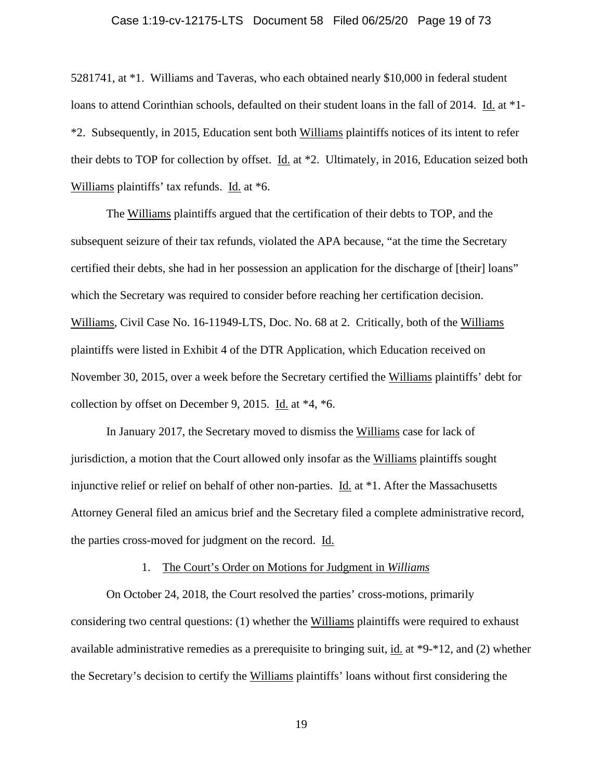# Case 1:19-cv-12175-LTS Document 58 Filed 06/25/20 Page 19 of 73

5281741, at \*1. Williams and Taveras, who each obtained nearly \$10,000 in federal student loans to attend Corinthian schools, defaulted on their student loans in the fall of 2014. Id. at \*1- \*2. Subsequently, in 2015, Education sent both Williams plaintiffs notices of its intent to refer their debts to TOP for collection by offset. Id. at \*2. Ultimately, in 2016, Education seized both Williams plaintiffs' tax refunds. Id. at \*6.

The Williams plaintiffs argued that the certification of their debts to TOP, and the subsequent seizure of their tax refunds, violated the APA because, "at the time the Secretary certified their debts, she had in her possession an application for the discharge of [their] loans" which the Secretary was required to consider before reaching her certification decision. Williams, Civil Case No. 16-11949-LTS, Doc. No. 68 at 2. Critically, both of the Williams plaintiffs were listed in Exhibit 4 of the DTR Application, which Education received on November 30, 2015, over a week before the Secretary certified the Williams plaintiffs' debt for collection by offset on December 9, 2015. Id. at \*4, \*6.

In January 2017, the Secretary moved to dismiss the Williams case for lack of jurisdiction, a motion that the Court allowed only insofar as the Williams plaintiffs sought injunctive relief or relief on behalf of other non-parties. Id. at \*1. After the Massachusetts Attorney General filed an amicus brief and the Secretary filed a complete administrative record, the parties cross-moved for judgment on the record. Id.

#### 1. The Court's Order on Motions for Judgment in *Williams*

On October 24, 2018, the Court resolved the parties' cross-motions, primarily considering two central questions: (1) whether the Williams plaintiffs were required to exhaust available administrative remedies as a prerequisite to bringing suit, id. at \*9-\*12, and (2) whether the Secretary's decision to certify the Williams plaintiffs' loans without first considering the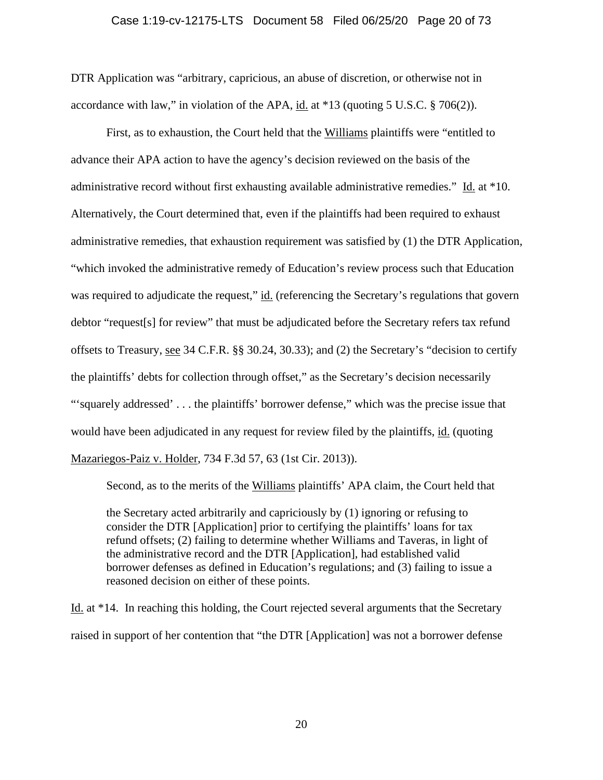# Case 1:19-cv-12175-LTS Document 58 Filed 06/25/20 Page 20 of 73

DTR Application was "arbitrary, capricious, an abuse of discretion, or otherwise not in accordance with law," in violation of the APA, id. at \*13 (quoting 5 U.S.C. § 706(2)).

First, as to exhaustion, the Court held that the Williams plaintiffs were "entitled to advance their APA action to have the agency's decision reviewed on the basis of the administrative record without first exhausting available administrative remedies." Id. at \*10. Alternatively, the Court determined that, even if the plaintiffs had been required to exhaust administrative remedies, that exhaustion requirement was satisfied by (1) the DTR Application, "which invoked the administrative remedy of Education's review process such that Education was required to adjudicate the request," id. (referencing the Secretary's regulations that govern debtor "request[s] for review" that must be adjudicated before the Secretary refers tax refund offsets to Treasury, see 34 C.F.R. §§ 30.24, 30.33); and (2) the Secretary's "decision to certify the plaintiffs' debts for collection through offset," as the Secretary's decision necessarily "'squarely addressed' . . . the plaintiffs' borrower defense," which was the precise issue that would have been adjudicated in any request for review filed by the plaintiffs, id. (quoting Mazariegos-Paiz v. Holder, 734 F.3d 57, 63 (1st Cir. 2013)).

Second, as to the merits of the Williams plaintiffs' APA claim, the Court held that

the Secretary acted arbitrarily and capriciously by (1) ignoring or refusing to consider the DTR [Application] prior to certifying the plaintiffs' loans for tax refund offsets; (2) failing to determine whether Williams and Taveras, in light of the administrative record and the DTR [Application], had established valid borrower defenses as defined in Education's regulations; and (3) failing to issue a reasoned decision on either of these points.

Id. at \*14. In reaching this holding, the Court rejected several arguments that the Secretary raised in support of her contention that "the DTR [Application] was not a borrower defense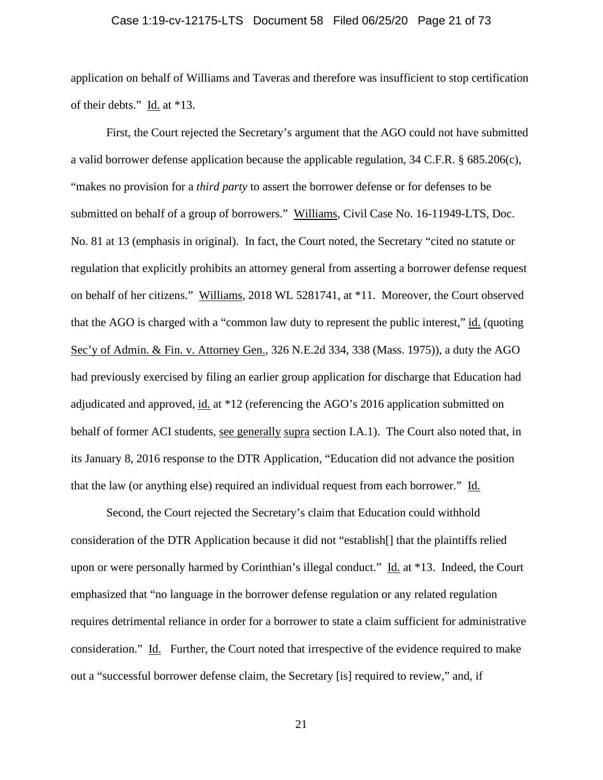# Case 1:19-cv-12175-LTS Document 58 Filed 06/25/20 Page 21 of 73

application on behalf of Williams and Taveras and therefore was insufficient to stop certification of their debts." Id. at \*13.

First, the Court rejected the Secretary's argument that the AGO could not have submitted a valid borrower defense application because the applicable regulation, 34 C.F.R. § 685.206(c), "makes no provision for a *third party* to assert the borrower defense or for defenses to be submitted on behalf of a group of borrowers." Williams, Civil Case No. 16-11949-LTS, Doc. No. 81 at 13 (emphasis in original). In fact, the Court noted, the Secretary "cited no statute or regulation that explicitly prohibits an attorney general from asserting a borrower defense request on behalf of her citizens." Williams, 2018 WL 5281741, at \*11. Moreover, the Court observed that the AGO is charged with a "common law duty to represent the public interest," id. (quoting Sec'y of Admin. & Fin. v. Attorney Gen., 326 N.E.2d 334, 338 (Mass. 1975)), a duty the AGO had previously exercised by filing an earlier group application for discharge that Education had adjudicated and approved, id. at \*12 (referencing the AGO's 2016 application submitted on behalf of former ACI students, see generally supra section I.A.1). The Court also noted that, in its January 8, 2016 response to the DTR Application, "Education did not advance the position that the law (or anything else) required an individual request from each borrower." Id.

Second, the Court rejected the Secretary's claim that Education could withhold consideration of the DTR Application because it did not "establish[] that the plaintiffs relied upon or were personally harmed by Corinthian's illegal conduct." Id. at \*13. Indeed, the Court emphasized that "no language in the borrower defense regulation or any related regulation requires detrimental reliance in order for a borrower to state a claim sufficient for administrative consideration." Id. Further, the Court noted that irrespective of the evidence required to make out a "successful borrower defense claim, the Secretary [is] required to review," and, if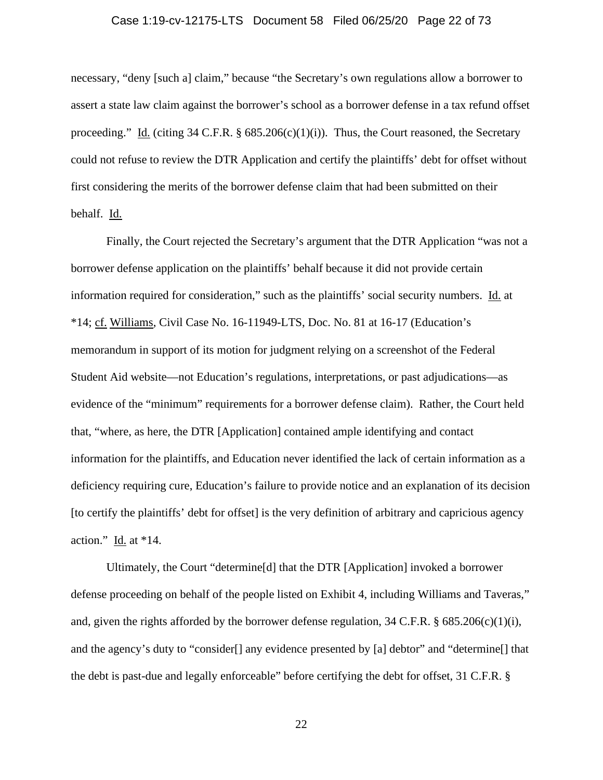# Case 1:19-cv-12175-LTS Document 58 Filed 06/25/20 Page 22 of 73

necessary, "deny [such a] claim," because "the Secretary's own regulations allow a borrower to assert a state law claim against the borrower's school as a borrower defense in a tax refund offset proceeding." Id. (citing 34 C.F.R.  $\S$  685.206(c)(1)(i)). Thus, the Court reasoned, the Secretary could not refuse to review the DTR Application and certify the plaintiffs' debt for offset without first considering the merits of the borrower defense claim that had been submitted on their behalf. Id.

Finally, the Court rejected the Secretary's argument that the DTR Application "was not a borrower defense application on the plaintiffs' behalf because it did not provide certain information required for consideration," such as the plaintiffs' social security numbers. Id. at \*14; cf. Williams, Civil Case No. 16-11949-LTS, Doc. No. 81 at 16-17 (Education's memorandum in support of its motion for judgment relying on a screenshot of the Federal Student Aid website—not Education's regulations, interpretations, or past adjudications—as evidence of the "minimum" requirements for a borrower defense claim). Rather, the Court held that, "where, as here, the DTR [Application] contained ample identifying and contact information for the plaintiffs, and Education never identified the lack of certain information as a deficiency requiring cure, Education's failure to provide notice and an explanation of its decision [to certify the plaintiffs' debt for offset] is the very definition of arbitrary and capricious agency action."  $\underline{Id}$  at \*14.

Ultimately, the Court "determine[d] that the DTR [Application] invoked a borrower defense proceeding on behalf of the people listed on Exhibit 4, including Williams and Taveras," and, given the rights afforded by the borrower defense regulation,  $34 \text{ C.F.R.}$  §  $685.206 \text{ (c)}(1)$ (i), and the agency's duty to "consider[] any evidence presented by [a] debtor" and "determine[] that the debt is past-due and legally enforceable" before certifying the debt for offset, 31 C.F.R. §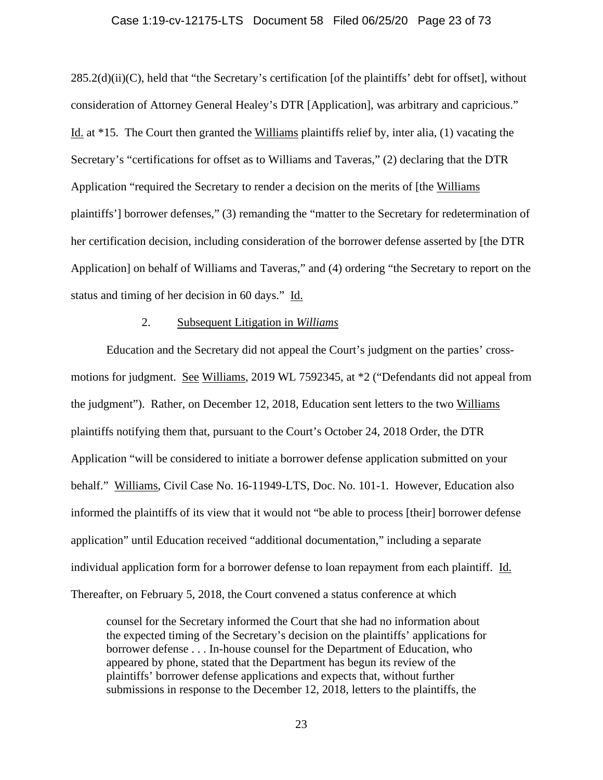#### Case 1:19-cv-12175-LTS Document 58 Filed 06/25/20 Page 23 of 73

 $285.2(d)(ii)(C)$ , held that "the Secretary's certification [of the plaintiffs' debt for offset], without consideration of Attorney General Healey's DTR [Application], was arbitrary and capricious." Id. at \*15. The Court then granted the Williams plaintiffs relief by, inter alia, (1) vacating the Secretary's "certifications for offset as to Williams and Taveras," (2) declaring that the DTR Application "required the Secretary to render a decision on the merits of [the Williams plaintiffs'] borrower defenses," (3) remanding the "matter to the Secretary for redetermination of her certification decision, including consideration of the borrower defense asserted by [the DTR Application] on behalf of Williams and Taveras," and (4) ordering "the Secretary to report on the status and timing of her decision in 60 days." Id.

# 2. Subsequent Litigation in *Williams*

Education and the Secretary did not appeal the Court's judgment on the parties' crossmotions for judgment. See Williams, 2019 WL 7592345, at  $*2$  ("Defendants did not appeal from the judgment"). Rather, on December 12, 2018, Education sent letters to the two Williams plaintiffs notifying them that, pursuant to the Court's October 24, 2018 Order, the DTR Application "will be considered to initiate a borrower defense application submitted on your behalf." Williams, Civil Case No. 16-11949-LTS, Doc. No. 101-1. However, Education also informed the plaintiffs of its view that it would not "be able to process [their] borrower defense application" until Education received "additional documentation," including a separate individual application form for a borrower defense to loan repayment from each plaintiff. Id. Thereafter, on February 5, 2018, the Court convened a status conference at which

counsel for the Secretary informed the Court that she had no information about the expected timing of the Secretary's decision on the plaintiffs' applications for borrower defense . . . In-house counsel for the Department of Education, who appeared by phone, stated that the Department has begun its review of the plaintiffs' borrower defense applications and expects that, without further submissions in response to the December 12, 2018, letters to the plaintiffs, the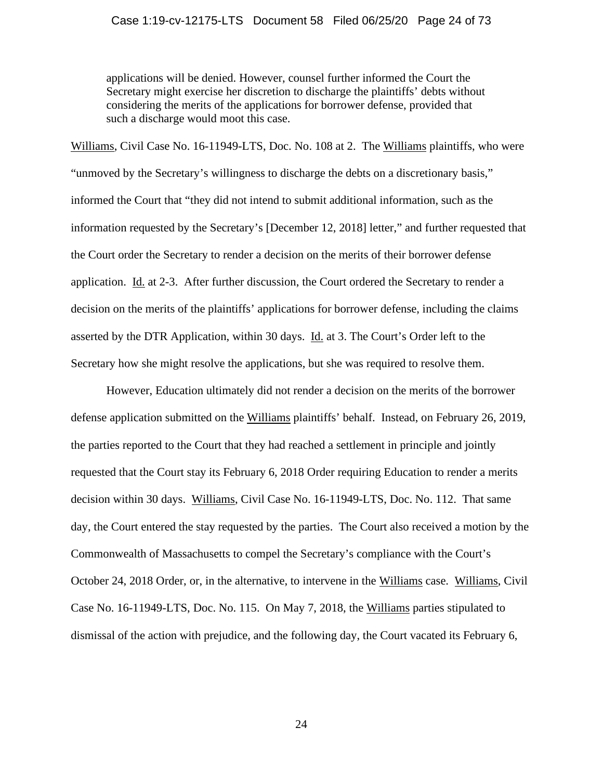# Case 1:19-cv-12175-LTS Document 58 Filed 06/25/20 Page 24 of 73

applications will be denied. However, counsel further informed the Court the Secretary might exercise her discretion to discharge the plaintiffs' debts without considering the merits of the applications for borrower defense, provided that such a discharge would moot this case.

Williams, Civil Case No. 16-11949-LTS, Doc. No. 108 at 2. The Williams plaintiffs, who were "unmoved by the Secretary's willingness to discharge the debts on a discretionary basis," informed the Court that "they did not intend to submit additional information, such as the information requested by the Secretary's [December 12, 2018] letter," and further requested that the Court order the Secretary to render a decision on the merits of their borrower defense application. Id. at 2-3. After further discussion, the Court ordered the Secretary to render a decision on the merits of the plaintiffs' applications for borrower defense, including the claims asserted by the DTR Application, within 30 days. Id. at 3. The Court's Order left to the Secretary how she might resolve the applications, but she was required to resolve them.

However, Education ultimately did not render a decision on the merits of the borrower defense application submitted on the Williams plaintiffs' behalf. Instead, on February 26, 2019, the parties reported to the Court that they had reached a settlement in principle and jointly requested that the Court stay its February 6, 2018 Order requiring Education to render a merits decision within 30 days. Williams, Civil Case No. 16-11949-LTS, Doc. No. 112. That same day, the Court entered the stay requested by the parties. The Court also received a motion by the Commonwealth of Massachusetts to compel the Secretary's compliance with the Court's October 24, 2018 Order, or, in the alternative, to intervene in the Williams case. Williams, Civil Case No. 16-11949-LTS, Doc. No. 115. On May 7, 2018, the Williams parties stipulated to dismissal of the action with prejudice, and the following day, the Court vacated its February 6,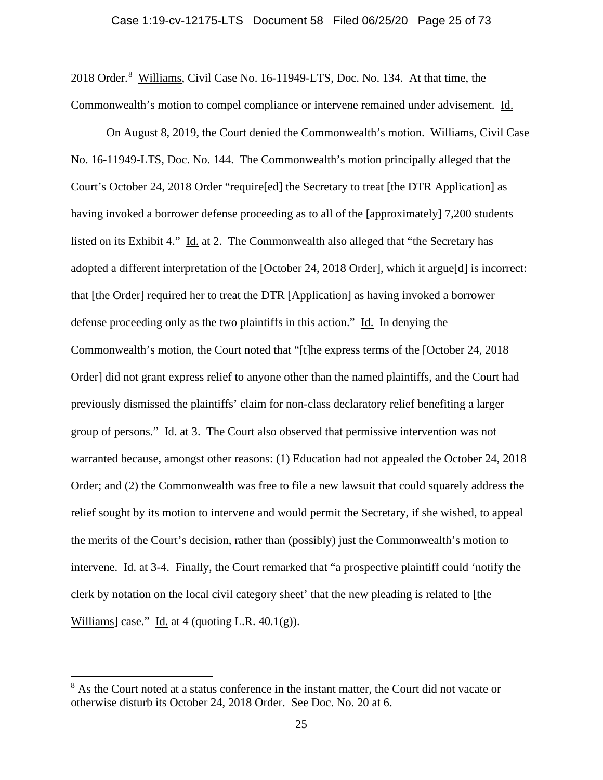201[8](#page-24-0) Order.<sup>8</sup> Williams, Civil Case No. 16-11949-LTS, Doc. No. 134. At that time, the Commonwealth's motion to compel compliance or intervene remained under advisement. Id.

On August 8, 2019, the Court denied the Commonwealth's motion. Williams, Civil Case No. 16-11949-LTS, Doc. No. 144. The Commonwealth's motion principally alleged that the Court's October 24, 2018 Order "require[ed] the Secretary to treat [the DTR Application] as having invoked a borrower defense proceeding as to all of the [approximately] 7,200 students listed on its Exhibit 4." Id. at 2. The Commonwealth also alleged that "the Secretary has adopted a different interpretation of the [October 24, 2018 Order], which it argue[d] is incorrect: that [the Order] required her to treat the DTR [Application] as having invoked a borrower defense proceeding only as the two plaintiffs in this action." Id. In denying the Commonwealth's motion, the Court noted that "[t]he express terms of the [October 24, 2018 Order] did not grant express relief to anyone other than the named plaintiffs, and the Court had previously dismissed the plaintiffs' claim for non-class declaratory relief benefiting a larger group of persons." Id. at 3. The Court also observed that permissive intervention was not warranted because, amongst other reasons: (1) Education had not appealed the October 24, 2018 Order; and (2) the Commonwealth was free to file a new lawsuit that could squarely address the relief sought by its motion to intervene and would permit the Secretary, if she wished, to appeal the merits of the Court's decision, rather than (possibly) just the Commonwealth's motion to intervene. Id. at 3-4. Finally, the Court remarked that "a prospective plaintiff could 'notify the clerk by notation on the local civil category sheet' that the new pleading is related to [the Williams] case." Id. at 4 (quoting L.R.  $40.1(g)$ ).

<span id="page-24-0"></span><sup>&</sup>lt;sup>8</sup> As the Court noted at a status conference in the instant matter, the Court did not vacate or otherwise disturb its October 24, 2018 Order. See Doc. No. 20 at 6.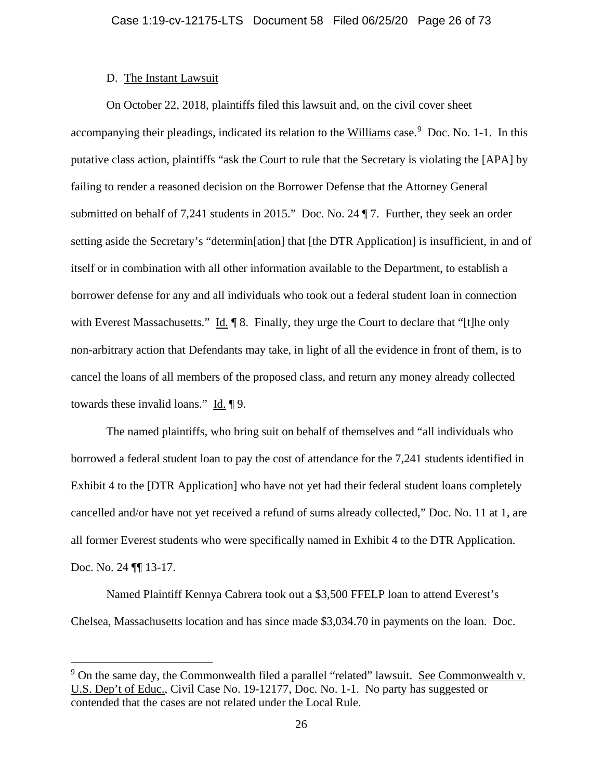# D. The Instant Lawsuit

On October 22, 2018, plaintiffs filed this lawsuit and, on the civil cover sheet accompanying their pleadings, indicated its relation to the Williams case.<sup>[9](#page-25-0)</sup> Doc. No. 1-1. In this putative class action, plaintiffs "ask the Court to rule that the Secretary is violating the [APA] by failing to render a reasoned decision on the Borrower Defense that the Attorney General submitted on behalf of 7,241 students in 2015." Doc. No. 24 ¶ 7. Further, they seek an order setting aside the Secretary's "determin[ation] that [the DTR Application] is insufficient, in and of itself or in combination with all other information available to the Department, to establish a borrower defense for any and all individuals who took out a federal student loan in connection with Everest Massachusetts." Id.  $\P$  8. Finally, they urge the Court to declare that "[t]he only non-arbitrary action that Defendants may take, in light of all the evidence in front of them, is to cancel the loans of all members of the proposed class, and return any money already collected towards these invalid loans." Id. ¶ 9.

The named plaintiffs, who bring suit on behalf of themselves and "all individuals who borrowed a federal student loan to pay the cost of attendance for the 7,241 students identified in Exhibit 4 to the [DTR Application] who have not yet had their federal student loans completely cancelled and/or have not yet received a refund of sums already collected," Doc. No. 11 at 1, are all former Everest students who were specifically named in Exhibit 4 to the DTR Application. Doc. No. 24  $\P$  13-17.

Named Plaintiff Kennya Cabrera took out a \$3,500 FFELP loan to attend Everest's Chelsea, Massachusetts location and has since made \$3,034.70 in payments on the loan. Doc.

<span id="page-25-0"></span><sup>&</sup>lt;sup>9</sup> On the same day, the Commonwealth filed a parallel "related" lawsuit. See Commonwealth v. U.S. Dep't of Educ., Civil Case No. 19-12177, Doc. No. 1-1. No party has suggested or contended that the cases are not related under the Local Rule.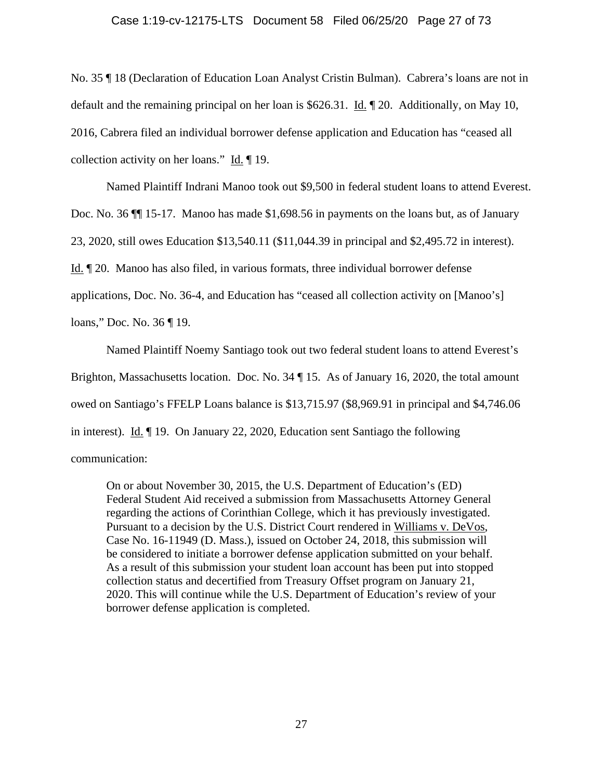# Case 1:19-cv-12175-LTS Document 58 Filed 06/25/20 Page 27 of 73

No. 35 ¶ 18 (Declaration of Education Loan Analyst Cristin Bulman). Cabrera's loans are not in default and the remaining principal on her loan is \$626.31. Id. 1 20. Additionally, on May 10, 2016, Cabrera filed an individual borrower defense application and Education has "ceased all collection activity on her loans." Id. ¶ 19.

Named Plaintiff Indrani Manoo took out \$9,500 in federal student loans to attend Everest. Doc. No. 36 ¶¶ 15-17. Manoo has made \$1,698.56 in payments on the loans but, as of January 23, 2020, still owes Education \$13,540.11 (\$11,044.39 in principal and \$2,495.72 in interest). Id. ¶ 20. Manoo has also filed, in various formats, three individual borrower defense applications, Doc. No. 36-4, and Education has "ceased all collection activity on [Manoo's] loans," Doc. No. 36 ¶ 19.

Named Plaintiff Noemy Santiago took out two federal student loans to attend Everest's Brighton, Massachusetts location. Doc. No. 34 | 15. As of January 16, 2020, the total amount owed on Santiago's FFELP Loans balance is \$13,715.97 (\$8,969.91 in principal and \$4,746.06 in interest). Id. ¶ 19. On January 22, 2020, Education sent Santiago the following communication:

On or about November 30, 2015, the U.S. Department of Education's (ED) Federal Student Aid received a submission from Massachusetts Attorney General regarding the actions of Corinthian College, which it has previously investigated. Pursuant to a decision by the U.S. District Court rendered in Williams v. DeVos, Case No. 16-11949 (D. Mass.), issued on October 24, 2018, this submission will be considered to initiate a borrower defense application submitted on your behalf. As a result of this submission your student loan account has been put into stopped collection status and decertified from Treasury Offset program on January 21, 2020. This will continue while the U.S. Department of Education's review of your borrower defense application is completed.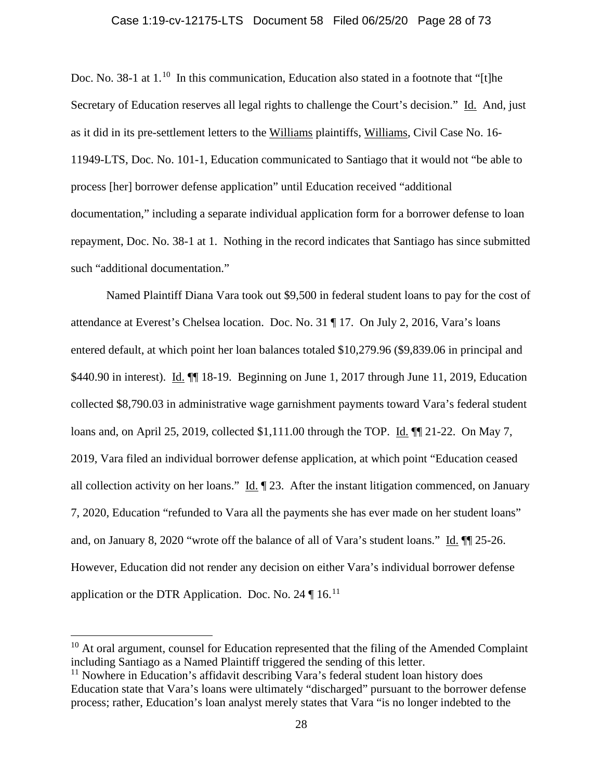# Case 1:19-cv-12175-LTS Document 58 Filed 06/25/20 Page 28 of 73

Doc. No. 38-1 at 1.<sup>[10](#page-27-0)</sup> In this communication, Education also stated in a footnote that "[t]he Secretary of Education reserves all legal rights to challenge the Court's decision." Id. And, just as it did in its pre-settlement letters to the Williams plaintiffs, Williams, Civil Case No. 16- 11949-LTS, Doc. No. 101-1, Education communicated to Santiago that it would not "be able to process [her] borrower defense application" until Education received "additional documentation," including a separate individual application form for a borrower defense to loan repayment, Doc. No. 38-1 at 1. Nothing in the record indicates that Santiago has since submitted such "additional documentation."

Named Plaintiff Diana Vara took out \$9,500 in federal student loans to pay for the cost of attendance at Everest's Chelsea location. Doc. No. 31 ¶ 17. On July 2, 2016, Vara's loans entered default, at which point her loan balances totaled \$10,279.96 (\$9,839.06 in principal and \$440.90 in interest). Id.  $\P$  18-19. Beginning on June 1, 2017 through June 11, 2019, Education collected \$8,790.03 in administrative wage garnishment payments toward Vara's federal student loans and, on April 25, 2019, collected \$1,111.00 through the TOP. Id. ¶¶ 21-22. On May 7, 2019, Vara filed an individual borrower defense application, at which point "Education ceased all collection activity on her loans." Id. ¶ 23. After the instant litigation commenced, on January 7, 2020, Education "refunded to Vara all the payments she has ever made on her student loans" and, on January 8, 2020 "wrote off the balance of all of Vara's student loans." Id. ¶¶ 25-26. However, Education did not render any decision on either Vara's individual borrower defense application or the DTR Application. Doc. No. 24  $\P$  16.<sup>[11](#page-27-1)</sup>

<span id="page-27-0"></span> $10$  At oral argument, counsel for Education represented that the filing of the Amended Complaint including Santiago as a Named Plaintiff triggered the sending of this letter.

<span id="page-27-1"></span><sup>&</sup>lt;sup>11</sup> Nowhere in Education's affidavit describing Vara's federal student loan history does Education state that Vara's loans were ultimately "discharged" pursuant to the borrower defense process; rather, Education's loan analyst merely states that Vara "is no longer indebted to the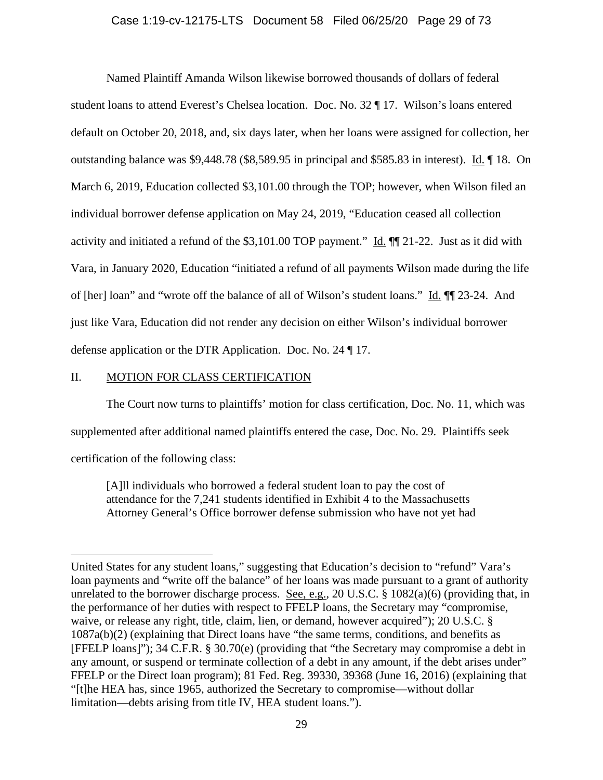# Case 1:19-cv-12175-LTS Document 58 Filed 06/25/20 Page 29 of 73

Named Plaintiff Amanda Wilson likewise borrowed thousands of dollars of federal student loans to attend Everest's Chelsea location. Doc. No. 32 ¶ 17. Wilson's loans entered default on October 20, 2018, and, six days later, when her loans were assigned for collection, her outstanding balance was \$9,448.78 (\$8,589.95 in principal and \$585.83 in interest). Id. ¶ 18. On March 6, 2019, Education collected \$3,101.00 through the TOP; however, when Wilson filed an individual borrower defense application on May 24, 2019, "Education ceased all collection activity and initiated a refund of the \$3,101.00 TOP payment." Id. ¶¶ 21-22. Just as it did with Vara, in January 2020, Education "initiated a refund of all payments Wilson made during the life of [her] loan" and "wrote off the balance of all of Wilson's student loans." Id. ¶¶ 23-24. And just like Vara, Education did not render any decision on either Wilson's individual borrower defense application or the DTR Application. Doc. No. 24 ¶ 17.

# II. MOTION FOR CLASS CERTIFICATION

The Court now turns to plaintiffs' motion for class certification, Doc. No. 11, which was supplemented after additional named plaintiffs entered the case, Doc. No. 29. Plaintiffs seek certification of the following class:

[A]ll individuals who borrowed a federal student loan to pay the cost of attendance for the 7,241 students identified in Exhibit 4 to the Massachusetts Attorney General's Office borrower defense submission who have not yet had

United States for any student loans," suggesting that Education's decision to "refund" Vara's loan payments and "write off the balance" of her loans was made pursuant to a grant of authority unrelated to the borrower discharge process. See, e.g., 20 U.S.C. § 1082(a)(6) (providing that, in the performance of her duties with respect to FFELP loans, the Secretary may "compromise, waive, or release any right, title, claim, lien, or demand, however acquired"); 20 U.S.C. § 1087a(b)(2) (explaining that Direct loans have "the same terms, conditions, and benefits as [FFELP loans]"); 34 C.F.R. § 30.70(e) (providing that "the Secretary may compromise a debt in any amount, or suspend or terminate collection of a debt in any amount, if the debt arises under" FFELP or the Direct loan program); 81 Fed. Reg. 39330, 39368 (June 16, 2016) (explaining that "[t]he HEA has, since 1965, authorized the Secretary to compromise—without dollar limitation—debts arising from title IV, HEA student loans.").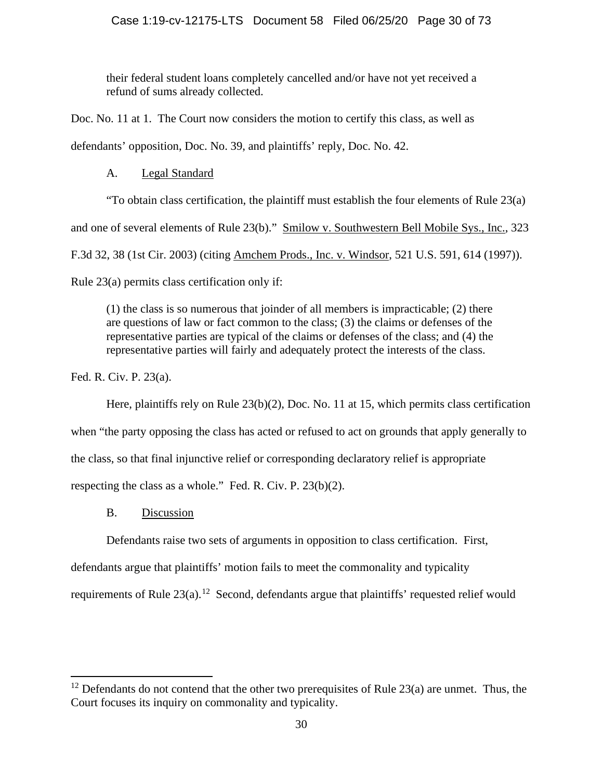their federal student loans completely cancelled and/or have not yet received a refund of sums already collected.

Doc. No. 11 at 1. The Court now considers the motion to certify this class, as well as defendants' opposition, Doc. No. 39, and plaintiffs' reply, Doc. No. 42.

# A. Legal Standard

"To obtain class certification, the plaintiff must establish the four elements of Rule 23(a)

and one of several elements of Rule 23(b)." Smilow v. Southwestern Bell Mobile Sys., Inc., 323

F.3d 32, 38 (1st Cir. 2003) (citing Amchem Prods., Inc. v. Windsor, 521 U.S. 591, 614 (1997)).

Rule 23(a) permits class certification only if:

(1) the class is so numerous that joinder of all members is impracticable; (2) there are questions of law or fact common to the class; (3) the claims or defenses of the representative parties are typical of the claims or defenses of the class; and (4) the representative parties will fairly and adequately protect the interests of the class.

Fed. R. Civ. P. 23(a).

Here, plaintiffs rely on Rule 23(b)(2), Doc. No. 11 at 15, which permits class certification

when "the party opposing the class has acted or refused to act on grounds that apply generally to

the class, so that final injunctive relief or corresponding declaratory relief is appropriate

respecting the class as a whole." Fed. R. Civ. P. 23(b)(2).

B. Discussion

Defendants raise two sets of arguments in opposition to class certification. First,

defendants argue that plaintiffs' motion fails to meet the commonality and typicality

requirements of Rule  $23(a)$ .<sup>[12](#page-29-0)</sup> Second, defendants argue that plaintiffs' requested relief would

<span id="page-29-0"></span> $12$  Defendants do not contend that the other two prerequisites of Rule 23(a) are unmet. Thus, the Court focuses its inquiry on commonality and typicality.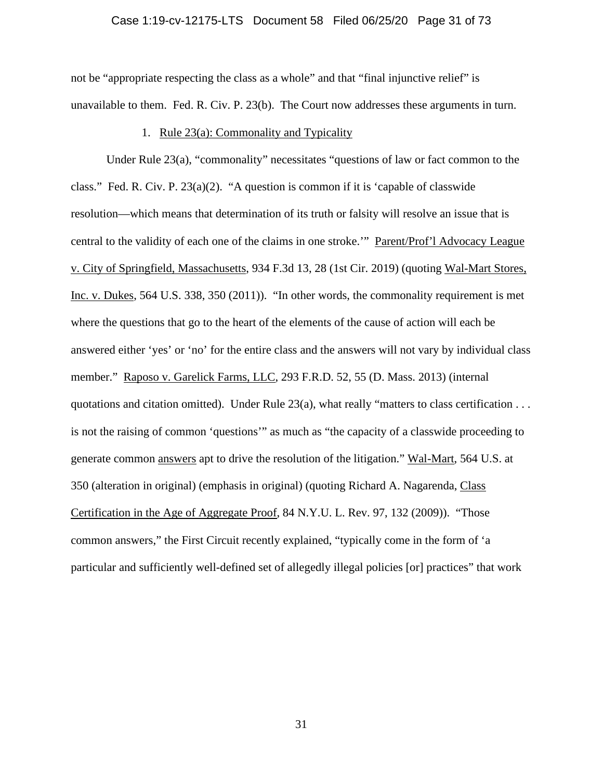# Case 1:19-cv-12175-LTS Document 58 Filed 06/25/20 Page 31 of 73

not be "appropriate respecting the class as a whole" and that "final injunctive relief" is unavailable to them. Fed. R. Civ. P. 23(b). The Court now addresses these arguments in turn.

### 1. Rule 23(a): Commonality and Typicality

Under Rule 23(a), "commonality" necessitates "questions of law or fact common to the class." Fed. R. Civ. P.  $23(a)(2)$ . "A question is common if it is 'capable of classwide resolution—which means that determination of its truth or falsity will resolve an issue that is central to the validity of each one of the claims in one stroke.'" Parent/Prof'l Advocacy League v. City of Springfield, Massachusetts, 934 F.3d 13, 28 (1st Cir. 2019) (quoting Wal-Mart Stores, Inc. v. Dukes, 564 U.S. 338, 350 (2011)). "In other words, the commonality requirement is met where the questions that go to the heart of the elements of the cause of action will each be answered either 'yes' or 'no' for the entire class and the answers will not vary by individual class member." Raposo v. Garelick Farms, LLC, 293 F.R.D. 52, 55 (D. Mass. 2013) (internal quotations and citation omitted). Under Rule 23(a), what really "matters to class certification . . . is not the raising of common 'questions'" as much as "the capacity of a classwide proceeding to generate common answers apt to drive the resolution of the litigation." Wal-Mart, 564 U.S. at 350 (alteration in original) (emphasis in original) (quoting Richard A. Nagarenda, Class Certification in the Age of Aggregate Proof, 84 N.Y.U. L. Rev. 97, 132 (2009)). "Those common answers," the First Circuit recently explained, "typically come in the form of 'a particular and sufficiently well-defined set of allegedly illegal policies [or] practices" that work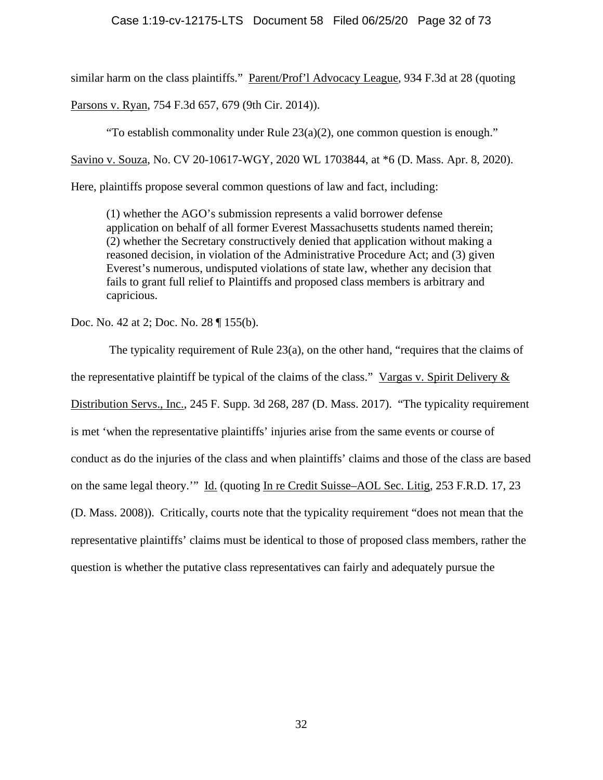similar harm on the class plaintiffs." Parent/Prof'l Advocacy League, 934 F.3d at 28 (quoting

Parsons v. Ryan, 754 F.3d 657, 679 (9th Cir. 2014)).

"To establish commonality under Rule  $23(a)(2)$ , one common question is enough."

Savino v. Souza, No. CV 20-10617-WGY, 2020 WL 1703844, at \*6 (D. Mass. Apr. 8, 2020).

Here, plaintiffs propose several common questions of law and fact, including:

(1) whether the AGO's submission represents a valid borrower defense application on behalf of all former Everest Massachusetts students named therein; (2) whether the Secretary constructively denied that application without making a reasoned decision, in violation of the Administrative Procedure Act; and (3) given Everest's numerous, undisputed violations of state law, whether any decision that fails to grant full relief to Plaintiffs and proposed class members is arbitrary and capricious.

Doc. No. 42 at 2; Doc. No. 28 ¶ 155(b).

The typicality requirement of Rule 23(a), on the other hand, "requires that the claims of the representative plaintiff be typical of the claims of the class." Vargas v. Spirit Delivery  $\&$ Distribution Servs., Inc., 245 F. Supp. 3d 268, 287 (D. Mass. 2017). "The typicality requirement is met 'when the representative plaintiffs' injuries arise from the same events or course of conduct as do the injuries of the class and when plaintiffs' claims and those of the class are based on the same legal theory.'" Id. (quoting In re Credit Suisse–AOL Sec. Litig, 253 F.R.D. 17, 23 (D. Mass. 2008)). Critically, courts note that the typicality requirement "does not mean that the representative plaintiffs' claims must be identical to those of proposed class members, rather the question is whether the putative class representatives can fairly and adequately pursue the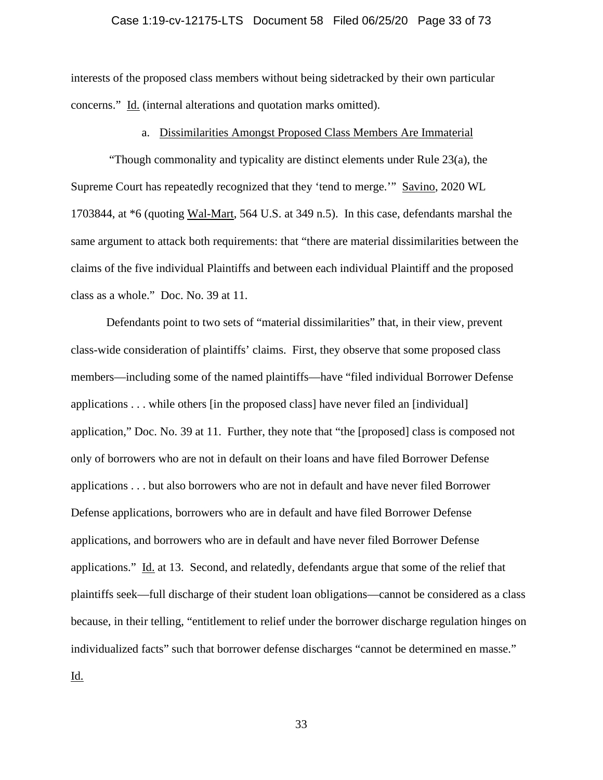# Case 1:19-cv-12175-LTS Document 58 Filed 06/25/20 Page 33 of 73

interests of the proposed class members without being sidetracked by their own particular concerns." Id. (internal alterations and quotation marks omitted).

# a. Dissimilarities Amongst Proposed Class Members Are Immaterial

"Though commonality and typicality are distinct elements under Rule 23(a), the Supreme Court has repeatedly recognized that they 'tend to merge.'" Savino, 2020 WL 1703844, at \*6 (quoting Wal-Mart, 564 U.S. at 349 n.5). In this case, defendants marshal the same argument to attack both requirements: that "there are material dissimilarities between the claims of the five individual Plaintiffs and between each individual Plaintiff and the proposed class as a whole." Doc. No. 39 at 11.

Defendants point to two sets of "material dissimilarities" that, in their view, prevent class-wide consideration of plaintiffs' claims. First, they observe that some proposed class members—including some of the named plaintiffs—have "filed individual Borrower Defense applications . . . while others [in the proposed class] have never filed an [individual] application," Doc. No. 39 at 11. Further, they note that "the [proposed] class is composed not only of borrowers who are not in default on their loans and have filed Borrower Defense applications . . . but also borrowers who are not in default and have never filed Borrower Defense applications, borrowers who are in default and have filed Borrower Defense applications, and borrowers who are in default and have never filed Borrower Defense applications." Id. at 13. Second, and relatedly, defendants argue that some of the relief that plaintiffs seek—full discharge of their student loan obligations—cannot be considered as a class because, in their telling, "entitlement to relief under the borrower discharge regulation hinges on individualized facts" such that borrower defense discharges "cannot be determined en masse." Id.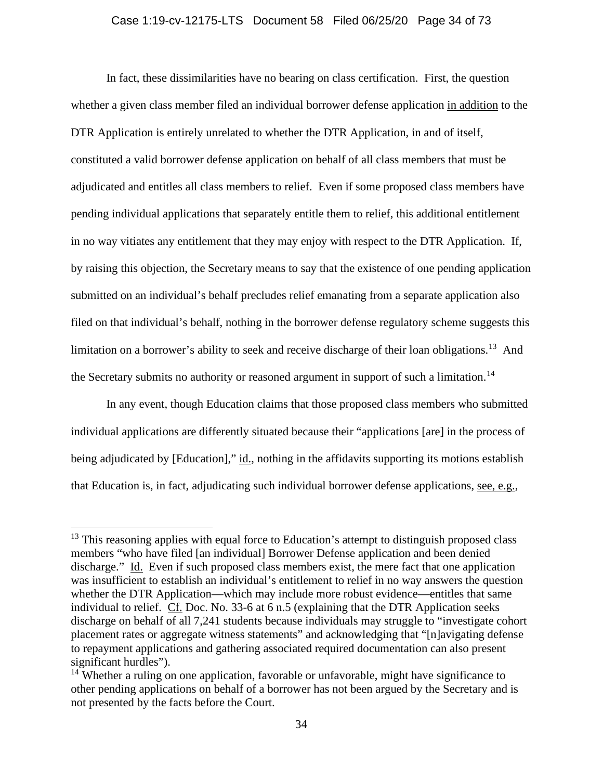# Case 1:19-cv-12175-LTS Document 58 Filed 06/25/20 Page 34 of 73

In fact, these dissimilarities have no bearing on class certification. First, the question whether a given class member filed an individual borrower defense application in addition to the DTR Application is entirely unrelated to whether the DTR Application, in and of itself, constituted a valid borrower defense application on behalf of all class members that must be adjudicated and entitles all class members to relief. Even if some proposed class members have pending individual applications that separately entitle them to relief, this additional entitlement in no way vitiates any entitlement that they may enjoy with respect to the DTR Application. If, by raising this objection, the Secretary means to say that the existence of one pending application submitted on an individual's behalf precludes relief emanating from a separate application also filed on that individual's behalf, nothing in the borrower defense regulatory scheme suggests this limitation on a borrower's ability to seek and receive discharge of their loan obligations.<sup>13</sup> And the Secretary submits no authority or reasoned argument in support of such a limitation.<sup>[14](#page-33-1)</sup>

In any event, though Education claims that those proposed class members who submitted individual applications are differently situated because their "applications [are] in the process of being adjudicated by [Education]," id., nothing in the affidavits supporting its motions establish that Education is, in fact, adjudicating such individual borrower defense applications, see, e.g.,

<span id="page-33-0"></span> $13$  This reasoning applies with equal force to Education's attempt to distinguish proposed class members "who have filed [an individual] Borrower Defense application and been denied discharge." Id. Even if such proposed class members exist, the mere fact that one application was insufficient to establish an individual's entitlement to relief in no way answers the question whether the DTR Application—which may include more robust evidence—entitles that same individual to relief. Cf. Doc. No. 33-6 at 6 n.5 (explaining that the DTR Application seeks discharge on behalf of all 7,241 students because individuals may struggle to "investigate cohort placement rates or aggregate witness statements" and acknowledging that "[n]avigating defense to repayment applications and gathering associated required documentation can also present significant hurdles").

<span id="page-33-1"></span><sup>&</sup>lt;sup>14</sup> Whether a ruling on one application, favorable or unfavorable, might have significance to other pending applications on behalf of a borrower has not been argued by the Secretary and is not presented by the facts before the Court.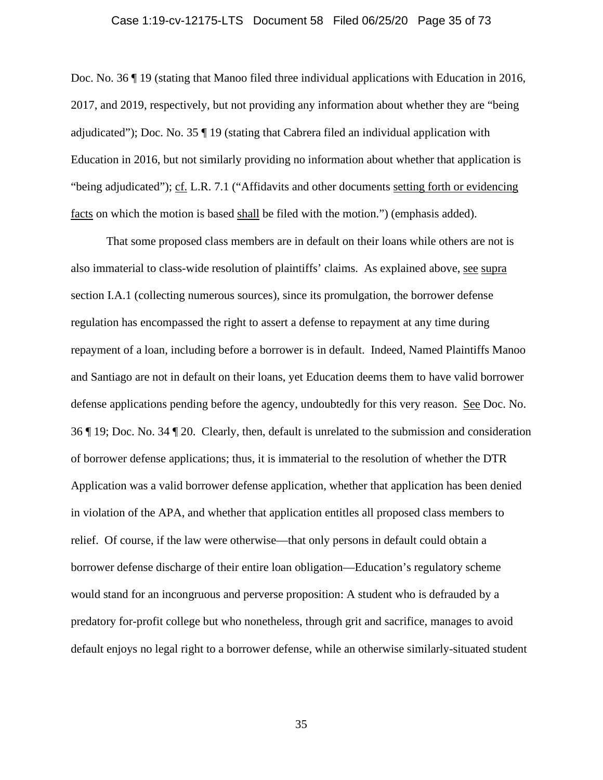#### Case 1:19-cv-12175-LTS Document 58 Filed 06/25/20 Page 35 of 73

Doc. No. 36 ¶ 19 (stating that Manoo filed three individual applications with Education in 2016, 2017, and 2019, respectively, but not providing any information about whether they are "being adjudicated"); Doc. No. 35 ¶ 19 (stating that Cabrera filed an individual application with Education in 2016, but not similarly providing no information about whether that application is "being adjudicated"); cf. L.R. 7.1 ("Affidavits and other documents setting forth or evidencing facts on which the motion is based shall be filed with the motion.") (emphasis added).

That some proposed class members are in default on their loans while others are not is also immaterial to class-wide resolution of plaintiffs' claims. As explained above, see supra section I.A.1 (collecting numerous sources), since its promulgation, the borrower defense regulation has encompassed the right to assert a defense to repayment at any time during repayment of a loan, including before a borrower is in default. Indeed, Named Plaintiffs Manoo and Santiago are not in default on their loans, yet Education deems them to have valid borrower defense applications pending before the agency, undoubtedly for this very reason. See Doc. No. 36 ¶ 19; Doc. No. 34 ¶ 20. Clearly, then, default is unrelated to the submission and consideration of borrower defense applications; thus, it is immaterial to the resolution of whether the DTR Application was a valid borrower defense application, whether that application has been denied in violation of the APA, and whether that application entitles all proposed class members to relief. Of course, if the law were otherwise—that only persons in default could obtain a borrower defense discharge of their entire loan obligation—Education's regulatory scheme would stand for an incongruous and perverse proposition: A student who is defrauded by a predatory for-profit college but who nonetheless, through grit and sacrifice, manages to avoid default enjoys no legal right to a borrower defense, while an otherwise similarly-situated student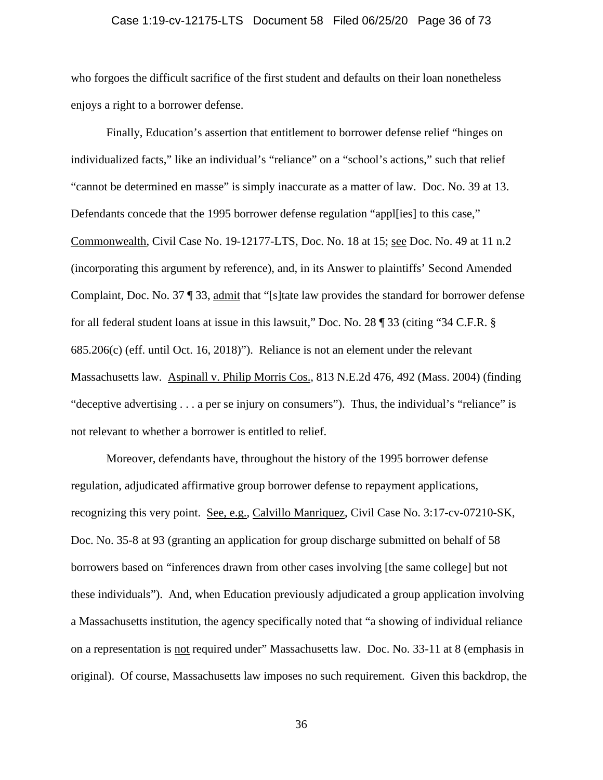# Case 1:19-cv-12175-LTS Document 58 Filed 06/25/20 Page 36 of 73

who forgoes the difficult sacrifice of the first student and defaults on their loan nonetheless enjoys a right to a borrower defense.

Finally, Education's assertion that entitlement to borrower defense relief "hinges on individualized facts," like an individual's "reliance" on a "school's actions," such that relief "cannot be determined en masse" is simply inaccurate as a matter of law. Doc. No. 39 at 13. Defendants concede that the 1995 borrower defense regulation "appl[ies] to this case," Commonwealth, Civil Case No. 19-12177-LTS, Doc. No. 18 at 15; see Doc. No. 49 at 11 n.2 (incorporating this argument by reference), and, in its Answer to plaintiffs' Second Amended Complaint, Doc. No. 37 ¶ 33, admit that "[s]tate law provides the standard for borrower defense for all federal student loans at issue in this lawsuit," Doc. No. 28 ¶ 33 (citing "34 C.F.R. § 685.206(c) (eff. until Oct. 16, 2018)"). Reliance is not an element under the relevant Massachusetts law. Aspinall v. Philip Morris Cos., 813 N.E.2d 476, 492 (Mass. 2004) (finding "deceptive advertising . . . a per se injury on consumers"). Thus, the individual's "reliance" is not relevant to whether a borrower is entitled to relief.

Moreover, defendants have, throughout the history of the 1995 borrower defense regulation, adjudicated affirmative group borrower defense to repayment applications, recognizing this very point. See, e.g., Calvillo Manriquez, Civil Case No. 3:17-cv-07210-SK, Doc. No. 35-8 at 93 (granting an application for group discharge submitted on behalf of 58 borrowers based on "inferences drawn from other cases involving [the same college] but not these individuals"). And, when Education previously adjudicated a group application involving a Massachusetts institution, the agency specifically noted that "a showing of individual reliance on a representation is not required under" Massachusetts law. Doc. No. 33-11 at 8 (emphasis in original). Of course, Massachusetts law imposes no such requirement. Given this backdrop, the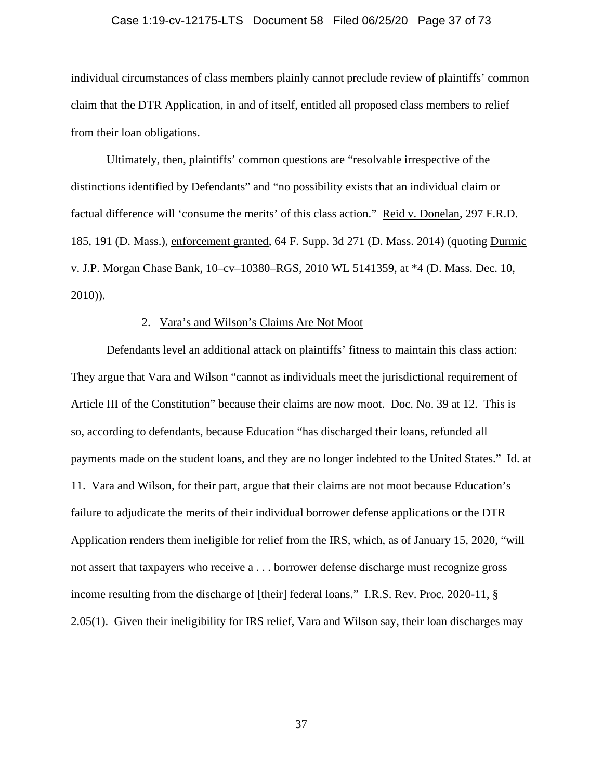#### Case 1:19-cv-12175-LTS Document 58 Filed 06/25/20 Page 37 of 73

individual circumstances of class members plainly cannot preclude review of plaintiffs' common claim that the DTR Application, in and of itself, entitled all proposed class members to relief from their loan obligations.

Ultimately, then, plaintiffs' common questions are "resolvable irrespective of the distinctions identified by Defendants" and "no possibility exists that an individual claim or factual difference will 'consume the merits' of this class action." Reid v. Donelan, 297 F.R.D. 185, 191 (D. Mass.), enforcement granted, 64 F. Supp. 3d 271 (D. Mass. 2014) (quoting Durmic v. J.P. Morgan Chase Bank, 10–cv–10380–RGS, 2010 WL 5141359, at \*4 (D. Mass. Dec. 10, 2010)).

#### 2. Vara's and Wilson's Claims Are Not Moot

Defendants level an additional attack on plaintiffs' fitness to maintain this class action: They argue that Vara and Wilson "cannot as individuals meet the jurisdictional requirement of Article III of the Constitution" because their claims are now moot. Doc. No. 39 at 12. This is so, according to defendants, because Education "has discharged their loans, refunded all payments made on the student loans, and they are no longer indebted to the United States." Id. at 11. Vara and Wilson, for their part, argue that their claims are not moot because Education's failure to adjudicate the merits of their individual borrower defense applications or the DTR Application renders them ineligible for relief from the IRS, which, as of January 15, 2020, "will not assert that taxpayers who receive a . . . borrower defense discharge must recognize gross income resulting from the discharge of [their] federal loans." I.R.S. Rev. Proc. 2020-11, § 2.05(1). Given their ineligibility for IRS relief, Vara and Wilson say, their loan discharges may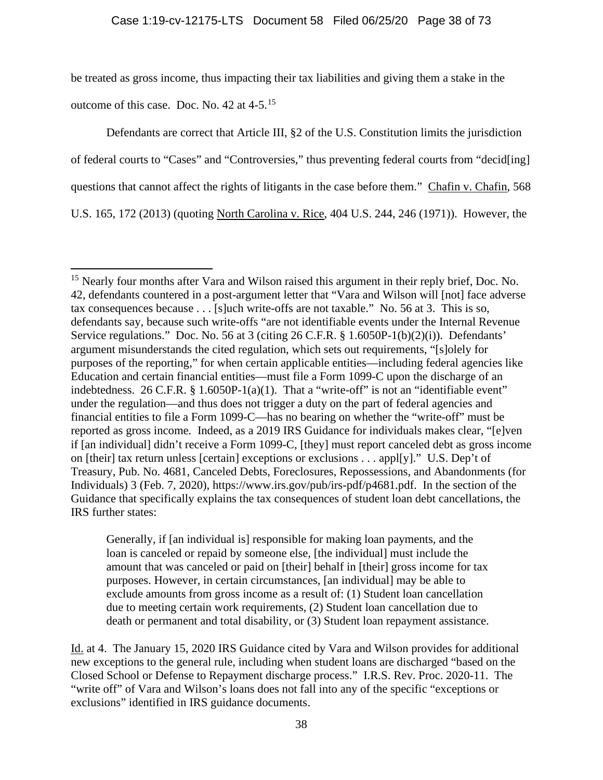be treated as gross income, thus impacting their tax liabilities and giving them a stake in the

outcome of this case. Doc. No. 42 at 4-5.[15](#page-37-0)

Defendants are correct that Article III, §2 of the U.S. Constitution limits the jurisdiction of federal courts to "Cases" and "Controversies," thus preventing federal courts from "decid[ing] questions that cannot affect the rights of litigants in the case before them." Chafin v. Chafin, 568 U.S. 165, 172 (2013) (quoting North Carolina v. Rice, 404 U.S. 244, 246 (1971)). However, the

Generally, if [an individual is] responsible for making loan payments, and the loan is canceled or repaid by someone else, [the individual] must include the amount that was canceled or paid on [their] behalf in [their] gross income for tax purposes. However, in certain circumstances, [an individual] may be able to exclude amounts from gross income as a result of: (1) Student loan cancellation due to meeting certain work requirements, (2) Student loan cancellation due to death or permanent and total disability, or (3) Student loan repayment assistance.

Id. at 4. The January 15, 2020 IRS Guidance cited by Vara and Wilson provides for additional new exceptions to the general rule, including when student loans are discharged "based on the Closed School or Defense to Repayment discharge process." I.R.S. Rev. Proc. 2020-11. The "write off" of Vara and Wilson's loans does not fall into any of the specific "exceptions or exclusions" identified in IRS guidance documents.

<span id="page-37-0"></span><sup>&</sup>lt;sup>15</sup> Nearly four months after Vara and Wilson raised this argument in their reply brief, Doc. No. 42, defendants countered in a post-argument letter that "Vara and Wilson will [not] face adverse tax consequences because . . . [s]uch write-offs are not taxable." No. 56 at 3. This is so, defendants say, because such write-offs "are not identifiable events under the Internal Revenue Service regulations." Doc. No. 56 at 3 (citing 26 C.F.R. § 1.6050P-1(b)(2)(i)). Defendants' argument misunderstands the cited regulation, which sets out requirements, "[s]olely for purposes of the reporting," for when certain applicable entities—including federal agencies like Education and certain financial entities—must file a Form 1099-C upon the discharge of an indebtedness. 26 C.F.R.  $\S$  1.6050P-1(a)(1). That a "write-off" is not an "identifiable event" under the regulation—and thus does not trigger a duty on the part of federal agencies and financial entities to file a Form 1099-C—has no bearing on whether the "write-off" must be reported as gross income. Indeed, as a 2019 IRS Guidance for individuals makes clear, "[e]ven if [an individual] didn't receive a Form 1099-C, [they] must report canceled debt as gross income on [their] tax return unless [certain] exceptions or exclusions . . . appl[y]." U.S. Dep't of Treasury, Pub. No. 4681, Canceled Debts, Foreclosures, Repossessions, and Abandonments (for Individuals) 3 (Feb. 7, 2020), [https://www.irs.gov/pub/irs-pdf/p4681.pdf.](https://www.irs.gov/pub/irs-pdf/p4681.pdf) In the section of the Guidance that specifically explains the tax consequences of student loan debt cancellations, the IRS further states: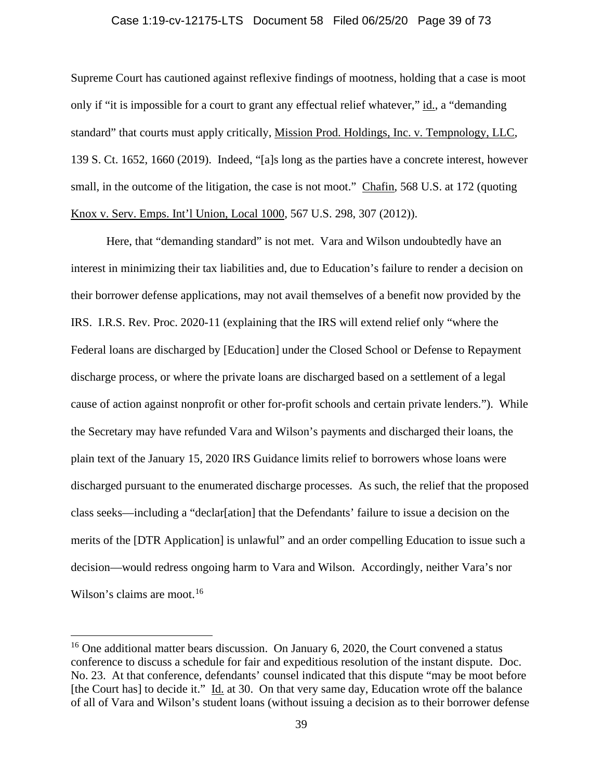#### Case 1:19-cv-12175-LTS Document 58 Filed 06/25/20 Page 39 of 73

Supreme Court has cautioned against reflexive findings of mootness, holding that a case is moot only if "it is impossible for a court to grant any effectual relief whatever," id., a "demanding standard" that courts must apply critically, Mission Prod. Holdings, Inc. v. Tempnology, LLC, 139 S. Ct. 1652, 1660 (2019). Indeed, "[a]s long as the parties have a concrete interest, however small, in the outcome of the litigation, the case is not moot." Chafin, 568 U.S. at 172 (quoting Knox v. Serv. Emps. Int'l Union, Local 1000, 567 U.S. 298, 307 (2012)).

Here, that "demanding standard" is not met. Vara and Wilson undoubtedly have an interest in minimizing their tax liabilities and, due to Education's failure to render a decision on their borrower defense applications, may not avail themselves of a benefit now provided by the IRS. I.R.S. Rev. Proc. 2020-11 (explaining that the IRS will extend relief only "where the Federal loans are discharged by [Education] under the Closed School or Defense to Repayment discharge process, or where the private loans are discharged based on a settlement of a legal cause of action against nonprofit or other for-profit schools and certain private lenders."). While the Secretary may have refunded Vara and Wilson's payments and discharged their loans, the plain text of the January 15, 2020 IRS Guidance limits relief to borrowers whose loans were discharged pursuant to the enumerated discharge processes. As such, the relief that the proposed class seeks—including a "declar[ation] that the Defendants' failure to issue a decision on the merits of the [DTR Application] is unlawful" and an order compelling Education to issue such a decision—would redress ongoing harm to Vara and Wilson. Accordingly, neither Vara's nor Wilson's claims are moot.<sup>[16](#page-38-0)</sup>

<span id="page-38-0"></span><sup>&</sup>lt;sup>16</sup> One additional matter bears discussion. On January 6, 2020, the Court convened a status conference to discuss a schedule for fair and expeditious resolution of the instant dispute. Doc. No. 23. At that conference, defendants' counsel indicated that this dispute "may be moot before [the Court has] to decide it." Id. at 30. On that very same day, Education wrote off the balance of all of Vara and Wilson's student loans (without issuing a decision as to their borrower defense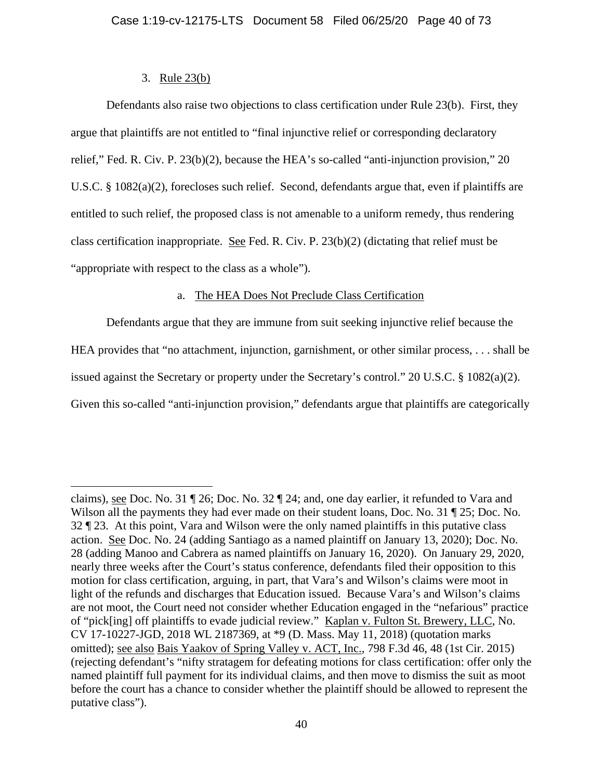# 3. Rule 23(b)

Defendants also raise two objections to class certification under Rule 23(b). First, they argue that plaintiffs are not entitled to "final injunctive relief or corresponding declaratory relief," Fed. R. Civ. P. 23(b)(2), because the HEA's so-called "anti-injunction provision," 20 U.S.C. § 1082(a)(2), forecloses such relief. Second, defendants argue that, even if plaintiffs are entitled to such relief, the proposed class is not amenable to a uniform remedy, thus rendering class certification inappropriate. See Fed. R. Civ. P. 23(b)(2) (dictating that relief must be "appropriate with respect to the class as a whole").

# a. The HEA Does Not Preclude Class Certification

Defendants argue that they are immune from suit seeking injunctive relief because the HEA provides that "no attachment, injunction, garnishment, or other similar process, . . . shall be issued against the Secretary or property under the Secretary's control." 20 U.S.C. § 1082(a)(2). Given this so-called "anti-injunction provision," defendants argue that plaintiffs are categorically

claims), see Doc. No. 31 ¶ 26; Doc. No. 32 ¶ 24; and, one day earlier, it refunded to Vara and Wilson all the payments they had ever made on their student loans, Doc. No. 31 ¶ 25; Doc. No. 32 ¶ 23. At this point, Vara and Wilson were the only named plaintiffs in this putative class action. See Doc. No. 24 (adding Santiago as a named plaintiff on January 13, 2020); Doc. No. 28 (adding Manoo and Cabrera as named plaintiffs on January 16, 2020). On January 29, 2020, nearly three weeks after the Court's status conference, defendants filed their opposition to this motion for class certification, arguing, in part, that Vara's and Wilson's claims were moot in light of the refunds and discharges that Education issued. Because Vara's and Wilson's claims are not moot, the Court need not consider whether Education engaged in the "nefarious" practice of "pick[ing] off plaintiffs to evade judicial review." Kaplan v. Fulton St. Brewery, LLC, No. CV 17-10227-JGD, 2018 WL 2187369, at \*9 (D. Mass. May 11, 2018) (quotation marks omitted); see also Bais Yaakov of Spring Valley v. ACT, Inc., 798 F.3d 46, 48 (1st Cir. 2015) (rejecting defendant's "nifty stratagem for defeating motions for class certification: offer only the named plaintiff full payment for its individual claims, and then move to dismiss the suit as moot before the court has a chance to consider whether the plaintiff should be allowed to represent the putative class").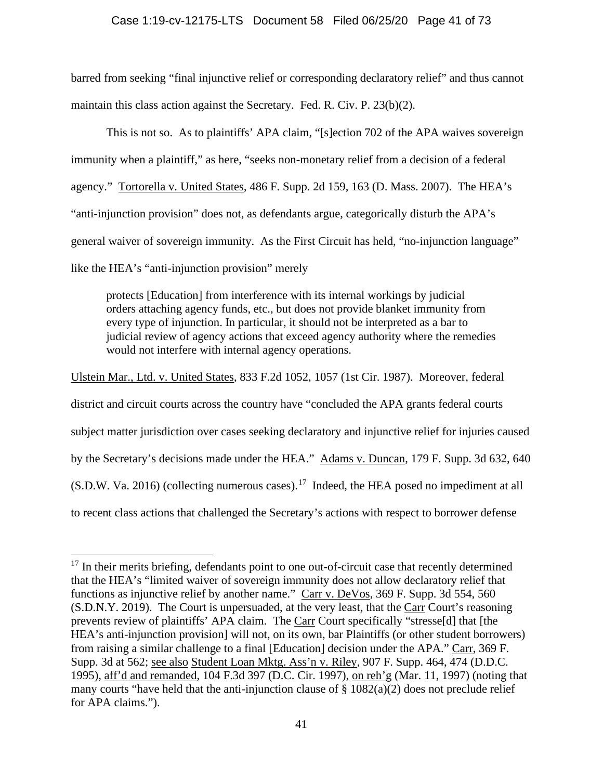# Case 1:19-cv-12175-LTS Document 58 Filed 06/25/20 Page 41 of 73

barred from seeking "final injunctive relief or corresponding declaratory relief" and thus cannot maintain this class action against the Secretary. Fed. R. Civ. P. 23(b)(2).

This is not so. As to plaintiffs' APA claim, "[s]ection 702 of the APA waives sovereign immunity when a plaintiff," as here, "seeks non-monetary relief from a decision of a federal agency." Tortorella v. United States, 486 F. Supp. 2d 159, 163 (D. Mass. 2007). The HEA's "anti-injunction provision" does not, as defendants argue, categorically disturb the APA's general waiver of sovereign immunity. As the First Circuit has held, "no-injunction language" like the HEA's "anti-injunction provision" merely

protects [Education] from interference with its internal workings by judicial orders attaching agency funds, etc., but does not provide blanket immunity from every type of injunction. In particular, it should not be interpreted as a bar to judicial review of agency actions that exceed agency authority where the remedies would not interfere with internal agency operations.

Ulstein Mar., Ltd. v. United States, 833 F.2d 1052, 1057 (1st Cir. 1987). Moreover, federal district and circuit courts across the country have "concluded the APA grants federal courts subject matter jurisdiction over cases seeking declaratory and injunctive relief for injuries caused by the Secretary's decisions made under the HEA." Adams v. Duncan, 179 F. Supp. 3d 632, 640  $(S.D.W. Va. 2016)$  (collecting numerous cases).<sup>[17](#page-40-0)</sup> Indeed, the HEA posed no impediment at all to recent class actions that challenged the Secretary's actions with respect to borrower defense

<span id="page-40-0"></span><sup>&</sup>lt;sup>17</sup> In their merits briefing, defendants point to one out-of-circuit case that recently determined that the HEA's "limited waiver of sovereign immunity does not allow declaratory relief that functions as injunctive relief by another name." Carr v. DeVos, 369 F. Supp. 3d 554, 560 (S.D.N.Y. 2019). The Court is unpersuaded, at the very least, that the Carr Court's reasoning prevents review of plaintiffs' APA claim. The Carr Court specifically "stresse[d] that [the HEA's anti-injunction provision] will not, on its own, bar Plaintiffs (or other student borrowers) from raising a similar challenge to a final [Education] decision under the APA." Carr, 369 F. Supp. 3d at 562; see also Student Loan Mktg. Ass'n v. Riley, 907 F. Supp. 464, 474 (D.D.C. 1995), aff'd and remanded, 104 F.3d 397 (D.C. Cir. 1997), on reh'g (Mar. 11, 1997) (noting that many courts "have held that the anti-injunction clause of  $\S 1082(a)(2)$  does not preclude relief for APA claims.").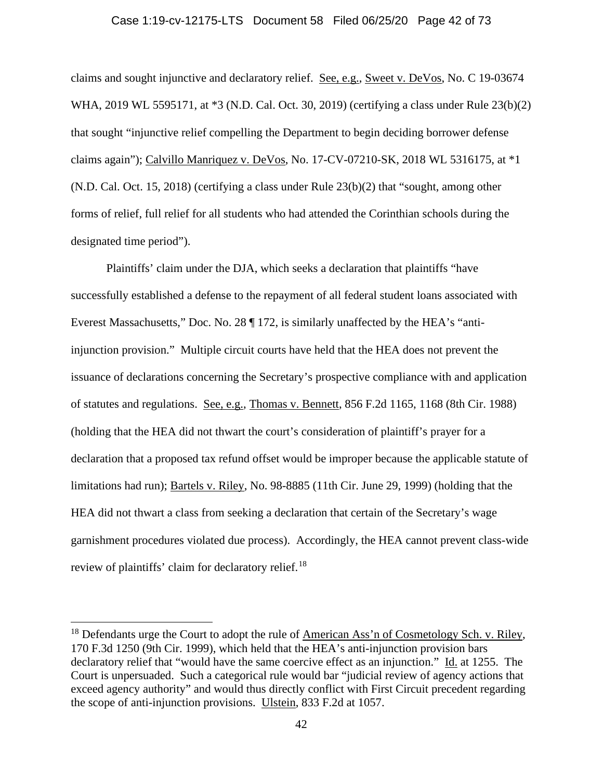## Case 1:19-cv-12175-LTS Document 58 Filed 06/25/20 Page 42 of 73

claims and sought injunctive and declaratory relief. See, e.g., Sweet v. DeVos, No. C 19-03674 WHA, 2019 WL 5595171, at \*3 (N.D. Cal. Oct. 30, 2019) (certifying a class under Rule 23(b)(2) that sought "injunctive relief compelling the Department to begin deciding borrower defense claims again"); Calvillo Manriquez v. DeVos, No. 17-CV-07210-SK, 2018 WL 5316175, at \*1  $(N.D. Cal. Oct. 15, 2018)$  (certifying a class under Rule  $23(b)(2)$  that "sought, among other forms of relief, full relief for all students who had attended the Corinthian schools during the designated time period").

Plaintiffs' claim under the DJA, which seeks a declaration that plaintiffs "have successfully established a defense to the repayment of all federal student loans associated with Everest Massachusetts," Doc. No. 28 ¶ 172, is similarly unaffected by the HEA's "antiinjunction provision." Multiple circuit courts have held that the HEA does not prevent the issuance of declarations concerning the Secretary's prospective compliance with and application of statutes and regulations. See, e.g., Thomas v. Bennett, 856 F.2d 1165, 1168 (8th Cir. 1988) (holding that the HEA did not thwart the court's consideration of plaintiff's prayer for a declaration that a proposed tax refund offset would be improper because the applicable statute of limitations had run); Bartels v. Riley, No. 98-8885 (11th Cir. June 29, 1999) (holding that the HEA did not thwart a class from seeking a declaration that certain of the Secretary's wage garnishment procedures violated due process). Accordingly, the HEA cannot prevent class-wide review of plaintiffs' claim for declaratory relief.<sup>[18](#page-41-0)</sup>

<span id="page-41-0"></span><sup>&</sup>lt;sup>18</sup> Defendants urge the Court to adopt the rule of **American Ass'n of Cosmetology Sch.** v. Riley, 170 F.3d 1250 (9th Cir. 1999), which held that the HEA's anti-injunction provision bars declaratory relief that "would have the same coercive effect as an injunction." Id. at 1255. The Court is unpersuaded. Such a categorical rule would bar "judicial review of agency actions that exceed agency authority" and would thus directly conflict with First Circuit precedent regarding the scope of anti-injunction provisions. Ulstein, 833 F.2d at 1057.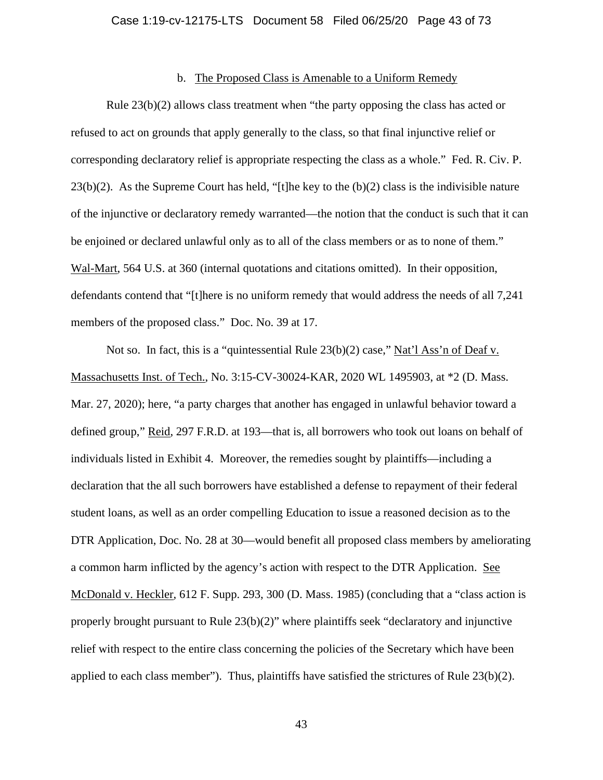#### b. The Proposed Class is Amenable to a Uniform Remedy

Rule 23(b)(2) allows class treatment when "the party opposing the class has acted or refused to act on grounds that apply generally to the class, so that final injunctive relief or corresponding declaratory relief is appropriate respecting the class as a whole." Fed. R. Civ. P. 23(b)(2). As the Supreme Court has held, "[t]he key to the (b)(2) class is the indivisible nature of the injunctive or declaratory remedy warranted—the notion that the conduct is such that it can be enjoined or declared unlawful only as to all of the class members or as to none of them." Wal-Mart, 564 U.S. at 360 (internal quotations and citations omitted). In their opposition, defendants contend that "[t]here is no uniform remedy that would address the needs of all 7,241 members of the proposed class." Doc. No. 39 at 17.

Not so. In fact, this is a "quintessential Rule 23(b)(2) case," Nat'l Ass'n of Deaf v. Massachusetts Inst. of Tech., No. 3:15-CV-30024-KAR, 2020 WL 1495903, at \*2 (D. Mass. Mar. 27, 2020); here, "a party charges that another has engaged in unlawful behavior toward a defined group," Reid, 297 F.R.D. at 193—that is, all borrowers who took out loans on behalf of individuals listed in Exhibit 4. Moreover, the remedies sought by plaintiffs—including a declaration that the all such borrowers have established a defense to repayment of their federal student loans, as well as an order compelling Education to issue a reasoned decision as to the DTR Application, Doc. No. 28 at 30—would benefit all proposed class members by ameliorating a common harm inflicted by the agency's action with respect to the DTR Application. See McDonald v. Heckler, 612 F. Supp. 293, 300 (D. Mass. 1985) (concluding that a "class action is properly brought pursuant to Rule 23(b)(2)" where plaintiffs seek "declaratory and injunctive relief with respect to the entire class concerning the policies of the Secretary which have been applied to each class member"). Thus, plaintiffs have satisfied the strictures of Rule  $23(b)(2)$ .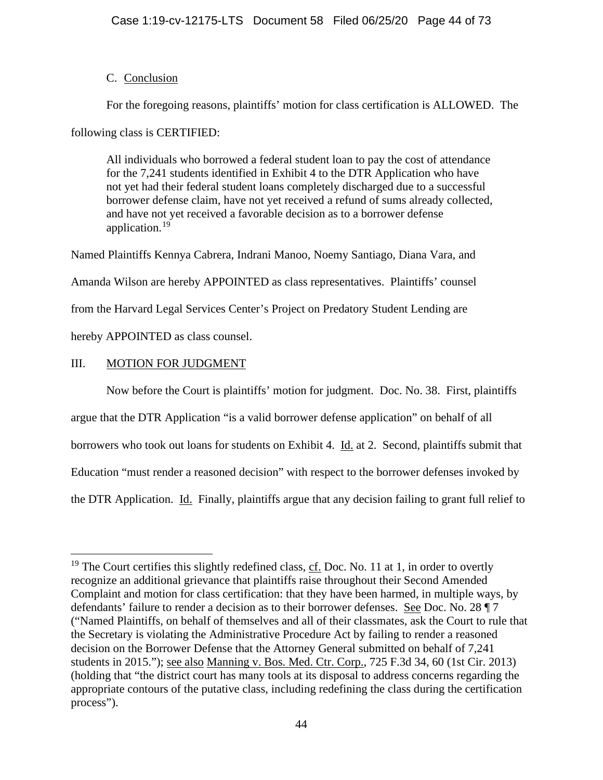# C. Conclusion

For the foregoing reasons, plaintiffs' motion for class certification is ALLOWED. The

following class is CERTIFIED:

All individuals who borrowed a federal student loan to pay the cost of attendance for the 7,241 students identified in Exhibit 4 to the DTR Application who have not yet had their federal student loans completely discharged due to a successful borrower defense claim, have not yet received a refund of sums already collected, and have not yet received a favorable decision as to a borrower defense application. [19](#page-43-0)

Named Plaintiffs Kennya Cabrera, Indrani Manoo, Noemy Santiago, Diana Vara, and Amanda Wilson are hereby APPOINTED as class representatives. Plaintiffs' counsel from the Harvard Legal Services Center's Project on Predatory Student Lending are hereby APPOINTED as class counsel.

# III. MOTION FOR JUDGMENT

Now before the Court is plaintiffs' motion for judgment. Doc. No. 38. First, plaintiffs argue that the DTR Application "is a valid borrower defense application" on behalf of all borrowers who took out loans for students on Exhibit 4. Id. at 2. Second, plaintiffs submit that Education "must render a reasoned decision" with respect to the borrower defenses invoked by the DTR Application. Id. Finally, plaintiffs argue that any decision failing to grant full relief to

<span id="page-43-0"></span><sup>&</sup>lt;sup>19</sup> The Court certifies this slightly redefined class,  $c\bar{f}$ . Doc. No. 11 at 1, in order to overtly recognize an additional grievance that plaintiffs raise throughout their Second Amended Complaint and motion for class certification: that they have been harmed, in multiple ways, by defendants' failure to render a decision as to their borrower defenses. See Doc. No. 28 ¶ 7 ("Named Plaintiffs, on behalf of themselves and all of their classmates, ask the Court to rule that the Secretary is violating the Administrative Procedure Act by failing to render a reasoned decision on the Borrower Defense that the Attorney General submitted on behalf of 7,241 students in 2015."); see also Manning v. Bos. Med. Ctr. Corp., 725 F.3d 34, 60 (1st Cir. 2013) (holding that "the district court has many tools at its disposal to address concerns regarding the appropriate contours of the putative class, including redefining the class during the certification process").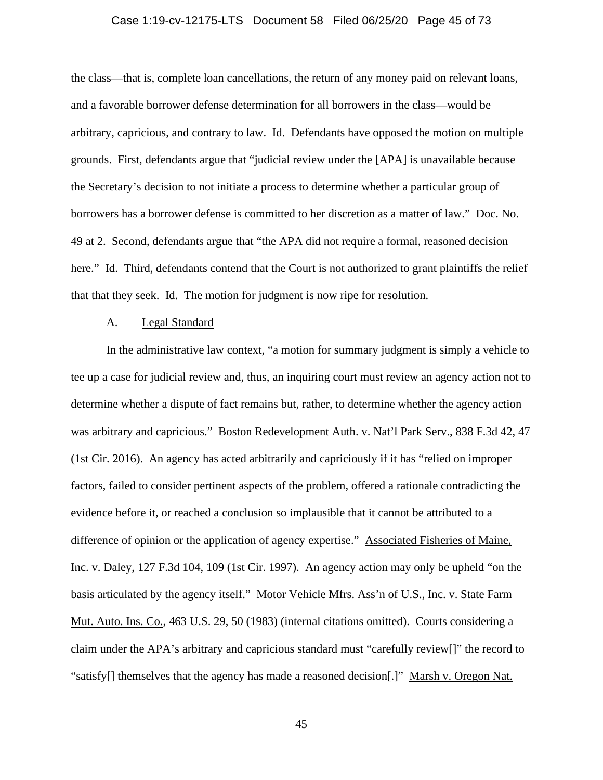## Case 1:19-cv-12175-LTS Document 58 Filed 06/25/20 Page 45 of 73

the class—that is, complete loan cancellations, the return of any money paid on relevant loans, and a favorable borrower defense determination for all borrowers in the class—would be arbitrary, capricious, and contrary to law. Id. Defendants have opposed the motion on multiple grounds. First, defendants argue that "judicial review under the [APA] is unavailable because the Secretary's decision to not initiate a process to determine whether a particular group of borrowers has a borrower defense is committed to her discretion as a matter of law." Doc. No. 49 at 2. Second, defendants argue that "the APA did not require a formal, reasoned decision here." Id. Third, defendants contend that the Court is not authorized to grant plaintiffs the relief that that they seek. Id. The motion for judgment is now ripe for resolution.

## A. Legal Standard

In the administrative law context, "a motion for summary judgment is simply a vehicle to tee up a case for judicial review and, thus, an inquiring court must review an agency action not to determine whether a dispute of fact remains but, rather, to determine whether the agency action was arbitrary and capricious." Boston Redevelopment Auth. v. Nat'l Park Serv., 838 F.3d 42, 47 (1st Cir. 2016). An agency has acted arbitrarily and capriciously if it has "relied on improper factors, failed to consider pertinent aspects of the problem, offered a rationale contradicting the evidence before it, or reached a conclusion so implausible that it cannot be attributed to a difference of opinion or the application of agency expertise." Associated Fisheries of Maine, Inc. v. Daley, 127 F.3d 104, 109 (1st Cir. 1997). An agency action may only be upheld "on the basis articulated by the agency itself." Motor Vehicle Mfrs. Ass'n of U.S., Inc. v. State Farm Mut. Auto. Ins. Co., 463 U.S. 29, 50 (1983) (internal citations omitted). Courts considering a claim under the APA's arbitrary and capricious standard must "carefully review[]" the record to "satisfy[] themselves that the agency has made a reasoned decision[.]" Marsh v. Oregon Nat.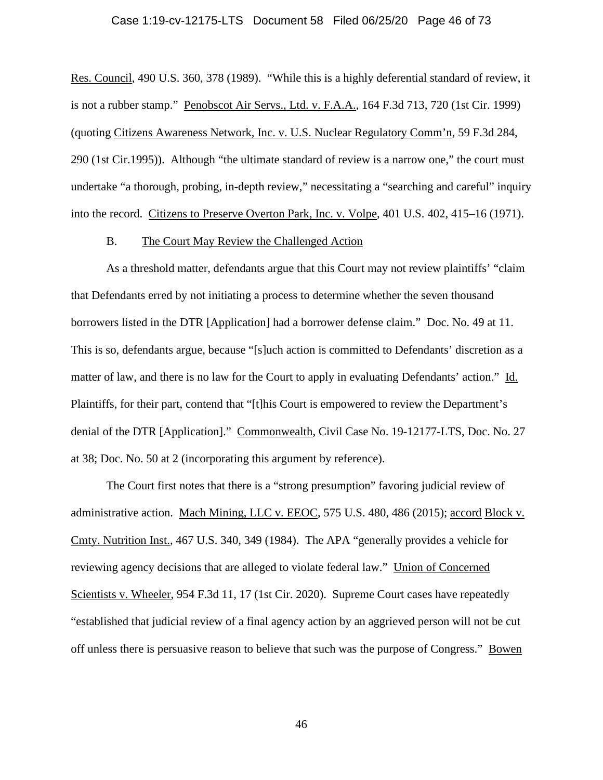## Case 1:19-cv-12175-LTS Document 58 Filed 06/25/20 Page 46 of 73

Res. Council, 490 U.S. 360, 378 (1989). "While this is a highly deferential standard of review, it is not a rubber stamp." Penobscot Air Servs., Ltd. v. F.A.A., 164 F.3d 713, 720 (1st Cir. 1999) (quoting Citizens Awareness Network, Inc. v. U.S. Nuclear Regulatory Comm'n, 59 F.3d 284, 290 (1st Cir.1995)). Although "the ultimate standard of review is a narrow one," the court must undertake "a thorough, probing, in-depth review," necessitating a "searching and careful" inquiry into the record. Citizens to Preserve Overton Park, Inc. v. Volpe, 401 U.S. 402, 415–16 (1971).

### B. The Court May Review the Challenged Action

As a threshold matter, defendants argue that this Court may not review plaintiffs' "claim that Defendants erred by not initiating a process to determine whether the seven thousand borrowers listed in the DTR [Application] had a borrower defense claim." Doc. No. 49 at 11. This is so, defendants argue, because "[s]uch action is committed to Defendants' discretion as a matter of law, and there is no law for the Court to apply in evaluating Defendants' action." Id. Plaintiffs, for their part, contend that "[t]his Court is empowered to review the Department's denial of the DTR [Application]." Commonwealth, Civil Case No. 19-12177-LTS, Doc. No. 27 at 38; Doc. No. 50 at 2 (incorporating this argument by reference).

The Court first notes that there is a "strong presumption" favoring judicial review of administrative action. Mach Mining, LLC v. EEOC, 575 U.S. 480, 486 (2015); accord Block v. Cmty. Nutrition Inst., 467 U.S. 340, 349 (1984). The APA "generally provides a vehicle for reviewing agency decisions that are alleged to violate federal law." Union of Concerned Scientists v. Wheeler, 954 F.3d 11, 17 (1st Cir. 2020). Supreme Court cases have repeatedly "established that judicial review of a final agency action by an aggrieved person will not be cut off unless there is persuasive reason to believe that such was the purpose of Congress." Bowen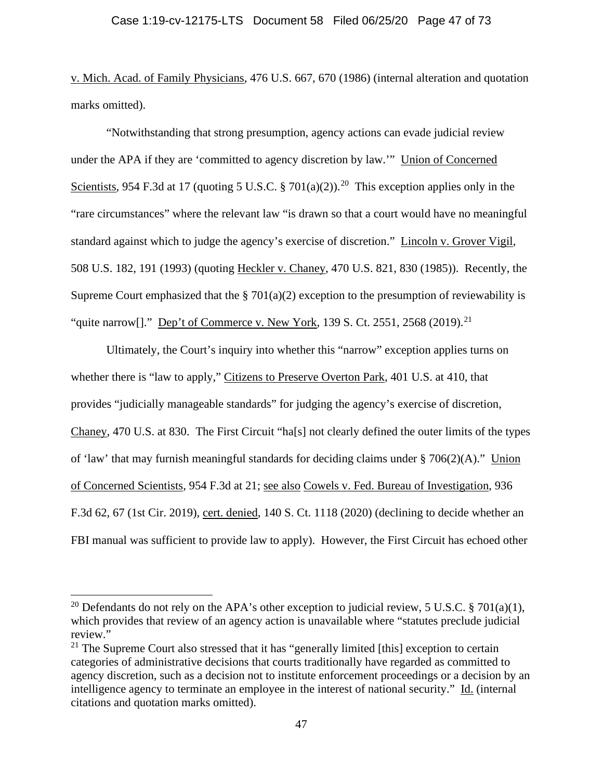v. Mich. Acad. of Family Physicians, 476 U.S. 667, 670 (1986) (internal alteration and quotation marks omitted).

"Notwithstanding that strong presumption, agency actions can evade judicial review under the APA if they are 'committed to agency discretion by law.'" Union of Concerned Scientists, 954 F.3d at 17 (quoting 5 U.S.C. § 701(a)(2)).<sup>[20](#page-46-0)</sup> This exception applies only in the "rare circumstances" where the relevant law "is drawn so that a court would have no meaningful standard against which to judge the agency's exercise of discretion." Lincoln v. Grover Vigil, 508 U.S. 182, 191 (1993) (quoting Heckler v. Chaney, 470 U.S. 821, 830 (1985)). Recently, the Supreme Court emphasized that the  $\S 701(a)(2)$  exception to the presumption of reviewability is "quite narrow[]." Dep't of Commerce v. New York, 139 S. Ct. 2551, 2568 (2019).<sup>21</sup>

Ultimately, the Court's inquiry into whether this "narrow" exception applies turns on whether there is "law to apply," Citizens to Preserve Overton Park, 401 U.S. at 410, that provides "judicially manageable standards" for judging the agency's exercise of discretion, Chaney, 470 U.S. at 830. The First Circuit "ha[s] not clearly defined the outer limits of the types of 'law' that may furnish meaningful standards for deciding claims under  $\S 706(2)(A)$ ." Union of Concerned Scientists, 954 F.3d at 21; see also Cowels v. Fed. Bureau of Investigation, 936 F.3d 62, 67 (1st Cir. 2019), cert. denied, 140 S. Ct. 1118 (2020) (declining to decide whether an FBI manual was sufficient to provide law to apply). However, the First Circuit has echoed other

<span id="page-46-0"></span><sup>&</sup>lt;sup>20</sup> Defendants do not rely on the APA's other exception to judicial review, 5 U.S.C. § 701(a)(1), which provides that review of an agency action is unavailable where "statutes preclude judicial review."

<span id="page-46-1"></span> $21$  The Supreme Court also stressed that it has "generally limited [this] exception to certain categories of administrative decisions that courts traditionally have regarded as committed to agency discretion, such as a decision not to institute enforcement proceedings or a decision by an intelligence agency to terminate an employee in the interest of national security." Id. (internal citations and quotation marks omitted).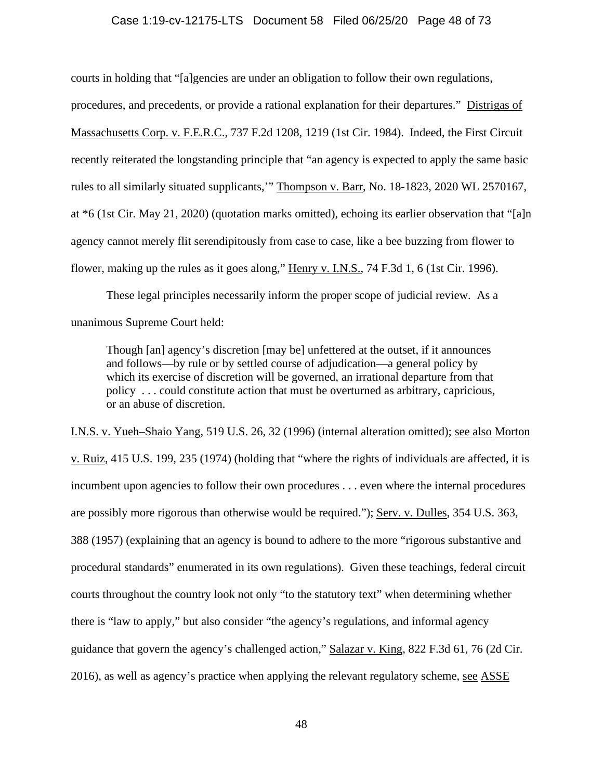## Case 1:19-cv-12175-LTS Document 58 Filed 06/25/20 Page 48 of 73

courts in holding that "[a]gencies are under an obligation to follow their own regulations, procedures, and precedents, or provide a rational explanation for their departures." Distrigas of Massachusetts Corp. v. F.E.R.C., 737 F.2d 1208, 1219 (1st Cir. 1984). Indeed, the First Circuit recently reiterated the longstanding principle that "an agency is expected to apply the same basic rules to all similarly situated supplicants,'" Thompson v. Barr, No. 18-1823, 2020 WL 2570167, at \*6 (1st Cir. May 21, 2020) (quotation marks omitted), echoing its earlier observation that "[a]n agency cannot merely flit serendipitously from case to case, like a bee buzzing from flower to flower, making up the rules as it goes along," Henry v. I.N.S., 74 F.3d 1, 6 (1st Cir. 1996).

These legal principles necessarily inform the proper scope of judicial review. As a unanimous Supreme Court held:

Though [an] agency's discretion [may be] unfettered at the outset, if it announces and follows—by rule or by settled course of adjudication—a general policy by which its exercise of discretion will be governed, an irrational departure from that policy . . . could constitute action that must be overturned as arbitrary, capricious, or an abuse of discretion.

I.N.S. v. Yueh–Shaio Yang, 519 U.S. 26, 32 (1996) (internal alteration omitted); see also Morton v. Ruiz, 415 U.S. 199, 235 (1974) (holding that "where the rights of individuals are affected, it is incumbent upon agencies to follow their own procedures . . . even where the internal procedures are possibly more rigorous than otherwise would be required."); Serv. v. Dulles, 354 U.S. 363, 388 (1957) (explaining that an agency is bound to adhere to the more "rigorous substantive and procedural standards" enumerated in its own regulations). Given these teachings, federal circuit courts throughout the country look not only "to the statutory text" when determining whether there is "law to apply," but also consider "the agency's regulations, and informal agency guidance that govern the agency's challenged action," Salazar v. King, 822 F.3d 61, 76 (2d Cir. 2016), as well as agency's practice when applying the relevant regulatory scheme, see ASSE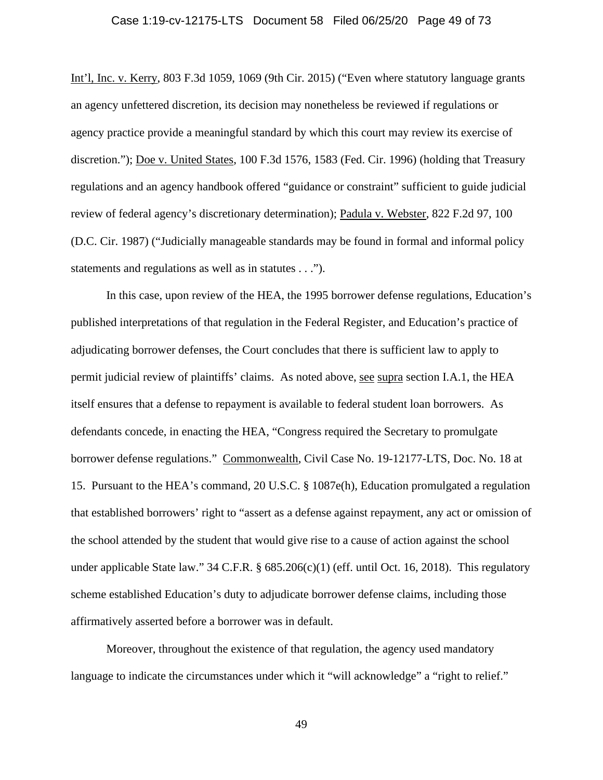## Case 1:19-cv-12175-LTS Document 58 Filed 06/25/20 Page 49 of 73

Int'l, Inc. v. Kerry, 803 F.3d 1059, 1069 (9th Cir. 2015) ("Even where statutory language grants an agency unfettered discretion, its decision may nonetheless be reviewed if regulations or agency practice provide a meaningful standard by which this court may review its exercise of discretion."); Doe v. United States, 100 F.3d 1576, 1583 (Fed. Cir. 1996) (holding that Treasury regulations and an agency handbook offered "guidance or constraint" sufficient to guide judicial review of federal agency's discretionary determination); Padula v. Webster, 822 F.2d 97, 100 (D.C. Cir. 1987) ("Judicially manageable standards may be found in formal and informal policy statements and regulations as well as in statutes . . .").

In this case, upon review of the HEA, the 1995 borrower defense regulations, Education's published interpretations of that regulation in the Federal Register, and Education's practice of adjudicating borrower defenses, the Court concludes that there is sufficient law to apply to permit judicial review of plaintiffs' claims. As noted above, see supra section I.A.1, the HEA itself ensures that a defense to repayment is available to federal student loan borrowers. As defendants concede, in enacting the HEA, "Congress required the Secretary to promulgate borrower defense regulations." Commonwealth, Civil Case No. 19-12177-LTS, Doc. No. 18 at 15. Pursuant to the HEA's command, 20 U.S.C. § 1087e(h), Education promulgated a regulation that established borrowers' right to "assert as a defense against repayment, any act or omission of the school attended by the student that would give rise to a cause of action against the school under applicable State law."  $34$  C.F.R. §  $685.206(c)(1)$  (eff. until Oct. 16, 2018). This regulatory scheme established Education's duty to adjudicate borrower defense claims, including those affirmatively asserted before a borrower was in default.

Moreover, throughout the existence of that regulation, the agency used mandatory language to indicate the circumstances under which it "will acknowledge" a "right to relief."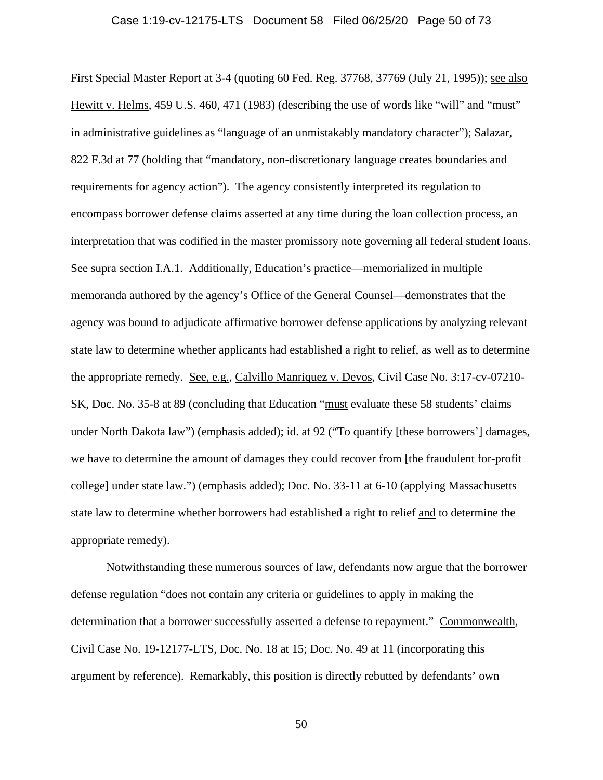#### Case 1:19-cv-12175-LTS Document 58 Filed 06/25/20 Page 50 of 73

First Special Master Report at 3-4 (quoting 60 Fed. Reg. 37768, 37769 (July 21, 1995)); see also Hewitt v. Helms, 459 U.S. 460, 471 (1983) (describing the use of words like "will" and "must" in administrative guidelines as "language of an unmistakably mandatory character"); Salazar, 822 F.3d at 77 (holding that "mandatory, non-discretionary language creates boundaries and requirements for agency action"). The agency consistently interpreted its regulation to encompass borrower defense claims asserted at any time during the loan collection process, an interpretation that was codified in the master promissory note governing all federal student loans. See supra section I.A.1. Additionally, Education's practice—memorialized in multiple memoranda authored by the agency's Office of the General Counsel—demonstrates that the agency was bound to adjudicate affirmative borrower defense applications by analyzing relevant state law to determine whether applicants had established a right to relief, as well as to determine the appropriate remedy. See, e.g., Calvillo Manriquez v. Devos, Civil Case No. 3:17-cv-07210- SK, Doc. No. 35-8 at 89 (concluding that Education "must evaluate these 58 students' claims under North Dakota law") (emphasis added); id. at 92 ("To quantify [these borrowers'] damages, we have to determine the amount of damages they could recover from [the fraudulent for-profit college] under state law.") (emphasis added); Doc. No. 33-11 at 6-10 (applying Massachusetts state law to determine whether borrowers had established a right to relief and to determine the appropriate remedy).

Notwithstanding these numerous sources of law, defendants now argue that the borrower defense regulation "does not contain any criteria or guidelines to apply in making the determination that a borrower successfully asserted a defense to repayment." Commonwealth, Civil Case No. 19-12177-LTS, Doc. No. 18 at 15; Doc. No. 49 at 11 (incorporating this argument by reference). Remarkably, this position is directly rebutted by defendants' own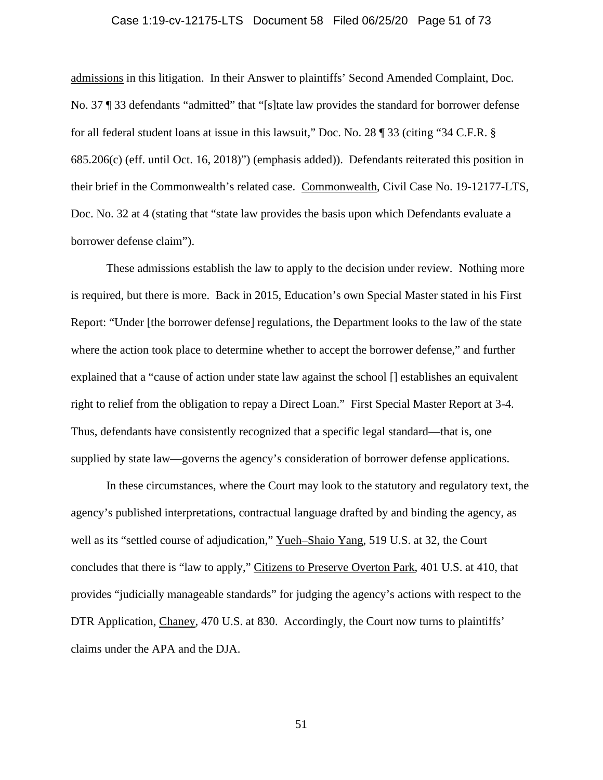#### Case 1:19-cv-12175-LTS Document 58 Filed 06/25/20 Page 51 of 73

admissions in this litigation. In their Answer to plaintiffs' Second Amended Complaint, Doc. No. 37 ¶ 33 defendants "admitted" that "[s]tate law provides the standard for borrower defense for all federal student loans at issue in this lawsuit," Doc. No. 28 ¶ 33 (citing "34 C.F.R. § 685.206(c) (eff. until Oct. 16, 2018)") (emphasis added)). Defendants reiterated this position in their brief in the Commonwealth's related case. Commonwealth, Civil Case No. 19-12177-LTS, Doc. No. 32 at 4 (stating that "state law provides the basis upon which Defendants evaluate a borrower defense claim").

These admissions establish the law to apply to the decision under review. Nothing more is required, but there is more. Back in 2015, Education's own Special Master stated in his First Report: "Under [the borrower defense] regulations, the Department looks to the law of the state where the action took place to determine whether to accept the borrower defense," and further explained that a "cause of action under state law against the school [] establishes an equivalent right to relief from the obligation to repay a Direct Loan." First Special Master Report at 3-4. Thus, defendants have consistently recognized that a specific legal standard—that is, one supplied by state law—governs the agency's consideration of borrower defense applications.

In these circumstances, where the Court may look to the statutory and regulatory text, the agency's published interpretations, contractual language drafted by and binding the agency, as well as its "settled course of adjudication," Yueh–Shaio Yang, 519 U.S. at 32, the Court concludes that there is "law to apply," Citizens to Preserve Overton Park, 401 U.S. at 410, that provides "judicially manageable standards" for judging the agency's actions with respect to the DTR Application, Chaney, 470 U.S. at 830. Accordingly, the Court now turns to plaintiffs' claims under the APA and the DJA.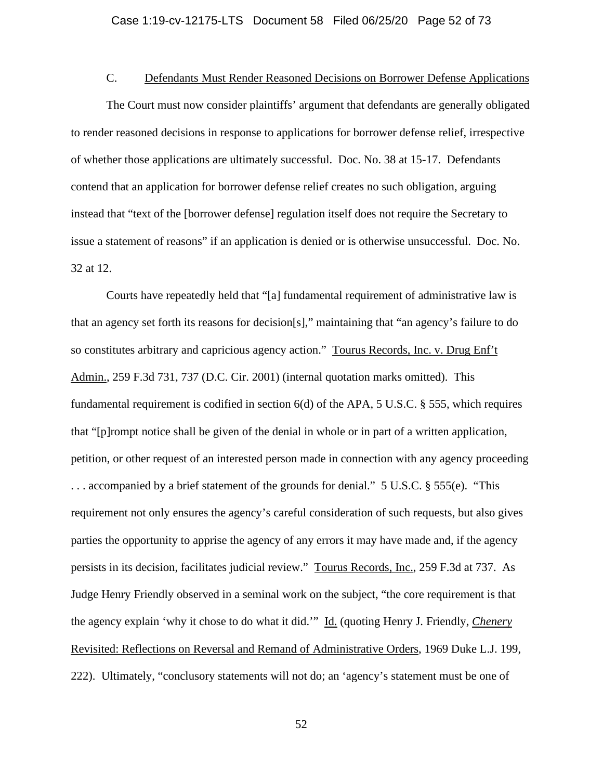## C. Defendants Must Render Reasoned Decisions on Borrower Defense Applications

The Court must now consider plaintiffs' argument that defendants are generally obligated to render reasoned decisions in response to applications for borrower defense relief, irrespective of whether those applications are ultimately successful. Doc. No. 38 at 15-17. Defendants contend that an application for borrower defense relief creates no such obligation, arguing instead that "text of the [borrower defense] regulation itself does not require the Secretary to issue a statement of reasons" if an application is denied or is otherwise unsuccessful. Doc. No. 32 at 12.

Courts have repeatedly held that "[a] fundamental requirement of administrative law is that an agency set forth its reasons for decision[s]," maintaining that "an agency's failure to do so constitutes arbitrary and capricious agency action." Tourus Records, Inc. v. Drug Enf't Admin., 259 F.3d 731, 737 (D.C. Cir. 2001) (internal quotation marks omitted). This fundamental requirement is codified in section 6(d) of the APA, 5 U.S.C. § 555, which requires that "[p]rompt notice shall be given of the denial in whole or in part of a written application, petition, or other request of an interested person made in connection with any agency proceeding . . . accompanied by a brief statement of the grounds for denial." 5 U.S.C. § 555(e). "This requirement not only ensures the agency's careful consideration of such requests, but also gives parties the opportunity to apprise the agency of any errors it may have made and, if the agency persists in its decision, facilitates judicial review." Tourus Records, Inc., 259 F.3d at 737. As Judge Henry Friendly observed in a seminal work on the subject, "the core requirement is that the agency explain 'why it chose to do what it did.'" Id. (quoting Henry J. Friendly, *Chenery* Revisited: Reflections on Reversal and Remand of Administrative Orders, 1969 Duke L.J. 199, 222). Ultimately, "conclusory statements will not do; an 'agency's statement must be one of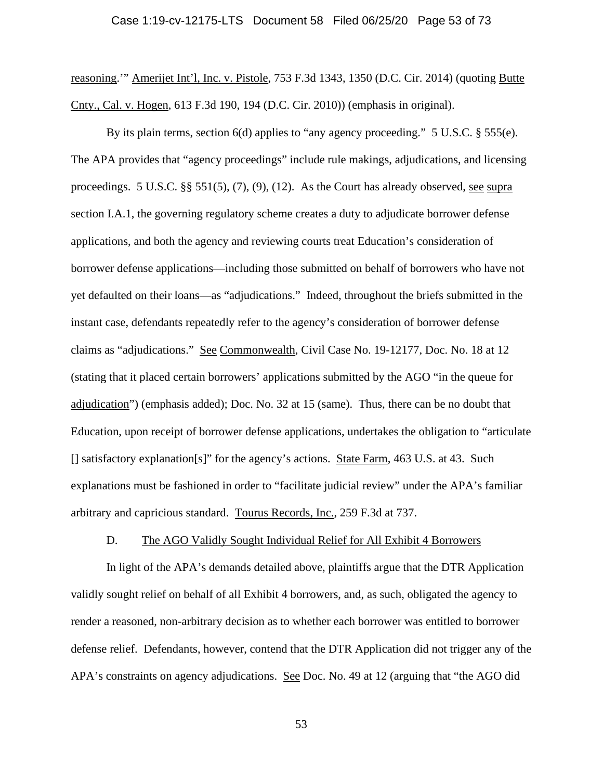reasoning.'" Amerijet Int'l, Inc. v. Pistole, 753 F.3d 1343, 1350 (D.C. Cir. 2014) (quoting Butte Cnty., Cal. v. Hogen, 613 F.3d 190, 194 (D.C. Cir. 2010)) (emphasis in original).

By its plain terms, section 6(d) applies to "any agency proceeding." 5 U.S.C. § 555(e). The APA provides that "agency proceedings" include rule makings, adjudications, and licensing proceedings. 5 U.S.C.  $\S$   $\S$  551(5), (7), (9), (12). As the Court has already observed, see supra section I.A.1, the governing regulatory scheme creates a duty to adjudicate borrower defense applications, and both the agency and reviewing courts treat Education's consideration of borrower defense applications—including those submitted on behalf of borrowers who have not yet defaulted on their loans—as "adjudications." Indeed, throughout the briefs submitted in the instant case, defendants repeatedly refer to the agency's consideration of borrower defense claims as "adjudications." See Commonwealth, Civil Case No. 19-12177, Doc. No. 18 at 12 (stating that it placed certain borrowers' applications submitted by the AGO "in the queue for adjudication") (emphasis added); Doc. No. 32 at 15 (same). Thus, there can be no doubt that Education, upon receipt of borrower defense applications, undertakes the obligation to "articulate [] satisfactory explanation[s]" for the agency's actions. State Farm, 463 U.S. at 43. Such explanations must be fashioned in order to "facilitate judicial review" under the APA's familiar arbitrary and capricious standard. Tourus Records, Inc., 259 F.3d at 737.

## D. The AGO Validly Sought Individual Relief for All Exhibit 4 Borrowers

In light of the APA's demands detailed above, plaintiffs argue that the DTR Application validly sought relief on behalf of all Exhibit 4 borrowers, and, as such, obligated the agency to render a reasoned, non-arbitrary decision as to whether each borrower was entitled to borrower defense relief. Defendants, however, contend that the DTR Application did not trigger any of the APA's constraints on agency adjudications. See Doc. No. 49 at 12 (arguing that "the AGO did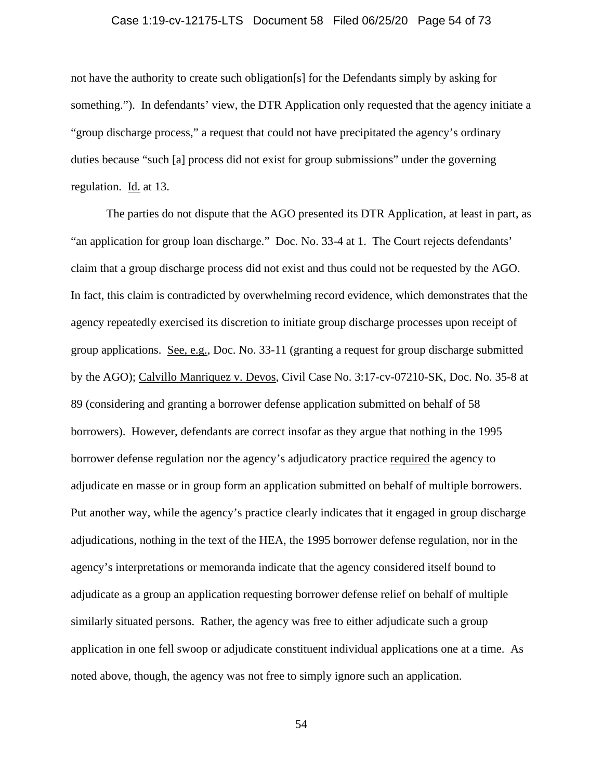## Case 1:19-cv-12175-LTS Document 58 Filed 06/25/20 Page 54 of 73

not have the authority to create such obligation[s] for the Defendants simply by asking for something."). In defendants' view, the DTR Application only requested that the agency initiate a "group discharge process," a request that could not have precipitated the agency's ordinary duties because "such [a] process did not exist for group submissions" under the governing regulation. Id. at 13.

The parties do not dispute that the AGO presented its DTR Application, at least in part, as "an application for group loan discharge." Doc. No. 33-4 at 1. The Court rejects defendants' claim that a group discharge process did not exist and thus could not be requested by the AGO. In fact, this claim is contradicted by overwhelming record evidence, which demonstrates that the agency repeatedly exercised its discretion to initiate group discharge processes upon receipt of group applications. See, e.g., Doc. No. 33-11 (granting a request for group discharge submitted by the AGO); Calvillo Manriquez v. Devos, Civil Case No. 3:17-cv-07210-SK, Doc. No. 35-8 at 89 (considering and granting a borrower defense application submitted on behalf of 58 borrowers). However, defendants are correct insofar as they argue that nothing in the 1995 borrower defense regulation nor the agency's adjudicatory practice required the agency to adjudicate en masse or in group form an application submitted on behalf of multiple borrowers. Put another way, while the agency's practice clearly indicates that it engaged in group discharge adjudications, nothing in the text of the HEA, the 1995 borrower defense regulation, nor in the agency's interpretations or memoranda indicate that the agency considered itself bound to adjudicate as a group an application requesting borrower defense relief on behalf of multiple similarly situated persons. Rather, the agency was free to either adjudicate such a group application in one fell swoop or adjudicate constituent individual applications one at a time. As noted above, though, the agency was not free to simply ignore such an application.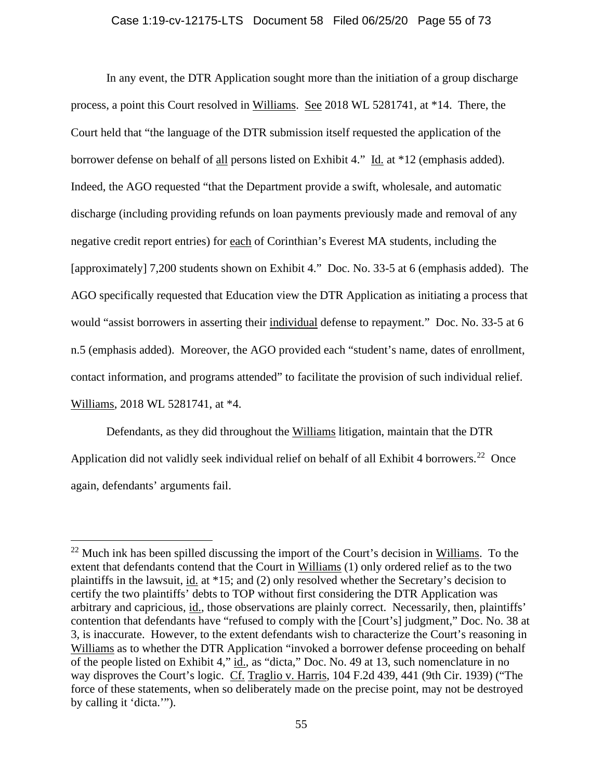## Case 1:19-cv-12175-LTS Document 58 Filed 06/25/20 Page 55 of 73

In any event, the DTR Application sought more than the initiation of a group discharge process, a point this Court resolved in Williams. See 2018 WL 5281741, at \*14. There, the Court held that "the language of the DTR submission itself requested the application of the borrower defense on behalf of all persons listed on Exhibit 4." Id. at \*12 (emphasis added). Indeed, the AGO requested "that the Department provide a swift, wholesale, and automatic discharge (including providing refunds on loan payments previously made and removal of any negative credit report entries) for each of Corinthian's Everest MA students, including the [approximately] 7,200 students shown on Exhibit 4." Doc. No. 33-5 at 6 (emphasis added). The AGO specifically requested that Education view the DTR Application as initiating a process that would "assist borrowers in asserting their individual defense to repayment." Doc. No. 33-5 at 6 n.5 (emphasis added). Moreover, the AGO provided each "student's name, dates of enrollment, contact information, and programs attended" to facilitate the provision of such individual relief. Williams, 2018 WL 5281741, at \*4.

Defendants, as they did throughout the Williams litigation, maintain that the DTR Application did not validly seek individual relief on behalf of all Exhibit 4 borrowers.<sup>22</sup> Once again, defendants' arguments fail.

<span id="page-54-0"></span> $22$  Much ink has been spilled discussing the import of the Court's decision in Williams. To the extent that defendants contend that the Court in Williams (1) only ordered relief as to the two plaintiffs in the lawsuit, id. at \*15; and (2) only resolved whether the Secretary's decision to certify the two plaintiffs' debts to TOP without first considering the DTR Application was arbitrary and capricious, id., those observations are plainly correct. Necessarily, then, plaintiffs' contention that defendants have "refused to comply with the [Court's] judgment," Doc. No. 38 at 3, is inaccurate. However, to the extent defendants wish to characterize the Court's reasoning in Williams as to whether the DTR Application "invoked a borrower defense proceeding on behalf of the people listed on Exhibit 4," id., as "dicta," Doc. No. 49 at 13, such nomenclature in no way disproves the Court's logic. Cf. Traglio v. Harris, 104 F.2d 439, 441 (9th Cir. 1939) ("The force of these statements, when so deliberately made on the precise point, may not be destroyed by calling it 'dicta.'").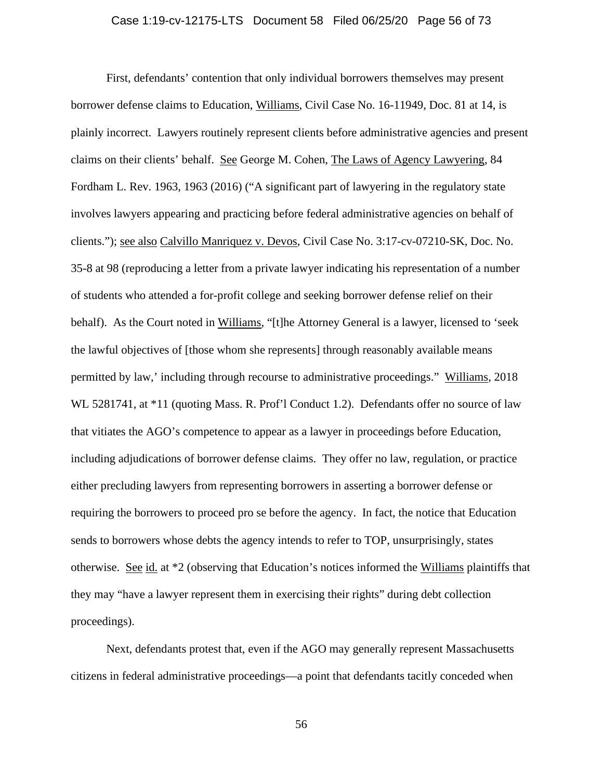## Case 1:19-cv-12175-LTS Document 58 Filed 06/25/20 Page 56 of 73

First, defendants' contention that only individual borrowers themselves may present borrower defense claims to Education, Williams, Civil Case No. 16-11949, Doc. 81 at 14, is plainly incorrect. Lawyers routinely represent clients before administrative agencies and present claims on their clients' behalf. See George M. Cohen, The Laws of Agency Lawyering, 84 Fordham L. Rev. 1963, 1963 (2016) ("A significant part of lawyering in the regulatory state involves lawyers appearing and practicing before federal administrative agencies on behalf of clients."); see also Calvillo Manriquez v. Devos, Civil Case No. 3:17-cv-07210-SK, Doc. No. 35-8 at 98 (reproducing a letter from a private lawyer indicating his representation of a number of students who attended a for-profit college and seeking borrower defense relief on their behalf). As the Court noted in Williams, "[t]he Attorney General is a lawyer, licensed to 'seek the lawful objectives of [those whom she represents] through reasonably available means permitted by law,' including through recourse to administrative proceedings." Williams, 2018 WL 5281741, at \*11 (quoting Mass. R. Prof'l Conduct 1.2). Defendants offer no source of law that vitiates the AGO's competence to appear as a lawyer in proceedings before Education, including adjudications of borrower defense claims. They offer no law, regulation, or practice either precluding lawyers from representing borrowers in asserting a borrower defense or requiring the borrowers to proceed pro se before the agency. In fact, the notice that Education sends to borrowers whose debts the agency intends to refer to TOP, unsurprisingly, states otherwise. See id. at \*2 (observing that Education's notices informed the Williams plaintiffs that they may "have a lawyer represent them in exercising their rights" during debt collection proceedings).

Next, defendants protest that, even if the AGO may generally represent Massachusetts citizens in federal administrative proceedings—a point that defendants tacitly conceded when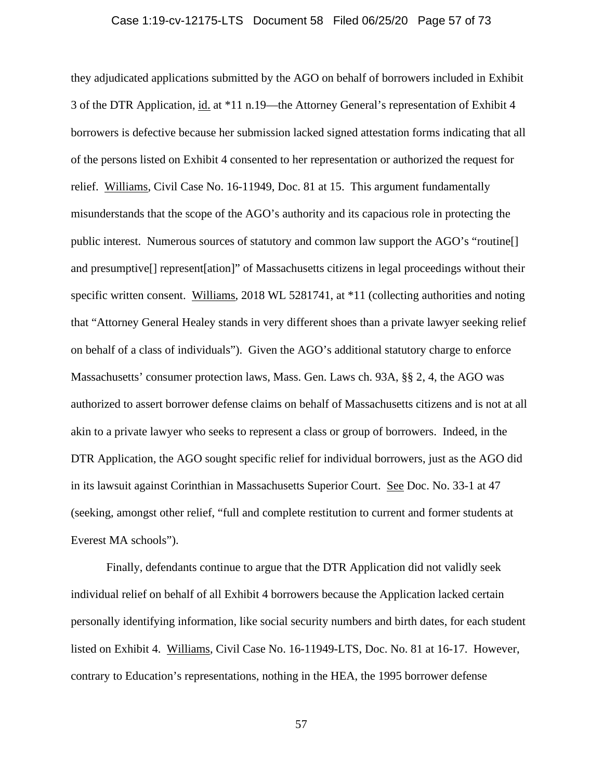## Case 1:19-cv-12175-LTS Document 58 Filed 06/25/20 Page 57 of 73

they adjudicated applications submitted by the AGO on behalf of borrowers included in Exhibit 3 of the DTR Application, id. at \*11 n.19—the Attorney General's representation of Exhibit 4 borrowers is defective because her submission lacked signed attestation forms indicating that all of the persons listed on Exhibit 4 consented to her representation or authorized the request for relief. Williams, Civil Case No. 16-11949, Doc. 81 at 15. This argument fundamentally misunderstands that the scope of the AGO's authority and its capacious role in protecting the public interest. Numerous sources of statutory and common law support the AGO's "routine[] and presumptive[] represent[ation]" of Massachusetts citizens in legal proceedings without their specific written consent. Williams, 2018 WL 5281741, at \*11 (collecting authorities and noting that "Attorney General Healey stands in very different shoes than a private lawyer seeking relief on behalf of a class of individuals"). Given the AGO's additional statutory charge to enforce Massachusetts' consumer protection laws, Mass. Gen. Laws ch. 93A, §§ 2, 4, the AGO was authorized to assert borrower defense claims on behalf of Massachusetts citizens and is not at all akin to a private lawyer who seeks to represent a class or group of borrowers. Indeed, in the DTR Application, the AGO sought specific relief for individual borrowers, just as the AGO did in its lawsuit against Corinthian in Massachusetts Superior Court. See Doc. No. 33-1 at 47 (seeking, amongst other relief, "full and complete restitution to current and former students at Everest MA schools").

Finally, defendants continue to argue that the DTR Application did not validly seek individual relief on behalf of all Exhibit 4 borrowers because the Application lacked certain personally identifying information, like social security numbers and birth dates, for each student listed on Exhibit 4. Williams, Civil Case No. 16-11949-LTS, Doc. No. 81 at 16-17. However, contrary to Education's representations, nothing in the HEA, the 1995 borrower defense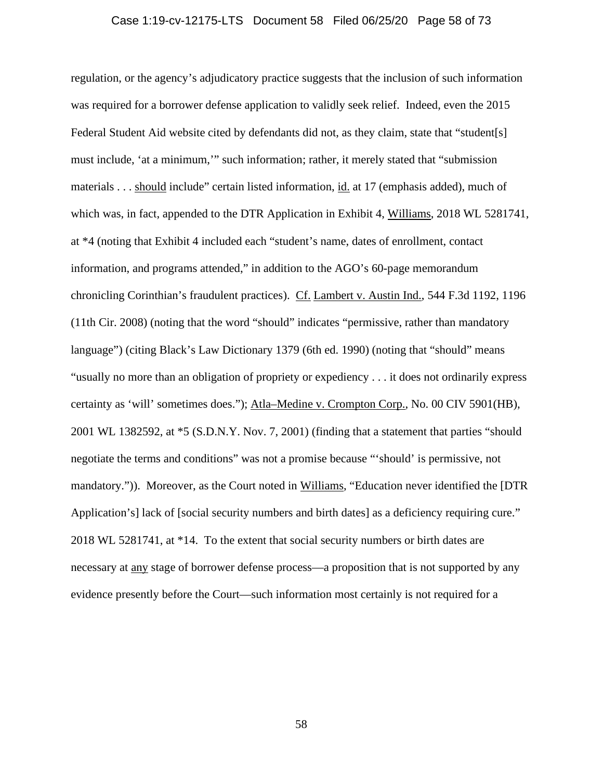### Case 1:19-cv-12175-LTS Document 58 Filed 06/25/20 Page 58 of 73

regulation, or the agency's adjudicatory practice suggests that the inclusion of such information was required for a borrower defense application to validly seek relief. Indeed, even the 2015 Federal Student Aid website cited by defendants did not, as they claim, state that "student[s] must include, 'at a minimum,'" such information; rather, it merely stated that "submission materials . . . should include" certain listed information, id. at 17 (emphasis added), much of which was, in fact, appended to the DTR Application in Exhibit 4, Williams, 2018 WL 5281741, at \*4 (noting that Exhibit 4 included each "student's name, dates of enrollment, contact information, and programs attended," in addition to the AGO's 60-page memorandum chronicling Corinthian's fraudulent practices). Cf. Lambert v. Austin Ind., 544 F.3d 1192, 1196 (11th Cir. 2008) (noting that the word "should" indicates "permissive, rather than mandatory language") (citing Black's Law Dictionary 1379 (6th ed. 1990) (noting that "should" means "usually no more than an obligation of propriety or expediency . . . it does not ordinarily express certainty as 'will' sometimes does."); Atla–Medine v. Crompton Corp., No. 00 CIV 5901(HB), 2001 WL 1382592, at \*5 (S.D.N.Y. Nov. 7, 2001) (finding that a statement that parties "should negotiate the terms and conditions" was not a promise because "'should' is permissive, not mandatory.")). Moreover, as the Court noted in Williams, "Education never identified the [DTR Application's] lack of [social security numbers and birth dates] as a deficiency requiring cure." 2018 WL 5281741, at \*14. To the extent that social security numbers or birth dates are necessary at any stage of borrower defense process—a proposition that is not supported by any evidence presently before the Court—such information most certainly is not required for a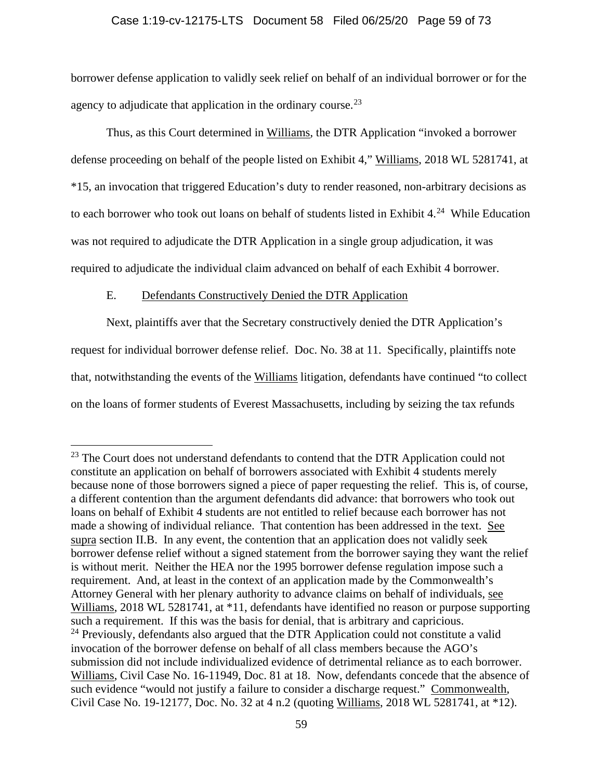## Case 1:19-cv-12175-LTS Document 58 Filed 06/25/20 Page 59 of 73

borrower defense application to validly seek relief on behalf of an individual borrower or for the agency to adjudicate that application in the ordinary course.<sup>23</sup>

Thus, as this Court determined in Williams, the DTR Application "invoked a borrower defense proceeding on behalf of the people listed on Exhibit 4," Williams, 2018 WL 5281741, at \*15, an invocation that triggered Education's duty to render reasoned, non-arbitrary decisions as to each borrower who took out loans on behalf of students listed in Exhibit  $4.^{24}$  While Education was not required to adjudicate the DTR Application in a single group adjudication, it was required to adjudicate the individual claim advanced on behalf of each Exhibit 4 borrower.

# E. Defendants Constructively Denied the DTR Application

Next, plaintiffs aver that the Secretary constructively denied the DTR Application's request for individual borrower defense relief. Doc. No. 38 at 11. Specifically, plaintiffs note that, notwithstanding the events of the Williams litigation, defendants have continued "to collect on the loans of former students of Everest Massachusetts, including by seizing the tax refunds

<span id="page-58-0"></span><sup>&</sup>lt;sup>23</sup> The Court does not understand defendants to contend that the DTR Application could not constitute an application on behalf of borrowers associated with Exhibit 4 students merely because none of those borrowers signed a piece of paper requesting the relief. This is, of course, a different contention than the argument defendants did advance: that borrowers who took out loans on behalf of Exhibit 4 students are not entitled to relief because each borrower has not made a showing of individual reliance. That contention has been addressed in the text. See supra section II.B. In any event, the contention that an application does not validly seek borrower defense relief without a signed statement from the borrower saying they want the relief is without merit. Neither the HEA nor the 1995 borrower defense regulation impose such a requirement. And, at least in the context of an application made by the Commonwealth's Attorney General with her plenary authority to advance claims on behalf of individuals, see Williams, 2018 WL 5281741, at \*11, defendants have identified no reason or purpose supporting such a requirement. If this was the basis for denial, that is arbitrary and capricious.

<span id="page-58-1"></span> $24$  Previously, defendants also argued that the DTR Application could not constitute a valid invocation of the borrower defense on behalf of all class members because the AGO's submission did not include individualized evidence of detrimental reliance as to each borrower. Williams, Civil Case No. 16-11949, Doc. 81 at 18. Now, defendants concede that the absence of such evidence "would not justify a failure to consider a discharge request." Commonwealth, Civil Case No. 19-12177, Doc. No. 32 at 4 n.2 (quoting Williams, 2018 WL 5281741, at \*12).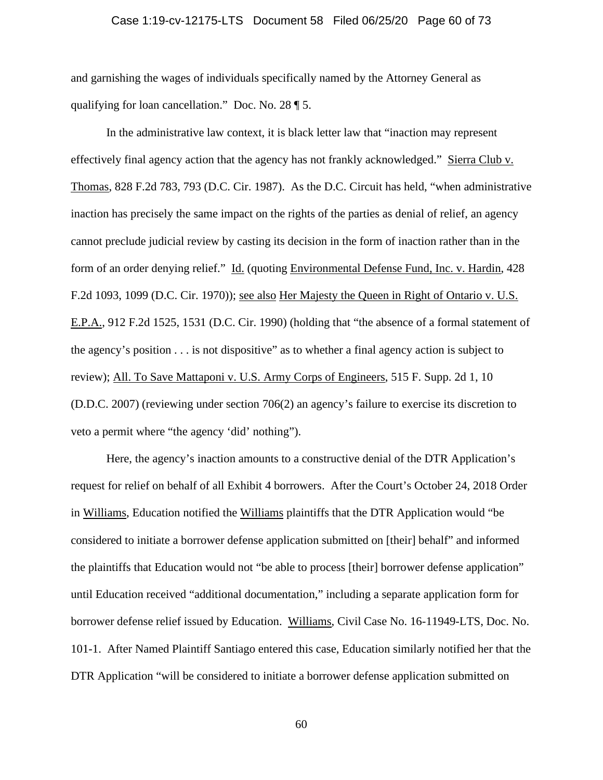## Case 1:19-cv-12175-LTS Document 58 Filed 06/25/20 Page 60 of 73

and garnishing the wages of individuals specifically named by the Attorney General as qualifying for loan cancellation." Doc. No. 28 ¶ 5.

In the administrative law context, it is black letter law that "inaction may represent effectively final agency action that the agency has not frankly acknowledged." Sierra Club v. Thomas, 828 F.2d 783, 793 (D.C. Cir. 1987). As the D.C. Circuit has held, "when administrative inaction has precisely the same impact on the rights of the parties as denial of relief, an agency cannot preclude judicial review by casting its decision in the form of inaction rather than in the form of an order denying relief." Id. (quoting Environmental Defense Fund, Inc. v. Hardin, 428 F.2d 1093, 1099 (D.C. Cir. 1970)); see also Her Majesty the Queen in Right of Ontario v. U.S. E.P.A., 912 F.2d 1525, 1531 (D.C. Cir. 1990) (holding that "the absence of a formal statement of the agency's position . . . is not dispositive" as to whether a final agency action is subject to review); All. To Save Mattaponi v. U.S. Army Corps of Engineers, 515 F. Supp. 2d 1, 10 (D.D.C. 2007) (reviewing under section 706(2) an agency's failure to exercise its discretion to veto a permit where "the agency 'did' nothing").

Here, the agency's inaction amounts to a constructive denial of the DTR Application's request for relief on behalf of all Exhibit 4 borrowers. After the Court's October 24, 2018 Order in Williams, Education notified the Williams plaintiffs that the DTR Application would "be considered to initiate a borrower defense application submitted on [their] behalf" and informed the plaintiffs that Education would not "be able to process [their] borrower defense application" until Education received "additional documentation," including a separate application form for borrower defense relief issued by Education. Williams, Civil Case No. 16-11949-LTS, Doc. No. 101-1. After Named Plaintiff Santiago entered this case, Education similarly notified her that the DTR Application "will be considered to initiate a borrower defense application submitted on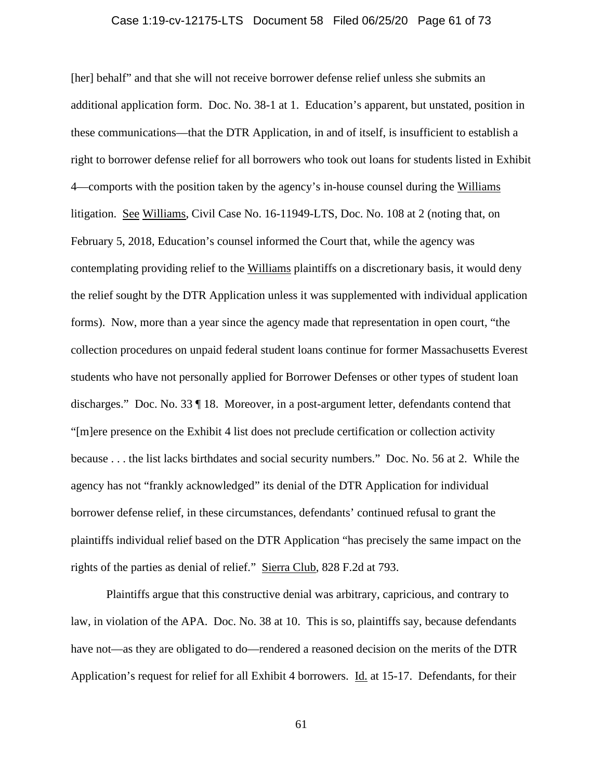## Case 1:19-cv-12175-LTS Document 58 Filed 06/25/20 Page 61 of 73

[her] behalf" and that she will not receive borrower defense relief unless she submits an additional application form. Doc. No. 38-1 at 1. Education's apparent, but unstated, position in these communications—that the DTR Application, in and of itself, is insufficient to establish a right to borrower defense relief for all borrowers who took out loans for students listed in Exhibit 4—comports with the position taken by the agency's in-house counsel during the Williams litigation. See Williams, Civil Case No. 16-11949-LTS, Doc. No. 108 at 2 (noting that, on February 5, 2018, Education's counsel informed the Court that, while the agency was contemplating providing relief to the Williams plaintiffs on a discretionary basis, it would deny the relief sought by the DTR Application unless it was supplemented with individual application forms). Now, more than a year since the agency made that representation in open court, "the collection procedures on unpaid federal student loans continue for former Massachusetts Everest students who have not personally applied for Borrower Defenses or other types of student loan discharges." Doc. No. 33 ¶ 18. Moreover, in a post-argument letter, defendants contend that "[m]ere presence on the Exhibit 4 list does not preclude certification or collection activity because . . . the list lacks birthdates and social security numbers." Doc. No. 56 at 2. While the agency has not "frankly acknowledged" its denial of the DTR Application for individual borrower defense relief, in these circumstances, defendants' continued refusal to grant the plaintiffs individual relief based on the DTR Application "has precisely the same impact on the rights of the parties as denial of relief." Sierra Club, 828 F.2d at 793.

Plaintiffs argue that this constructive denial was arbitrary, capricious, and contrary to law, in violation of the APA. Doc. No. 38 at 10. This is so, plaintiffs say, because defendants have not—as they are obligated to do—rendered a reasoned decision on the merits of the DTR Application's request for relief for all Exhibit 4 borrowers. Id. at 15-17. Defendants, for their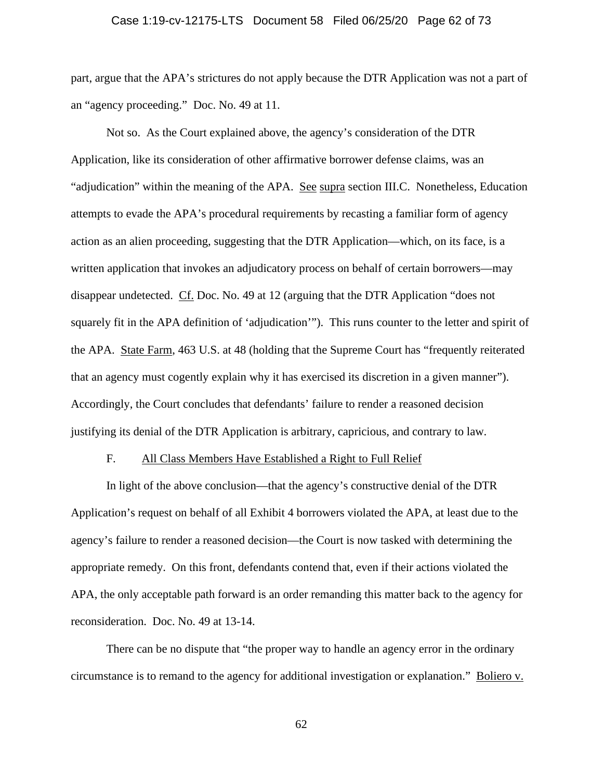## Case 1:19-cv-12175-LTS Document 58 Filed 06/25/20 Page 62 of 73

part, argue that the APA's strictures do not apply because the DTR Application was not a part of an "agency proceeding." Doc. No. 49 at 11.

Not so. As the Court explained above, the agency's consideration of the DTR Application, like its consideration of other affirmative borrower defense claims, was an "adjudication" within the meaning of the APA. See supra section III.C. Nonetheless, Education attempts to evade the APA's procedural requirements by recasting a familiar form of agency action as an alien proceeding, suggesting that the DTR Application—which, on its face, is a written application that invokes an adjudicatory process on behalf of certain borrowers—may disappear undetected. Cf. Doc. No. 49 at 12 (arguing that the DTR Application "does not squarely fit in the APA definition of 'adjudication'"). This runs counter to the letter and spirit of the APA. State Farm, 463 U.S. at 48 (holding that the Supreme Court has "frequently reiterated that an agency must cogently explain why it has exercised its discretion in a given manner"). Accordingly, the Court concludes that defendants' failure to render a reasoned decision justifying its denial of the DTR Application is arbitrary, capricious, and contrary to law.

## F. All Class Members Have Established a Right to Full Relief

In light of the above conclusion—that the agency's constructive denial of the DTR Application's request on behalf of all Exhibit 4 borrowers violated the APA, at least due to the agency's failure to render a reasoned decision—the Court is now tasked with determining the appropriate remedy. On this front, defendants contend that, even if their actions violated the APA, the only acceptable path forward is an order remanding this matter back to the agency for reconsideration. Doc. No. 49 at 13-14.

There can be no dispute that "the proper way to handle an agency error in the ordinary circumstance is to remand to the agency for additional investigation or explanation." Boliero v.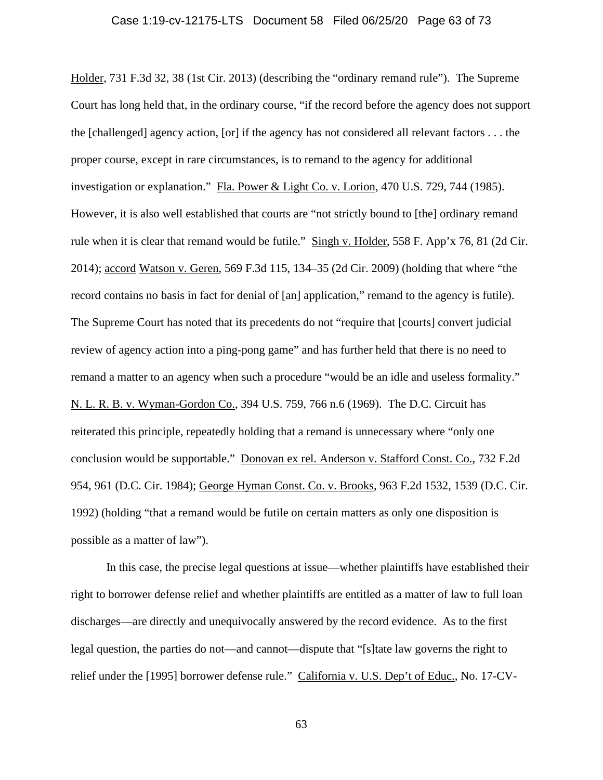## Case 1:19-cv-12175-LTS Document 58 Filed 06/25/20 Page 63 of 73

Holder, 731 F.3d 32, 38 (1st Cir. 2013) (describing the "ordinary remand rule"). The Supreme Court has long held that, in the ordinary course, "if the record before the agency does not support the [challenged] agency action, [or] if the agency has not considered all relevant factors . . . the proper course, except in rare circumstances, is to remand to the agency for additional investigation or explanation." Fla. Power & Light Co. v. Lorion, 470 U.S. 729, 744 (1985). However, it is also well established that courts are "not strictly bound to [the] ordinary remand rule when it is clear that remand would be futile." Singh v. Holder, 558 F. App'x 76, 81 (2d Cir. 2014); accord Watson v. Geren, 569 F.3d 115, 134–35 (2d Cir. 2009) (holding that where "the record contains no basis in fact for denial of [an] application," remand to the agency is futile). The Supreme Court has noted that its precedents do not "require that [courts] convert judicial review of agency action into a ping-pong game" and has further held that there is no need to remand a matter to an agency when such a procedure "would be an idle and useless formality." N. L. R. B. v. Wyman-Gordon Co., 394 U.S. 759, 766 n.6 (1969). The D.C. Circuit has reiterated this principle, repeatedly holding that a remand is unnecessary where "only one conclusion would be supportable." Donovan ex rel. Anderson v. Stafford Const. Co., 732 F.2d 954, 961 (D.C. Cir. 1984); George Hyman Const. Co. v. Brooks, 963 F.2d 1532, 1539 (D.C. Cir. 1992) (holding "that a remand would be futile on certain matters as only one disposition is possible as a matter of law").

In this case, the precise legal questions at issue—whether plaintiffs have established their right to borrower defense relief and whether plaintiffs are entitled as a matter of law to full loan discharges—are directly and unequivocally answered by the record evidence. As to the first legal question, the parties do not—and cannot—dispute that "[s]tate law governs the right to relief under the [1995] borrower defense rule." California v. U.S. Dep't of Educ., No. 17-CV-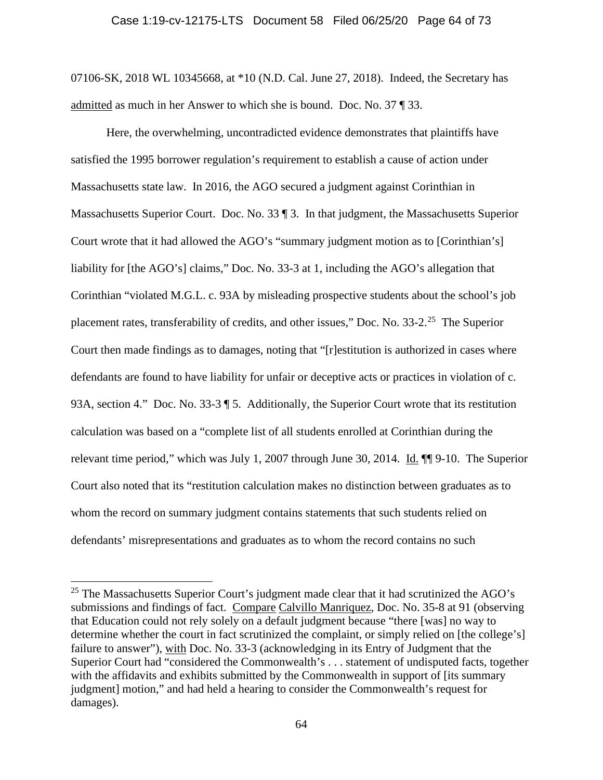#### Case 1:19-cv-12175-LTS Document 58 Filed 06/25/20 Page 64 of 73

07106-SK, 2018 WL 10345668, at \*10 (N.D. Cal. June 27, 2018). Indeed, the Secretary has admitted as much in her Answer to which she is bound. Doc. No. 37 ¶ 33.

Here, the overwhelming, uncontradicted evidence demonstrates that plaintiffs have satisfied the 1995 borrower regulation's requirement to establish a cause of action under Massachusetts state law. In 2016, the AGO secured a judgment against Corinthian in Massachusetts Superior Court. Doc. No. 33 | 3. In that judgment, the Massachusetts Superior Court wrote that it had allowed the AGO's "summary judgment motion as to [Corinthian's] liability for [the AGO's] claims," Doc. No. 33-3 at 1, including the AGO's allegation that Corinthian "violated M.G.L. c. 93A by misleading prospective students about the school's job placement rates, transferability of credits, and other issues," Doc. No.  $33-2$ .<sup>25</sup> The Superior Court then made findings as to damages, noting that "[r]estitution is authorized in cases where defendants are found to have liability for unfair or deceptive acts or practices in violation of c. 93A, section 4." Doc. No. 33-3 ¶ 5. Additionally, the Superior Court wrote that its restitution calculation was based on a "complete list of all students enrolled at Corinthian during the relevant time period," which was July 1, 2007 through June 30, 2014. Id.  $\blacksquare$  9-10. The Superior Court also noted that its "restitution calculation makes no distinction between graduates as to whom the record on summary judgment contains statements that such students relied on defendants' misrepresentations and graduates as to whom the record contains no such

<span id="page-63-0"></span> $25$  The Massachusetts Superior Court's judgment made clear that it had scrutinized the AGO's submissions and findings of fact. Compare Calvillo Manriquez, Doc. No. 35-8 at 91 (observing that Education could not rely solely on a default judgment because "there [was] no way to determine whether the court in fact scrutinized the complaint, or simply relied on [the college's] failure to answer"), with Doc. No. 33-3 (acknowledging in its Entry of Judgment that the Superior Court had "considered the Commonwealth's . . . statement of undisputed facts, together with the affidavits and exhibits submitted by the Commonwealth in support of [its summary judgment] motion," and had held a hearing to consider the Commonwealth's request for damages).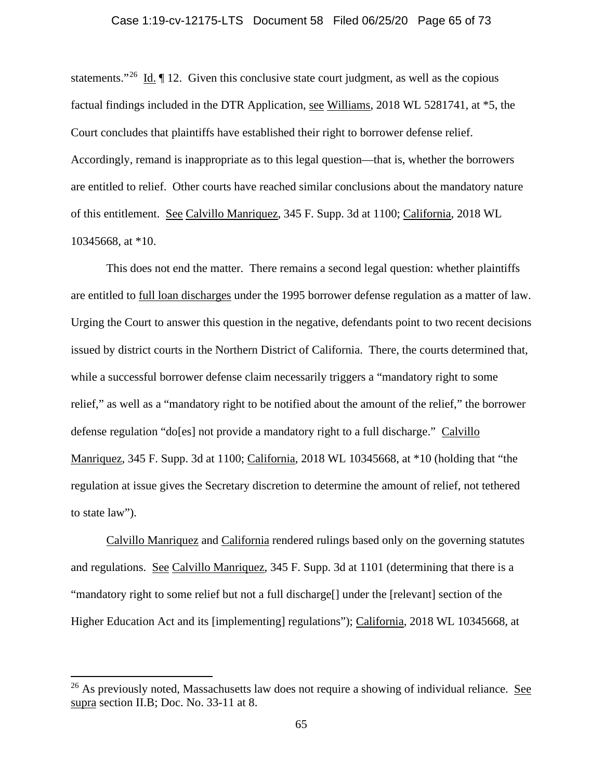## Case 1:19-cv-12175-LTS Document 58 Filed 06/25/20 Page 65 of 73

statements."[26](#page-64-0) Id. ¶ 12. Given this conclusive state court judgment, as well as the copious factual findings included in the DTR Application, see Williams, 2018 WL 5281741, at \*5, the Court concludes that plaintiffs have established their right to borrower defense relief. Accordingly, remand is inappropriate as to this legal question—that is, whether the borrowers are entitled to relief. Other courts have reached similar conclusions about the mandatory nature of this entitlement. See Calvillo Manriquez, 345 F. Supp. 3d at 1100; California, 2018 WL 10345668, at \*10.

This does not end the matter. There remains a second legal question: whether plaintiffs are entitled to full loan discharges under the 1995 borrower defense regulation as a matter of law. Urging the Court to answer this question in the negative, defendants point to two recent decisions issued by district courts in the Northern District of California. There, the courts determined that, while a successful borrower defense claim necessarily triggers a "mandatory right to some relief," as well as a "mandatory right to be notified about the amount of the relief," the borrower defense regulation "do[es] not provide a mandatory right to a full discharge." Calvillo Manriquez, 345 F. Supp. 3d at 1100; California, 2018 WL 10345668, at \*10 (holding that "the regulation at issue gives the Secretary discretion to determine the amount of relief, not tethered to state law").

Calvillo Manriquez and California rendered rulings based only on the governing statutes and regulations. See Calvillo Manriquez, 345 F. Supp. 3d at 1101 (determining that there is a "mandatory right to some relief but not a full discharge[] under the [relevant] section of the Higher Education Act and its [implementing] regulations"); California, 2018 WL 10345668, at

<span id="page-64-0"></span><sup>&</sup>lt;sup>26</sup> As previously noted, Massachusetts law does not require a showing of individual reliance. See supra section II.B; Doc. No. 33-11 at 8.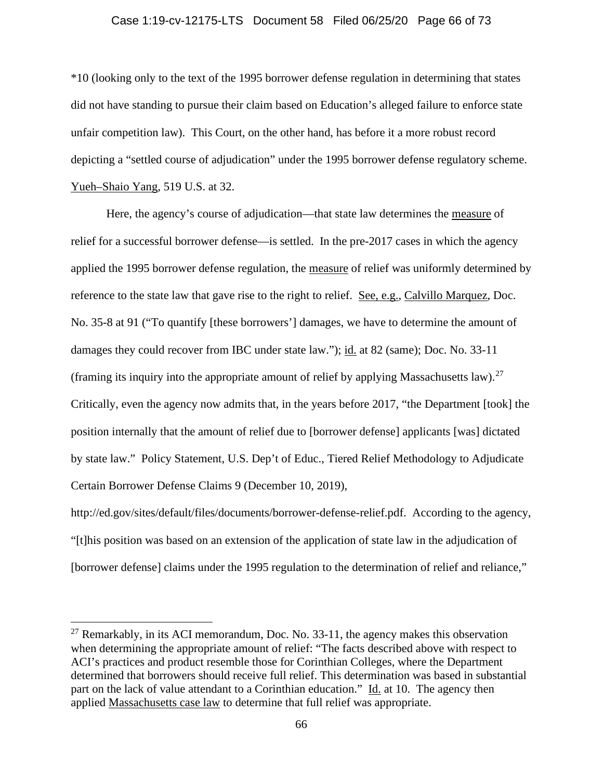## Case 1:19-cv-12175-LTS Document 58 Filed 06/25/20 Page 66 of 73

\*10 (looking only to the text of the 1995 borrower defense regulation in determining that states did not have standing to pursue their claim based on Education's alleged failure to enforce state unfair competition law). This Court, on the other hand, has before it a more robust record depicting a "settled course of adjudication" under the 1995 borrower defense regulatory scheme. Yueh–Shaio Yang, 519 U.S. at 32.

Here, the agency's course of adjudication—that state law determines the measure of relief for a successful borrower defense—is settled. In the pre-2017 cases in which the agency applied the 1995 borrower defense regulation, the measure of relief was uniformly determined by reference to the state law that gave rise to the right to relief. See, e.g., Calvillo Marquez, Doc. No. 35-8 at 91 ("To quantify [these borrowers'] damages, we have to determine the amount of damages they could recover from IBC under state law."); id. at 82 (same); Doc. No. 33-11 (framing its inquiry into the appropriate amount of relief by applying Massachusetts law).<sup>27</sup> Critically, even the agency now admits that, in the years before 2017, "the Department [took] the position internally that the amount of relief due to [borrower defense] applicants [was] dictated by state law." Policy Statement, U.S. Dep't of Educ., Tiered Relief Methodology to Adjudicate Certain Borrower Defense Claims 9 (December 10, 2019),

http://ed.gov/sites/default/files/documents/borrower-defense-relief.pdf. According to the agency, "[t]his position was based on an extension of the application of state law in the adjudication of [borrower defense] claims under the 1995 regulation to the determination of relief and reliance,"

<span id="page-65-0"></span><sup>&</sup>lt;sup>27</sup> Remarkably, in its ACI memorandum, Doc. No. 33-11, the agency makes this observation when determining the appropriate amount of relief: "The facts described above with respect to ACI's practices and product resemble those for Corinthian Colleges, where the Department determined that borrowers should receive full relief. This determination was based in substantial part on the lack of value attendant to a Corinthian education." Id. at 10. The agency then applied Massachusetts case law to determine that full relief was appropriate.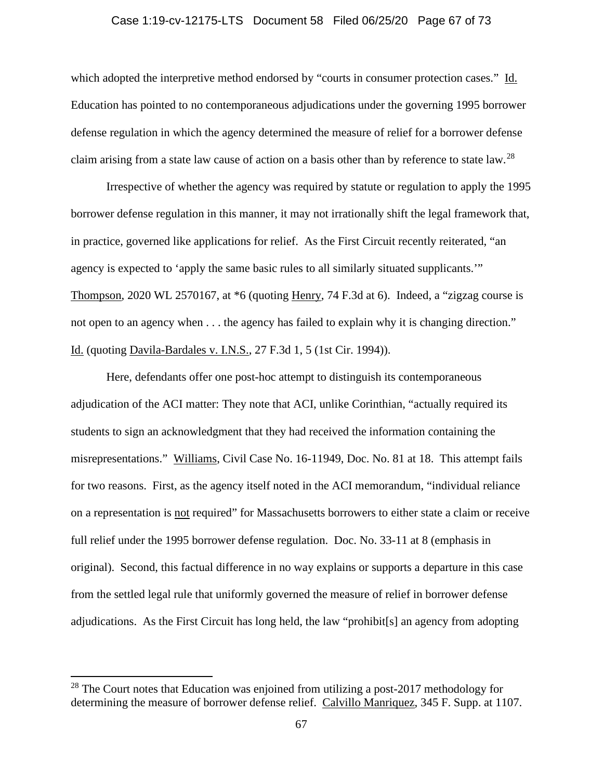## Case 1:19-cv-12175-LTS Document 58 Filed 06/25/20 Page 67 of 73

which adopted the interpretive method endorsed by "courts in consumer protection cases." Id. Education has pointed to no contemporaneous adjudications under the governing 1995 borrower defense regulation in which the agency determined the measure of relief for a borrower defense claim arising from a state law cause of action on a basis other than by reference to state law.<sup>[28](#page-66-0)</sup>

Irrespective of whether the agency was required by statute or regulation to apply the 1995 borrower defense regulation in this manner, it may not irrationally shift the legal framework that, in practice, governed like applications for relief. As the First Circuit recently reiterated, "an agency is expected to 'apply the same basic rules to all similarly situated supplicants.'" Thompson, 2020 WL 2570167, at \*6 (quoting Henry, 74 F.3d at 6). Indeed, a "zigzag course is not open to an agency when . . . the agency has failed to explain why it is changing direction." Id. (quoting Davila-Bardales v. I.N.S., 27 F.3d 1, 5 (1st Cir. 1994)).

Here, defendants offer one post-hoc attempt to distinguish its contemporaneous adjudication of the ACI matter: They note that ACI, unlike Corinthian, "actually required its students to sign an acknowledgment that they had received the information containing the misrepresentations." Williams, Civil Case No. 16-11949, Doc. No. 81 at 18. This attempt fails for two reasons. First, as the agency itself noted in the ACI memorandum, "individual reliance on a representation is not required" for Massachusetts borrowers to either state a claim or receive full relief under the 1995 borrower defense regulation. Doc. No. 33-11 at 8 (emphasis in original). Second, this factual difference in no way explains or supports a departure in this case from the settled legal rule that uniformly governed the measure of relief in borrower defense adjudications. As the First Circuit has long held, the law "prohibit[s] an agency from adopting

<span id="page-66-0"></span> $28$  The Court notes that Education was enjoined from utilizing a post-2017 methodology for determining the measure of borrower defense relief. Calvillo Manriquez, 345 F. Supp. at 1107.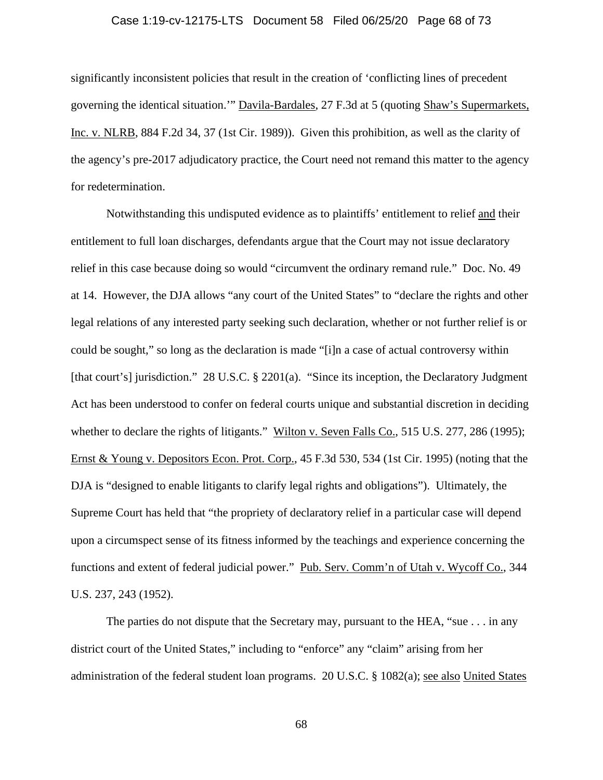## Case 1:19-cv-12175-LTS Document 58 Filed 06/25/20 Page 68 of 73

significantly inconsistent policies that result in the creation of 'conflicting lines of precedent governing the identical situation.'" Davila-Bardales, 27 F.3d at 5 (quoting Shaw's Supermarkets, Inc. v. NLRB, 884 F.2d 34, 37 (1st Cir. 1989)). Given this prohibition, as well as the clarity of the agency's pre-2017 adjudicatory practice, the Court need not remand this matter to the agency for redetermination.

Notwithstanding this undisputed evidence as to plaintiffs' entitlement to relief and their entitlement to full loan discharges, defendants argue that the Court may not issue declaratory relief in this case because doing so would "circumvent the ordinary remand rule." Doc. No. 49 at 14. However, the DJA allows "any court of the United States" to "declare the rights and other legal relations of any interested party seeking such declaration, whether or not further relief is or could be sought," so long as the declaration is made "[i]n a case of actual controversy within [that court's] jurisdiction." 28 U.S.C. § 2201(a). "Since its inception, the Declaratory Judgment Act has been understood to confer on federal courts unique and substantial discretion in deciding whether to declare the rights of litigants." Wilton v. Seven Falls Co., 515 U.S. 277, 286 (1995); Ernst & Young v. Depositors Econ. Prot. Corp., 45 F.3d 530, 534 (1st Cir. 1995) (noting that the DJA is "designed to enable litigants to clarify legal rights and obligations"). Ultimately, the Supreme Court has held that "the propriety of declaratory relief in a particular case will depend upon a circumspect sense of its fitness informed by the teachings and experience concerning the functions and extent of federal judicial power." Pub. Serv. Comm'n of Utah v. Wycoff Co., 344 U.S. 237, 243 (1952).

The parties do not dispute that the Secretary may, pursuant to the HEA, "sue . . . in any district court of the United States," including to "enforce" any "claim" arising from her administration of the federal student loan programs. 20 U.S.C. § 1082(a); see also United States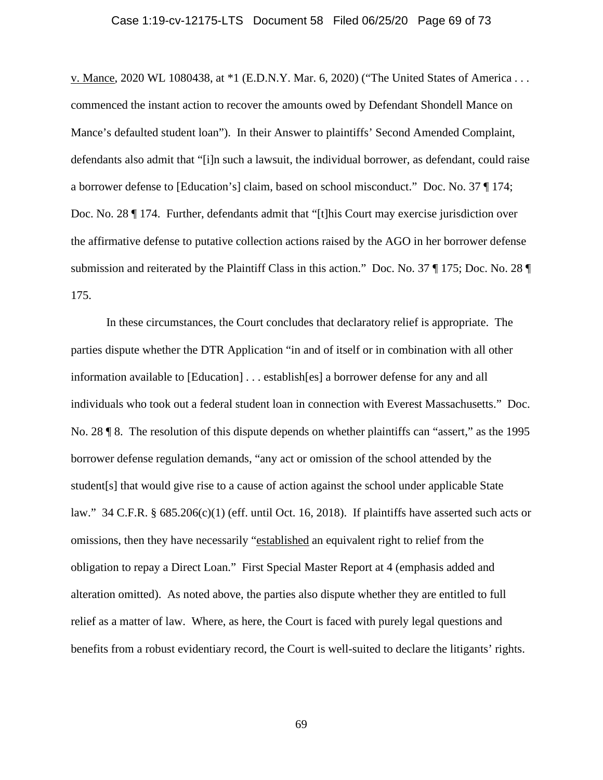#### Case 1:19-cv-12175-LTS Document 58 Filed 06/25/20 Page 69 of 73

v. Mance, 2020 WL 1080438, at \*1 (E.D.N.Y. Mar. 6, 2020) ("The United States of America . . . commenced the instant action to recover the amounts owed by Defendant Shondell Mance on Mance's defaulted student loan"). In their Answer to plaintiffs' Second Amended Complaint, defendants also admit that "[i]n such a lawsuit, the individual borrower, as defendant, could raise a borrower defense to [Education's] claim, based on school misconduct." Doc. No. 37 ¶ 174; Doc. No. 28 ¶ 174. Further, defendants admit that "[t]his Court may exercise jurisdiction over the affirmative defense to putative collection actions raised by the AGO in her borrower defense submission and reiterated by the Plaintiff Class in this action." Doc. No. 37 ¶ 175; Doc. No. 28 ¶ 175.

In these circumstances, the Court concludes that declaratory relief is appropriate. The parties dispute whether the DTR Application "in and of itself or in combination with all other information available to [Education] . . . establish[es] a borrower defense for any and all individuals who took out a federal student loan in connection with Everest Massachusetts." Doc. No. 28 ¶ 8. The resolution of this dispute depends on whether plaintiffs can "assert," as the 1995 borrower defense regulation demands, "any act or omission of the school attended by the student[s] that would give rise to a cause of action against the school under applicable State law." 34 C.F.R.  $\S 685.206(c)(1)$  (eff. until Oct. 16, 2018). If plaintiffs have asserted such acts or omissions, then they have necessarily "established an equivalent right to relief from the obligation to repay a Direct Loan." First Special Master Report at 4 (emphasis added and alteration omitted). As noted above, the parties also dispute whether they are entitled to full relief as a matter of law. Where, as here, the Court is faced with purely legal questions and benefits from a robust evidentiary record, the Court is well-suited to declare the litigants' rights.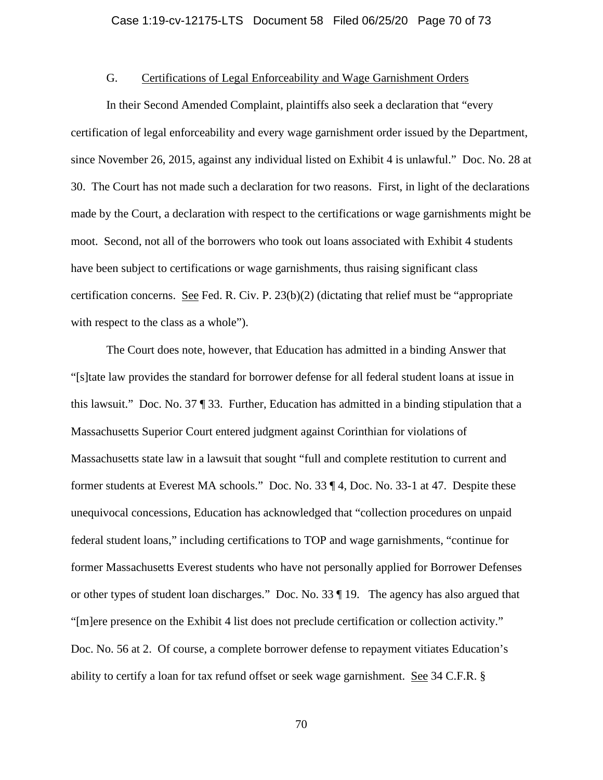## G. Certifications of Legal Enforceability and Wage Garnishment Orders

In their Second Amended Complaint, plaintiffs also seek a declaration that "every certification of legal enforceability and every wage garnishment order issued by the Department, since November 26, 2015, against any individual listed on Exhibit 4 is unlawful." Doc. No. 28 at 30. The Court has not made such a declaration for two reasons. First, in light of the declarations made by the Court, a declaration with respect to the certifications or wage garnishments might be moot. Second, not all of the borrowers who took out loans associated with Exhibit 4 students have been subject to certifications or wage garnishments, thus raising significant class certification concerns. See Fed. R. Civ. P. 23(b)(2) (dictating that relief must be "appropriate with respect to the class as a whole").

The Court does note, however, that Education has admitted in a binding Answer that "[s]tate law provides the standard for borrower defense for all federal student loans at issue in this lawsuit." Doc. No. 37 ¶ 33. Further, Education has admitted in a binding stipulation that a Massachusetts Superior Court entered judgment against Corinthian for violations of Massachusetts state law in a lawsuit that sought "full and complete restitution to current and former students at Everest MA schools." Doc. No. 33 ¶ 4, Doc. No. 33-1 at 47. Despite these unequivocal concessions, Education has acknowledged that "collection procedures on unpaid federal student loans," including certifications to TOP and wage garnishments, "continue for former Massachusetts Everest students who have not personally applied for Borrower Defenses or other types of student loan discharges." Doc. No. 33 ¶ 19. The agency has also argued that "[m]ere presence on the Exhibit 4 list does not preclude certification or collection activity." Doc. No. 56 at 2. Of course, a complete borrower defense to repayment vitiates Education's ability to certify a loan for tax refund offset or seek wage garnishment. See 34 C.F.R. §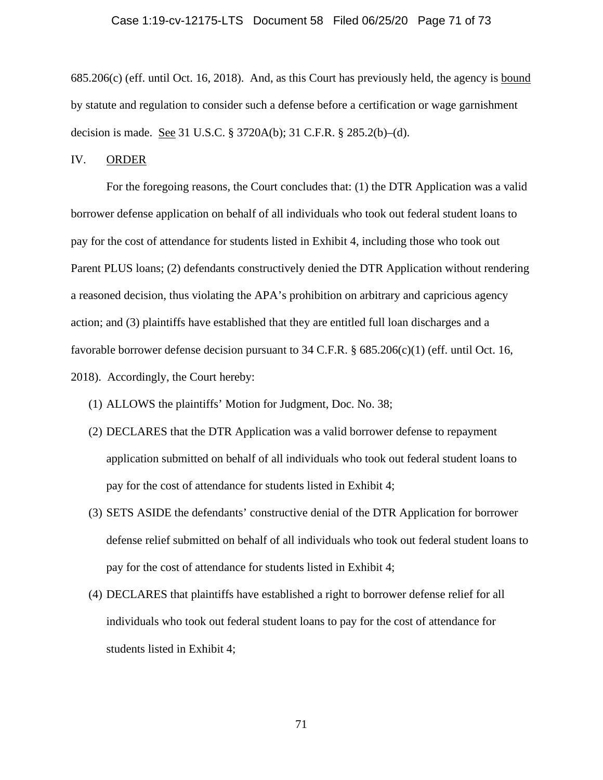#### Case 1:19-cv-12175-LTS Document 58 Filed 06/25/20 Page 71 of 73

685.206(c) (eff. until Oct. 16, 2018). And, as this Court has previously held, the agency is bound by statute and regulation to consider such a defense before a certification or wage garnishment decision is made. See 31 U.S.C. § 3720A(b); 31 C.F.R. § 285.2(b)–(d).

# IV. ORDER

For the foregoing reasons, the Court concludes that: (1) the DTR Application was a valid borrower defense application on behalf of all individuals who took out federal student loans to pay for the cost of attendance for students listed in Exhibit 4, including those who took out Parent PLUS loans; (2) defendants constructively denied the DTR Application without rendering a reasoned decision, thus violating the APA's prohibition on arbitrary and capricious agency action; and (3) plaintiffs have established that they are entitled full loan discharges and a favorable borrower defense decision pursuant to 34 C.F.R. § 685.206(c)(1) (eff. until Oct. 16, 2018). Accordingly, the Court hereby:

- (1) ALLOWS the plaintiffs' Motion for Judgment, Doc. No. 38;
- (2) DECLARES that the DTR Application was a valid borrower defense to repayment application submitted on behalf of all individuals who took out federal student loans to pay for the cost of attendance for students listed in Exhibit 4;
- (3) SETS ASIDE the defendants' constructive denial of the DTR Application for borrower defense relief submitted on behalf of all individuals who took out federal student loans to pay for the cost of attendance for students listed in Exhibit 4;
- (4) DECLARES that plaintiffs have established a right to borrower defense relief for all individuals who took out federal student loans to pay for the cost of attendance for students listed in Exhibit 4;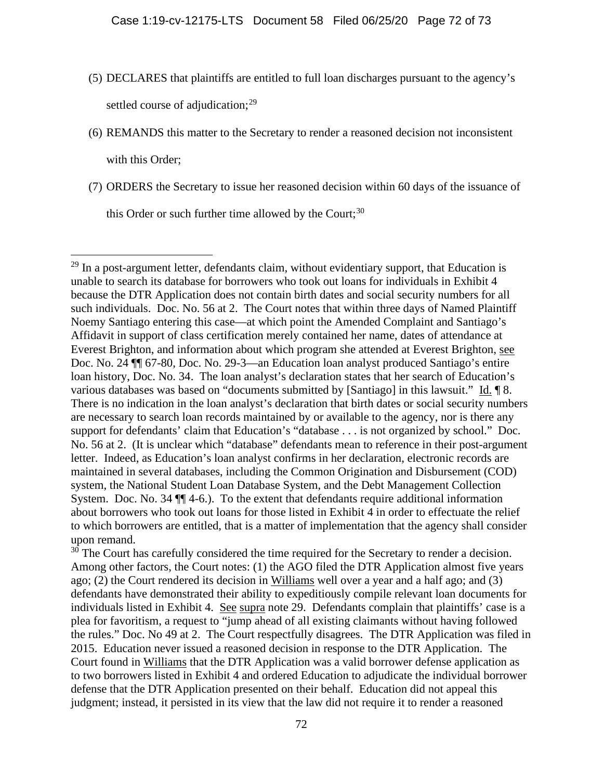- (5) DECLARES that plaintiffs are entitled to full loan discharges pursuant to the agency's settled course of adjudication;<sup>[29](#page-71-0)</sup>
- (6) REMANDS this matter to the Secretary to render a reasoned decision not inconsistent

with this Order:

(7) ORDERS the Secretary to issue her reasoned decision within 60 days of the issuance of

this Order or such further time allowed by the Court;<sup>[30](#page-71-1)</sup>

<span id="page-71-1"></span><sup>30</sup> The Court has carefully considered the time required for the Secretary to render a decision. Among other factors, the Court notes: (1) the AGO filed the DTR Application almost five years ago; (2) the Court rendered its decision in Williams well over a year and a half ago; and (3) defendants have demonstrated their ability to expeditiously compile relevant loan documents for individuals listed in Exhibit 4. See supra note 29. Defendants complain that plaintiffs' case is a plea for favoritism, a request to "jump ahead of all existing claimants without having followed the rules." Doc. No 49 at 2. The Court respectfully disagrees. The DTR Application was filed in 2015. Education never issued a reasoned decision in response to the DTR Application. The Court found in Williams that the DTR Application was a valid borrower defense application as to two borrowers listed in Exhibit 4 and ordered Education to adjudicate the individual borrower defense that the DTR Application presented on their behalf. Education did not appeal this judgment; instead, it persisted in its view that the law did not require it to render a reasoned

<span id="page-71-0"></span> $29$  In a post-argument letter, defendants claim, without evidentiary support, that Education is unable to search its database for borrowers who took out loans for individuals in Exhibit 4 because the DTR Application does not contain birth dates and social security numbers for all such individuals. Doc. No. 56 at 2. The Court notes that within three days of Named Plaintiff Noemy Santiago entering this case—at which point the Amended Complaint and Santiago's Affidavit in support of class certification merely contained her name, dates of attendance at Everest Brighton, and information about which program she attended at Everest Brighton, see Doc. No. 24 ¶¶ 67-80, Doc. No. 29-3—an Education loan analyst produced Santiago's entire loan history, Doc. No. 34. The loan analyst's declaration states that her search of Education's various databases was based on "documents submitted by [Santiago] in this lawsuit." Id. ¶ 8. There is no indication in the loan analyst's declaration that birth dates or social security numbers are necessary to search loan records maintained by or available to the agency, nor is there any support for defendants' claim that Education's "database . . . is not organized by school." Doc. No. 56 at 2. (It is unclear which "database" defendants mean to reference in their post-argument letter. Indeed, as Education's loan analyst confirms in her declaration, electronic records are maintained in several databases, including the Common Origination and Disbursement (COD) system, the National Student Loan Database System, and the Debt Management Collection System. Doc. No. 34 ¶¶ 4-6.). To the extent that defendants require additional information about borrowers who took out loans for those listed in Exhibit 4 in order to effectuate the relief to which borrowers are entitled, that is a matter of implementation that the agency shall consider upon remand.